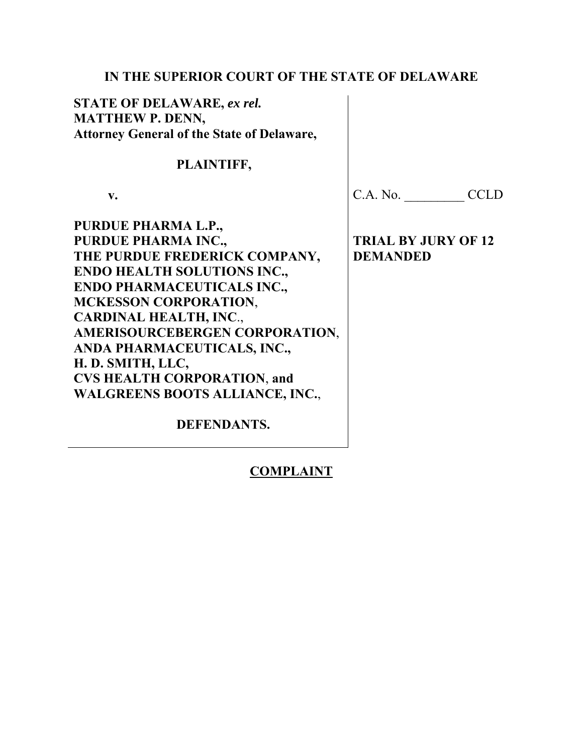# **IN THE SUPERIOR COURT OF THE STATE OF DELAWARE**

**STATE OF DELAWARE,** *ex rel.*  **MATTHEW P. DENN, Attorney General of the State of Delaware,** 

 **PLAINTIFF,** 

 **v.** 

C.A. No. \_\_\_\_\_\_\_ CCLD

**PURDUE PHARMA L.P., PURDUE PHARMA INC., THE PURDUE FREDERICK COMPANY, ENDO HEALTH SOLUTIONS INC., ENDO PHARMACEUTICALS INC., MCKESSON CORPORATION**, **CARDINAL HEALTH, INC**., **AMERISOURCEBERGEN CORPORATION**, **ANDA PHARMACEUTICALS, INC., H. D. SMITH, LLC, CVS HEALTH CORPORATION**, **and WALGREENS BOOTS ALLIANCE, INC.**,

 **DEFENDANTS.** 

# **COMPLAINT**

**TRIAL BY JURY OF 12 DEMANDED**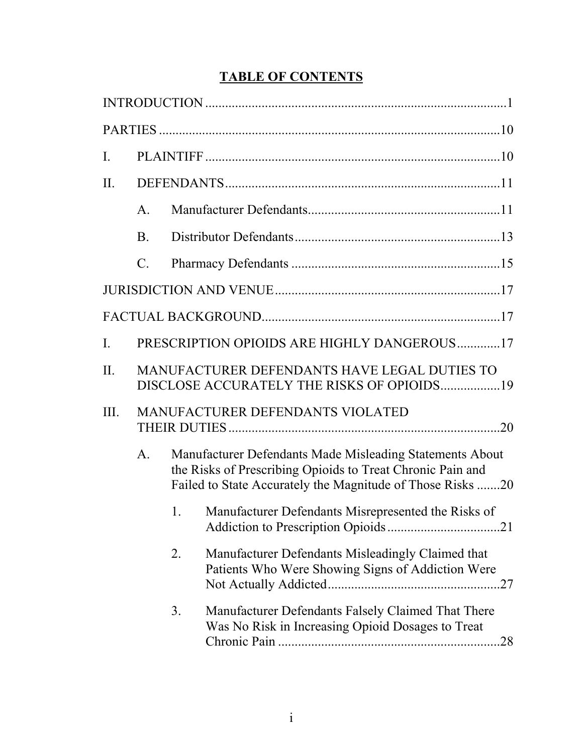# **TABLE OF CONTENTS**

| I.             |                                                                                            |                                                                                                                                                                                      |                                                                                                               |  |  |  |  |  |
|----------------|--------------------------------------------------------------------------------------------|--------------------------------------------------------------------------------------------------------------------------------------------------------------------------------------|---------------------------------------------------------------------------------------------------------------|--|--|--|--|--|
| II.            |                                                                                            |                                                                                                                                                                                      |                                                                                                               |  |  |  |  |  |
|                | $\mathsf{A}$ .                                                                             |                                                                                                                                                                                      |                                                                                                               |  |  |  |  |  |
|                | <b>B.</b>                                                                                  |                                                                                                                                                                                      |                                                                                                               |  |  |  |  |  |
|                | $\mathcal{C}$ .                                                                            |                                                                                                                                                                                      |                                                                                                               |  |  |  |  |  |
|                |                                                                                            |                                                                                                                                                                                      |                                                                                                               |  |  |  |  |  |
|                |                                                                                            |                                                                                                                                                                                      |                                                                                                               |  |  |  |  |  |
| $\mathbf{I}$ . |                                                                                            |                                                                                                                                                                                      | PRESCRIPTION OPIOIDS ARE HIGHLY DANGEROUS17                                                                   |  |  |  |  |  |
| II.            | MANUFACTURER DEFENDANTS HAVE LEGAL DUTIES TO<br>DISCLOSE ACCURATELY THE RISKS OF OPIOIDS19 |                                                                                                                                                                                      |                                                                                                               |  |  |  |  |  |
| III.           | <b>MANUFACTURER DEFENDANTS VIOLATED</b>                                                    |                                                                                                                                                                                      |                                                                                                               |  |  |  |  |  |
|                | $\mathsf{A}.$                                                                              | Manufacturer Defendants Made Misleading Statements About<br>the Risks of Prescribing Opioids to Treat Chronic Pain and<br>Failed to State Accurately the Magnitude of Those Risks 20 |                                                                                                               |  |  |  |  |  |
|                |                                                                                            | 1.                                                                                                                                                                                   | Manufacturer Defendants Misrepresented the Risks of                                                           |  |  |  |  |  |
|                |                                                                                            | 2.                                                                                                                                                                                   | Manufacturer Defendants Misleadingly Claimed that<br>Patients Who Were Showing Signs of Addiction Were        |  |  |  |  |  |
|                |                                                                                            | 3.                                                                                                                                                                                   | Manufacturer Defendants Falsely Claimed That There<br>Was No Risk in Increasing Opioid Dosages to Treat<br>28 |  |  |  |  |  |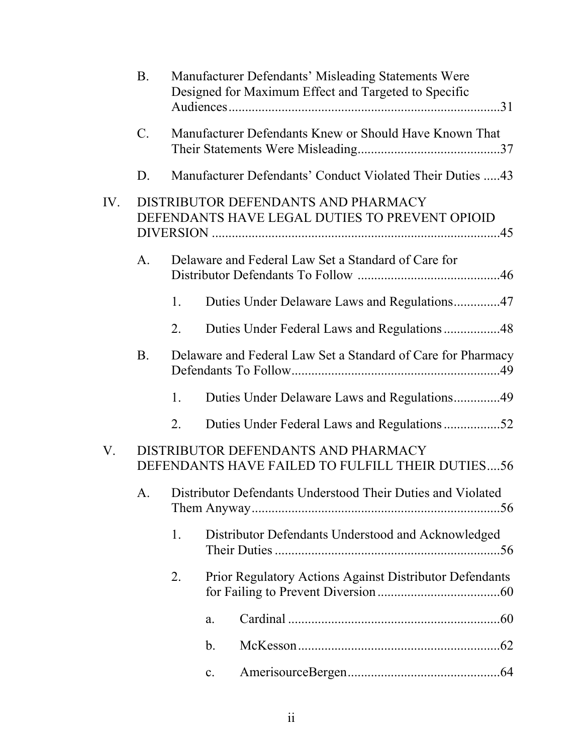|     | <b>B.</b>                                                                             |                                                     |                                                           | Manufacturer Defendants' Misleading Statements Were<br>Designed for Maximum Effect and Targeted to Specific |  |  |
|-----|---------------------------------------------------------------------------------------|-----------------------------------------------------|-----------------------------------------------------------|-------------------------------------------------------------------------------------------------------------|--|--|
|     | $C_{\cdot}$                                                                           |                                                     |                                                           | Manufacturer Defendants Knew or Should Have Known That                                                      |  |  |
|     | D.                                                                                    |                                                     | Manufacturer Defendants' Conduct Violated Their Duties 43 |                                                                                                             |  |  |
| IV. | DISTRIBUTOR DEFENDANTS AND PHARMACY<br>DEFENDANTS HAVE LEGAL DUTIES TO PREVENT OPIOID |                                                     |                                                           |                                                                                                             |  |  |
|     | A.                                                                                    | Delaware and Federal Law Set a Standard of Care for |                                                           |                                                                                                             |  |  |
|     |                                                                                       | 1.                                                  |                                                           | Duties Under Delaware Laws and Regulations47                                                                |  |  |
|     |                                                                                       | 2.                                                  |                                                           | Duties Under Federal Laws and Regulations 48                                                                |  |  |
|     | B <sub>r</sub>                                                                        |                                                     |                                                           | Delaware and Federal Law Set a Standard of Care for Pharmacy                                                |  |  |
|     |                                                                                       | 1.                                                  |                                                           | Duties Under Delaware Laws and Regulations49                                                                |  |  |
|     |                                                                                       | 2.                                                  |                                                           | Duties Under Federal Laws and Regulations52                                                                 |  |  |
| V.  |                                                                                       |                                                     |                                                           | DISTRIBUTOR DEFENDANTS AND PHARMACY<br>DEFENDANTS HAVE FAILED TO FULFILL THEIR DUTIES56                     |  |  |
|     | А.                                                                                    |                                                     |                                                           | Distributor Defendants Understood Their Duties and Violated                                                 |  |  |
|     |                                                                                       | 1.                                                  |                                                           | Distributor Defendants Understood and Acknowledged                                                          |  |  |
|     |                                                                                       | 2.                                                  |                                                           | <b>Prior Regulatory Actions Against Distributor Defendants</b>                                              |  |  |
|     |                                                                                       |                                                     | a.                                                        |                                                                                                             |  |  |
|     |                                                                                       |                                                     | b.                                                        |                                                                                                             |  |  |
|     |                                                                                       |                                                     | $\mathbf{c}$ .                                            |                                                                                                             |  |  |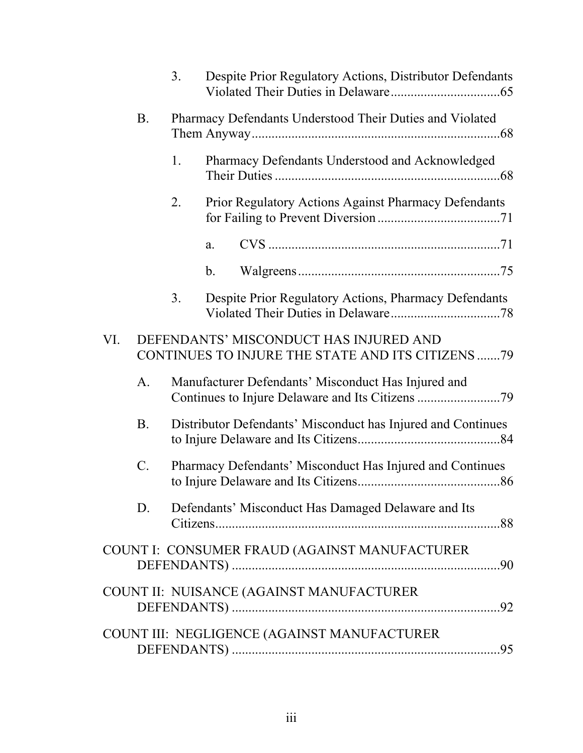|     |                                                                                             | 3.                                                        |                                                              | Despite Prior Regulatory Actions, Distributor Defendants |  |
|-----|---------------------------------------------------------------------------------------------|-----------------------------------------------------------|--------------------------------------------------------------|----------------------------------------------------------|--|
|     | <b>B.</b>                                                                                   |                                                           |                                                              | Pharmacy Defendants Understood Their Duties and Violated |  |
|     |                                                                                             | 1.                                                        |                                                              | Pharmacy Defendants Understood and Acknowledged          |  |
|     |                                                                                             | 2.                                                        |                                                              | Prior Regulatory Actions Against Pharmacy Defendants     |  |
|     |                                                                                             |                                                           | a.                                                           |                                                          |  |
|     |                                                                                             |                                                           | $\mathbf{b}$ .                                               |                                                          |  |
|     |                                                                                             | 3.                                                        |                                                              | Despite Prior Regulatory Actions, Pharmacy Defendants    |  |
| VI. | DEFENDANTS' MISCONDUCT HAS INJURED AND<br>CONTINUES TO INJURE THE STATE AND ITS CITIZENS 79 |                                                           |                                                              |                                                          |  |
|     | A.                                                                                          | Manufacturer Defendants' Misconduct Has Injured and       |                                                              |                                                          |  |
|     | <b>B.</b>                                                                                   |                                                           | Distributor Defendants' Misconduct has Injured and Continues |                                                          |  |
|     | $\mathbf{C}$ .                                                                              | Pharmacy Defendants' Misconduct Has Injured and Continues |                                                              |                                                          |  |
|     | D.                                                                                          |                                                           |                                                              | Defendants' Misconduct Has Damaged Delaware and Its      |  |
|     |                                                                                             |                                                           |                                                              | COUNT I: CONSUMER FRAUD (AGAINST MANUFACTURER            |  |
|     |                                                                                             |                                                           |                                                              | COUNT II: NUISANCE (AGAINST MANUFACTURER                 |  |
|     |                                                                                             |                                                           |                                                              | COUNT III: NEGLIGENCE (AGAINST MANUFACTURER              |  |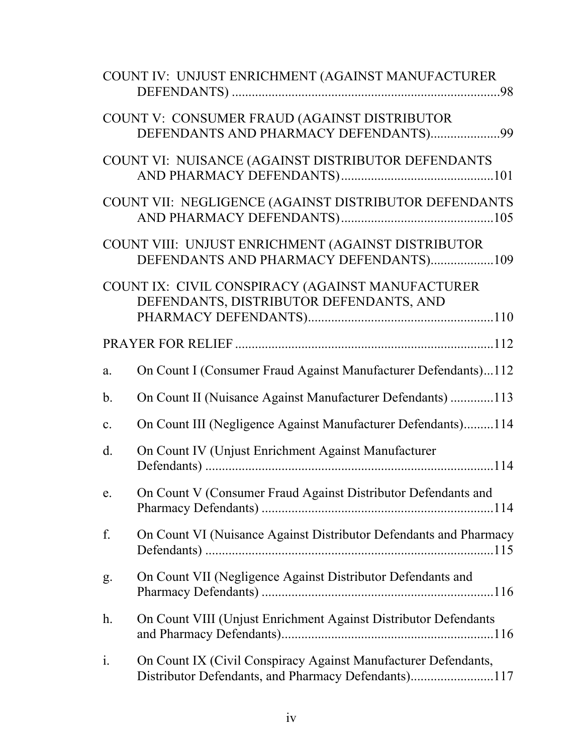|                | COUNT IV: UNJUST ENRICHMENT (AGAINST MANUFACTURER                                                                     |  |  |
|----------------|-----------------------------------------------------------------------------------------------------------------------|--|--|
|                | COUNT V: CONSUMER FRAUD (AGAINST DISTRIBUTOR<br>DEFENDANTS AND PHARMACY DEFENDANTS)99                                 |  |  |
|                | COUNT VI: NUISANCE (AGAINST DISTRIBUTOR DEFENDANTS                                                                    |  |  |
|                | COUNT VII: NEGLIGENCE (AGAINST DISTRIBUTOR DEFENDANTS                                                                 |  |  |
|                | COUNT VIII: UNJUST ENRICHMENT (AGAINST DISTRIBUTOR<br>DEFENDANTS AND PHARMACY DEFENDANTS)109                          |  |  |
|                | COUNT IX: CIVIL CONSPIRACY (AGAINST MANUFACTURER<br>DEFENDANTS, DISTRIBUTOR DEFENDANTS, AND                           |  |  |
|                |                                                                                                                       |  |  |
| a.             | On Count I (Consumer Fraud Against Manufacturer Defendants)112                                                        |  |  |
| $\mathbf b$ .  | On Count II (Nuisance Against Manufacturer Defendants) 113                                                            |  |  |
| c.             | On Count III (Negligence Against Manufacturer Defendants)114                                                          |  |  |
| $\rm d$ .      | On Count IV (Unjust Enrichment Against Manufacturer                                                                   |  |  |
| e.             | On Count V (Consumer Fraud Against Distributor Defendants and                                                         |  |  |
| f.             | On Count VI (Nuisance Against Distributor Defendants and Pharmacy                                                     |  |  |
| g.             | On Count VII (Negligence Against Distributor Defendants and                                                           |  |  |
| h.             | On Count VIII (Unjust Enrichment Against Distributor Defendants                                                       |  |  |
| $\mathbf{i}$ . | On Count IX (Civil Conspiracy Against Manufacturer Defendants,<br>Distributor Defendants, and Pharmacy Defendants)117 |  |  |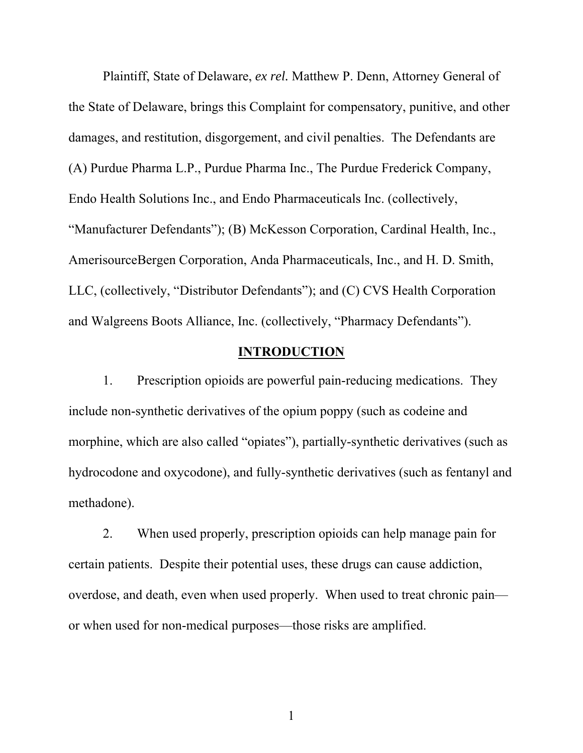Plaintiff, State of Delaware, *ex rel.* Matthew P. Denn, Attorney General of the State of Delaware, brings this Complaint for compensatory, punitive, and other damages, and restitution, disgorgement, and civil penalties. The Defendants are (A) Purdue Pharma L.P., Purdue Pharma Inc., The Purdue Frederick Company, Endo Health Solutions Inc., and Endo Pharmaceuticals Inc. (collectively, "Manufacturer Defendants"); (B) McKesson Corporation, Cardinal Health, Inc., AmerisourceBergen Corporation, Anda Pharmaceuticals, Inc., and H. D. Smith, LLC, (collectively, "Distributor Defendants"); and (C) CVS Health Corporation and Walgreens Boots Alliance, Inc. (collectively, "Pharmacy Defendants").

# **INTRODUCTION**

1. Prescription opioids are powerful pain-reducing medications. They include non-synthetic derivatives of the opium poppy (such as codeine and morphine, which are also called "opiates"), partially-synthetic derivatives (such as hydrocodone and oxycodone), and fully-synthetic derivatives (such as fentanyl and methadone).

2. When used properly, prescription opioids can help manage pain for certain patients. Despite their potential uses, these drugs can cause addiction, overdose, and death, even when used properly. When used to treat chronic pain or when used for non-medical purposes—those risks are amplified.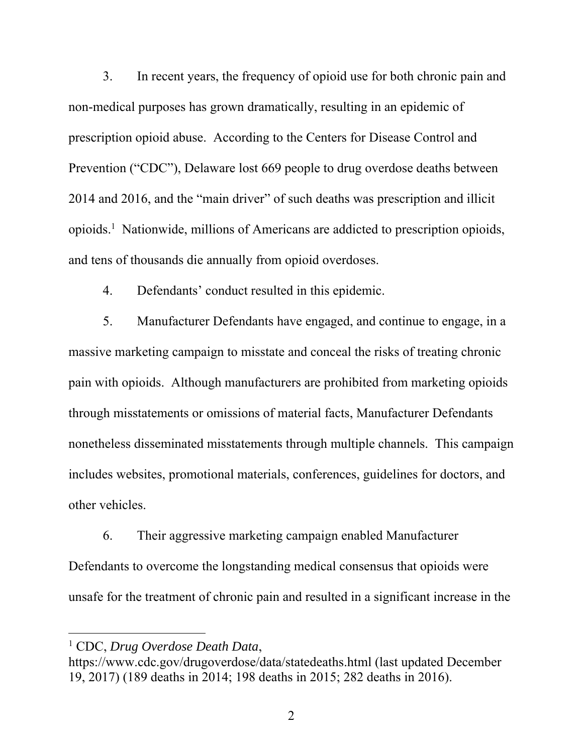3. In recent years, the frequency of opioid use for both chronic pain and non-medical purposes has grown dramatically, resulting in an epidemic of prescription opioid abuse. According to the Centers for Disease Control and Prevention ("CDC"), Delaware lost 669 people to drug overdose deaths between 2014 and 2016, and the "main driver" of such deaths was prescription and illicit opioids.1 Nationwide, millions of Americans are addicted to prescription opioids, and tens of thousands die annually from opioid overdoses.

4. Defendants' conduct resulted in this epidemic.

5. Manufacturer Defendants have engaged, and continue to engage, in a massive marketing campaign to misstate and conceal the risks of treating chronic pain with opioids. Although manufacturers are prohibited from marketing opioids through misstatements or omissions of material facts, Manufacturer Defendants nonetheless disseminated misstatements through multiple channels. This campaign includes websites, promotional materials, conferences, guidelines for doctors, and other vehicles.

6. Their aggressive marketing campaign enabled Manufacturer Defendants to overcome the longstanding medical consensus that opioids were unsafe for the treatment of chronic pain and resulted in a significant increase in the

<sup>1</sup> CDC, *Drug Overdose Death Data*,

https://www.cdc.gov/drugoverdose/data/statedeaths.html (last updated December 19, 2017) (189 deaths in 2014; 198 deaths in 2015; 282 deaths in 2016).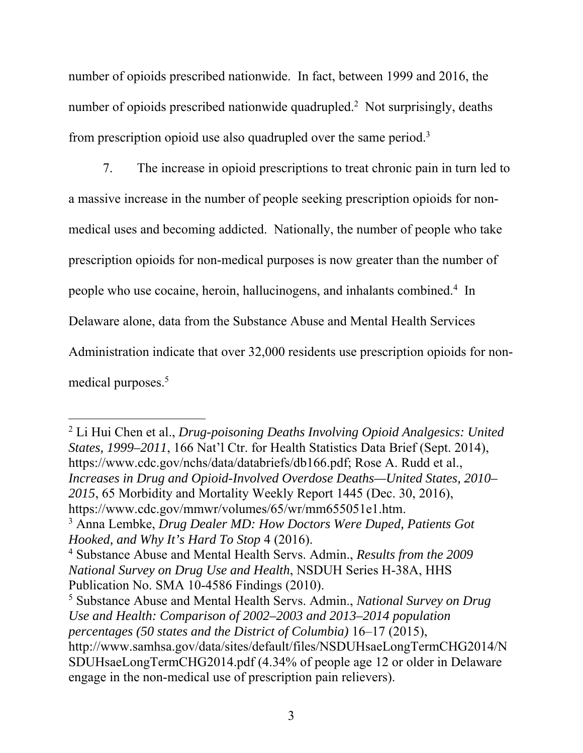number of opioids prescribed nationwide. In fact, between 1999 and 2016, the number of opioids prescribed nationwide quadrupled.<sup>2</sup> Not surprisingly, deaths from prescription opioid use also quadrupled over the same period.<sup>3</sup>

7. The increase in opioid prescriptions to treat chronic pain in turn led to a massive increase in the number of people seeking prescription opioids for nonmedical uses and becoming addicted. Nationally, the number of people who take prescription opioids for non-medical purposes is now greater than the number of people who use cocaine, heroin, hallucinogens, and inhalants combined.<sup>4</sup> In Delaware alone, data from the Substance Abuse and Mental Health Services Administration indicate that over 32,000 residents use prescription opioids for nonmedical purposes.<sup>5</sup>

2 Li Hui Chen et al., *Drug-poisoning Deaths Involving Opioid Analgesics: United States, 1999–2011*, 166 Nat'l Ctr. for Health Statistics Data Brief (Sept. 2014), https://www.cdc.gov/nchs/data/databriefs/db166.pdf; Rose A. Rudd et al., *Increases in Drug and Opioid-Involved Overdose Deaths—United States, 2010– 2015*, 65 Morbidity and Mortality Weekly Report 1445 (Dec. 30, 2016), https://www.cdc.gov/mmwr/volumes/65/wr/mm655051e1.htm.

3 Anna Lembke, *Drug Dealer MD: How Doctors Were Duped, Patients Got Hooked, and Why It's Hard To Stop* 4 (2016).

<sup>4</sup> Substance Abuse and Mental Health Servs. Admin., *Results from the 2009 National Survey on Drug Use and Health*, NSDUH Series H-38A, HHS Publication No. SMA 10-4586 Findings (2010).

<sup>5</sup> Substance Abuse and Mental Health Servs. Admin., *National Survey on Drug Use and Health: Comparison of 2002–2003 and 2013–2014 population percentages (50 states and the District of Columbia)* 16–17 (2015), http://www.samhsa.gov/data/sites/default/files/NSDUHsaeLongTermCHG2014/N SDUHsaeLongTermCHG2014.pdf (4.34% of people age 12 or older in Delaware engage in the non-medical use of prescription pain relievers).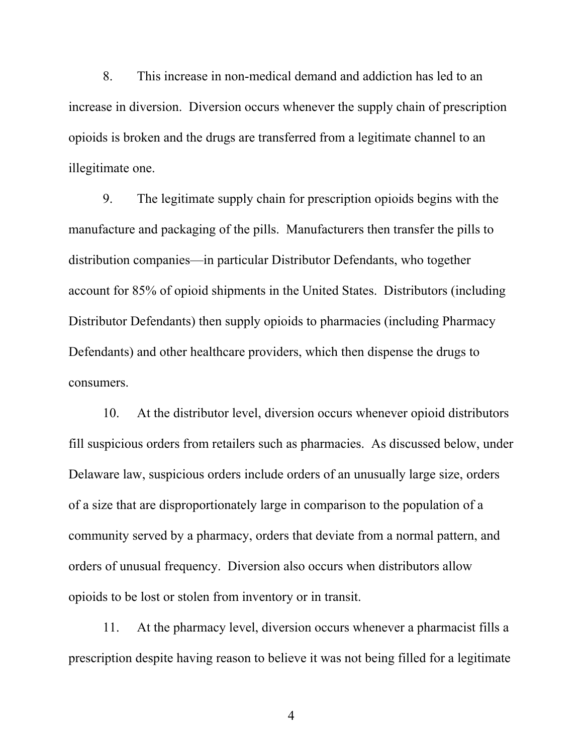8. This increase in non-medical demand and addiction has led to an increase in diversion. Diversion occurs whenever the supply chain of prescription opioids is broken and the drugs are transferred from a legitimate channel to an illegitimate one.

9. The legitimate supply chain for prescription opioids begins with the manufacture and packaging of the pills. Manufacturers then transfer the pills to distribution companies—in particular Distributor Defendants, who together account for 85% of opioid shipments in the United States. Distributors (including Distributor Defendants) then supply opioids to pharmacies (including Pharmacy Defendants) and other healthcare providers, which then dispense the drugs to consumers.

10. At the distributor level, diversion occurs whenever opioid distributors fill suspicious orders from retailers such as pharmacies. As discussed below, under Delaware law, suspicious orders include orders of an unusually large size, orders of a size that are disproportionately large in comparison to the population of a community served by a pharmacy, orders that deviate from a normal pattern, and orders of unusual frequency. Diversion also occurs when distributors allow opioids to be lost or stolen from inventory or in transit.

11. At the pharmacy level, diversion occurs whenever a pharmacist fills a prescription despite having reason to believe it was not being filled for a legitimate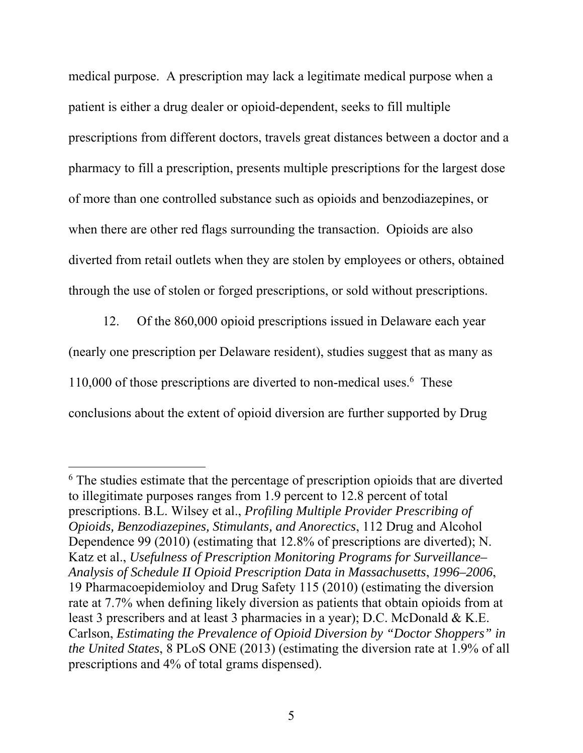medical purpose. A prescription may lack a legitimate medical purpose when a patient is either a drug dealer or opioid-dependent, seeks to fill multiple prescriptions from different doctors, travels great distances between a doctor and a pharmacy to fill a prescription, presents multiple prescriptions for the largest dose of more than one controlled substance such as opioids and benzodiazepines, or when there are other red flags surrounding the transaction. Opioids are also diverted from retail outlets when they are stolen by employees or others, obtained through the use of stolen or forged prescriptions, or sold without prescriptions.

12. Of the 860,000 opioid prescriptions issued in Delaware each year (nearly one prescription per Delaware resident), studies suggest that as many as 110,000 of those prescriptions are diverted to non-medical uses. 6 These conclusions about the extent of opioid diversion are further supported by Drug

<sup>&</sup>lt;sup>6</sup> The studies estimate that the percentage of prescription opioids that are diverted to illegitimate purposes ranges from 1.9 percent to 12.8 percent of total prescriptions. B.L. Wilsey et al., *Profiling Multiple Provider Prescribing of Opioids, Benzodiazepines, Stimulants, and Anorectics*, 112 Drug and Alcohol Dependence 99 (2010) (estimating that 12.8% of prescriptions are diverted); N. Katz et al., *Usefulness of Prescription Monitoring Programs for Surveillance– Analysis of Schedule II Opioid Prescription Data in Massachusetts*, *1996–2006*, 19 Pharmacoepidemioloy and Drug Safety 115 (2010) (estimating the diversion rate at 7.7% when defining likely diversion as patients that obtain opioids from at least 3 prescribers and at least 3 pharmacies in a year); D.C. McDonald & K.E. Carlson, *Estimating the Prevalence of Opioid Diversion by "Doctor Shoppers" in the United States*, 8 PLoS ONE (2013) (estimating the diversion rate at 1.9% of all prescriptions and 4% of total grams dispensed).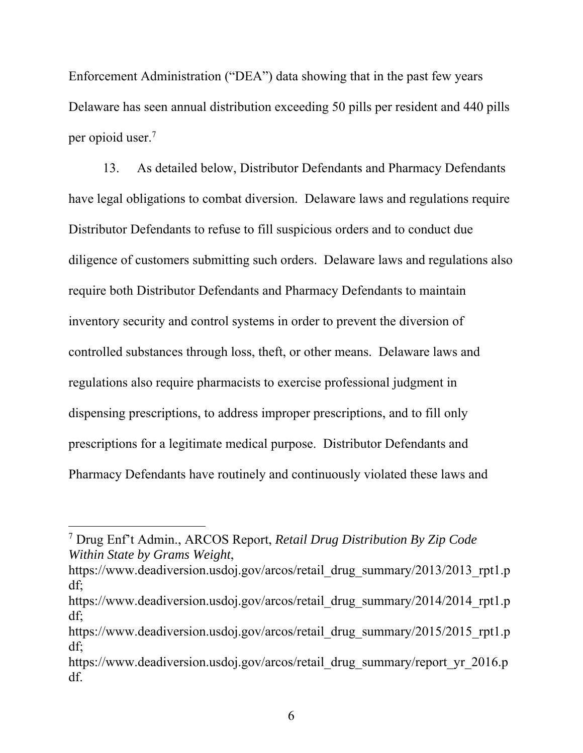Enforcement Administration ("DEA") data showing that in the past few years Delaware has seen annual distribution exceeding 50 pills per resident and 440 pills per opioid user.7

13. As detailed below, Distributor Defendants and Pharmacy Defendants have legal obligations to combat diversion. Delaware laws and regulations require Distributor Defendants to refuse to fill suspicious orders and to conduct due diligence of customers submitting such orders. Delaware laws and regulations also require both Distributor Defendants and Pharmacy Defendants to maintain inventory security and control systems in order to prevent the diversion of controlled substances through loss, theft, or other means. Delaware laws and regulations also require pharmacists to exercise professional judgment in dispensing prescriptions, to address improper prescriptions, and to fill only prescriptions for a legitimate medical purpose. Distributor Defendants and Pharmacy Defendants have routinely and continuously violated these laws and

<sup>7</sup> Drug Enf't Admin., ARCOS Report, *Retail Drug Distribution By Zip Code Within State by Grams Weight*,

https://www.deadiversion.usdoj.gov/arcos/retail\_drug\_summary/2013/2013\_rpt1.p df;

https://www.deadiversion.usdoj.gov/arcos/retail\_drug\_summary/2014/2014\_rpt1.p df;

https://www.deadiversion.usdoj.gov/arcos/retail\_drug\_summary/2015/2015\_rpt1.p df;

https://www.deadiversion.usdoj.gov/arcos/retail\_drug\_summary/report\_yr\_2016.p df.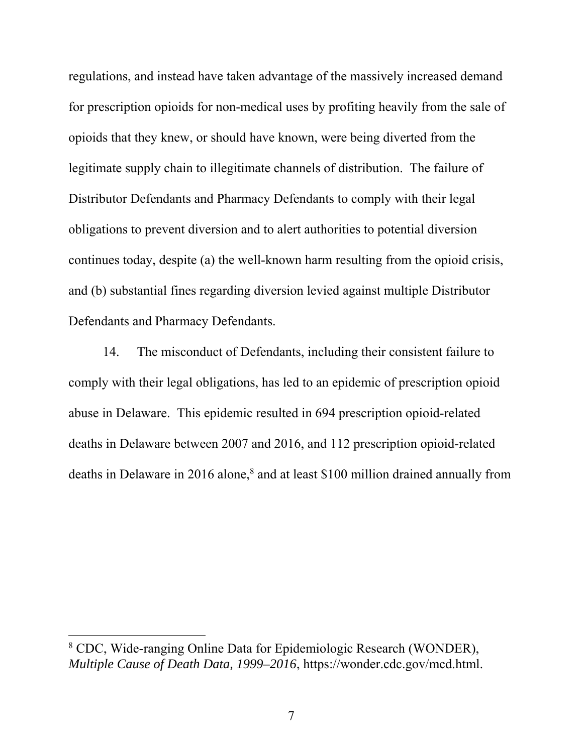regulations, and instead have taken advantage of the massively increased demand for prescription opioids for non-medical uses by profiting heavily from the sale of opioids that they knew, or should have known, were being diverted from the legitimate supply chain to illegitimate channels of distribution. The failure of Distributor Defendants and Pharmacy Defendants to comply with their legal obligations to prevent diversion and to alert authorities to potential diversion continues today, despite (a) the well-known harm resulting from the opioid crisis, and (b) substantial fines regarding diversion levied against multiple Distributor Defendants and Pharmacy Defendants.

14. The misconduct of Defendants, including their consistent failure to comply with their legal obligations, has led to an epidemic of prescription opioid abuse in Delaware. This epidemic resulted in 694 prescription opioid-related deaths in Delaware between 2007 and 2016, and 112 prescription opioid-related deaths in Delaware in 2016 alone,<sup>8</sup> and at least \$100 million drained annually from

<sup>&</sup>lt;sup>8</sup> CDC, Wide-ranging Online Data for Epidemiologic Research (WONDER), *Multiple Cause of Death Data, 1999–2016*, https://wonder.cdc.gov/mcd.html.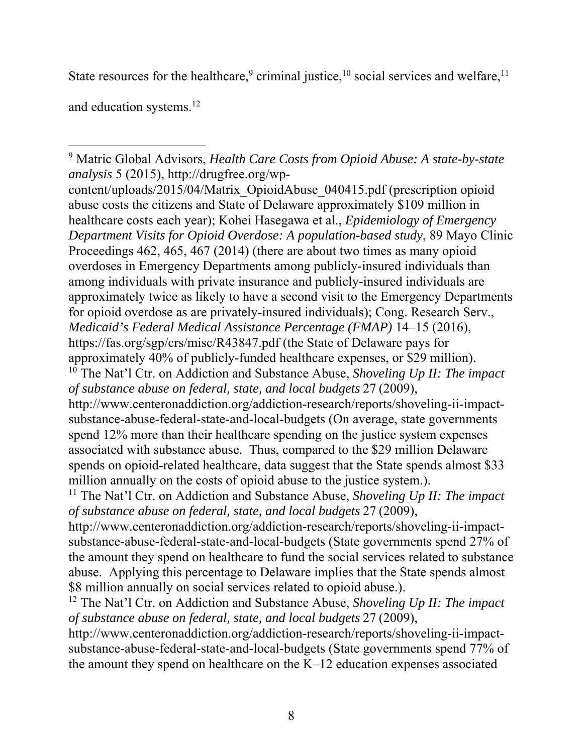State resources for the healthcare,<sup>9</sup> criminal justice,<sup>10</sup> social services and welfare,<sup>11</sup>

and education systems.12

 $\overline{a}$ 9 Matric Global Advisors, *Health Care Costs from Opioid Abuse: A state-by-state analysis* 5 (2015), http://drugfree.org/wp-

content/uploads/2015/04/Matrix\_OpioidAbuse\_040415.pdf (prescription opioid abuse costs the citizens and State of Delaware approximately \$109 million in healthcare costs each year); Kohei Hasegawa et al., *Epidemiology of Emergency Department Visits for Opioid Overdose: A population-based study*, 89 Mayo Clinic Proceedings 462, 465, 467 (2014) (there are about two times as many opioid overdoses in Emergency Departments among publicly-insured individuals than among individuals with private insurance and publicly-insured individuals are approximately twice as likely to have a second visit to the Emergency Departments for opioid overdose as are privately-insured individuals); Cong. Research Serv., *Medicaid's Federal Medical Assistance Percentage (FMAP)* 14–15 (2016), https://fas.org/sgp/crs/misc/R43847.pdf (the State of Delaware pays for approximately 40% of publicly-funded healthcare expenses, or \$29 million). 10 The Nat'l Ctr. on Addiction and Substance Abuse, *Shoveling Up II: The impact of substance abuse on federal, state, and local budgets* 27 (2009), http://www.centeronaddiction.org/addiction-research/reports/shoveling-ii-impactsubstance-abuse-federal-state-and-local-budgets (On average, state governments spend 12% more than their healthcare spending on the justice system expenses associated with substance abuse. Thus, compared to the \$29 million Delaware spends on opioid-related healthcare, data suggest that the State spends almost \$33 million annually on the costs of opioid abuse to the justice system.).

<sup>11</sup> The Nat'l Ctr. on Addiction and Substance Abuse, *Shoveling Up II: The impact of substance abuse on federal, state, and local budgets* 27 (2009),

http://www.centeronaddiction.org/addiction-research/reports/shoveling-ii-impactsubstance-abuse-federal-state-and-local-budgets (State governments spend 27% of the amount they spend on healthcare to fund the social services related to substance abuse. Applying this percentage to Delaware implies that the State spends almost \$8 million annually on social services related to opioid abuse.).

<sup>12</sup> The Nat'l Ctr. on Addiction and Substance Abuse, *Shoveling Up II: The impact of substance abuse on federal, state, and local budgets* 27 (2009),

http://www.centeronaddiction.org/addiction-research/reports/shoveling-ii-impactsubstance-abuse-federal-state-and-local-budgets (State governments spend 77% of the amount they spend on healthcare on the K–12 education expenses associated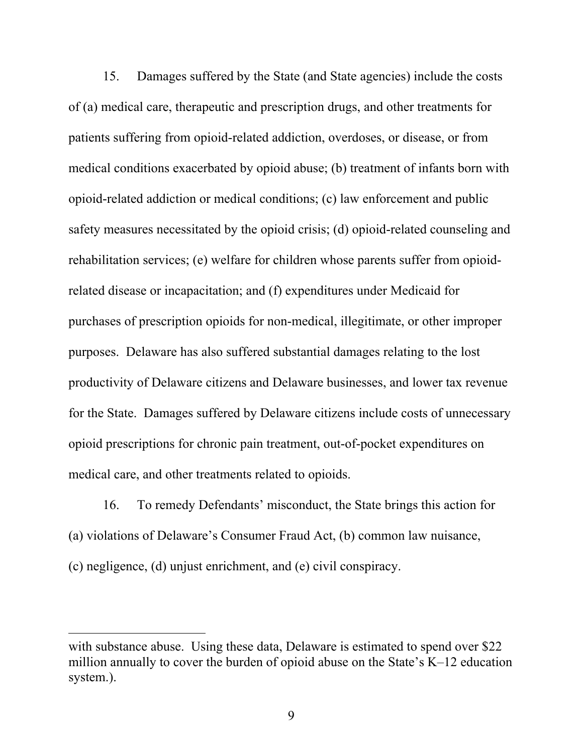15. Damages suffered by the State (and State agencies) include the costs of (a) medical care, therapeutic and prescription drugs, and other treatments for patients suffering from opioid-related addiction, overdoses, or disease, or from medical conditions exacerbated by opioid abuse; (b) treatment of infants born with opioid-related addiction or medical conditions; (c) law enforcement and public safety measures necessitated by the opioid crisis; (d) opioid-related counseling and rehabilitation services; (e) welfare for children whose parents suffer from opioidrelated disease or incapacitation; and (f) expenditures under Medicaid for purchases of prescription opioids for non-medical, illegitimate, or other improper purposes. Delaware has also suffered substantial damages relating to the lost productivity of Delaware citizens and Delaware businesses, and lower tax revenue for the State. Damages suffered by Delaware citizens include costs of unnecessary opioid prescriptions for chronic pain treatment, out-of-pocket expenditures on medical care, and other treatments related to opioids.

16. To remedy Defendants' misconduct, the State brings this action for (a) violations of Delaware's Consumer Fraud Act, (b) common law nuisance, (c) negligence, (d) unjust enrichment, and (e) civil conspiracy.

with substance abuse. Using these data, Delaware is estimated to spend over \$22 million annually to cover the burden of opioid abuse on the State's K–12 education system.).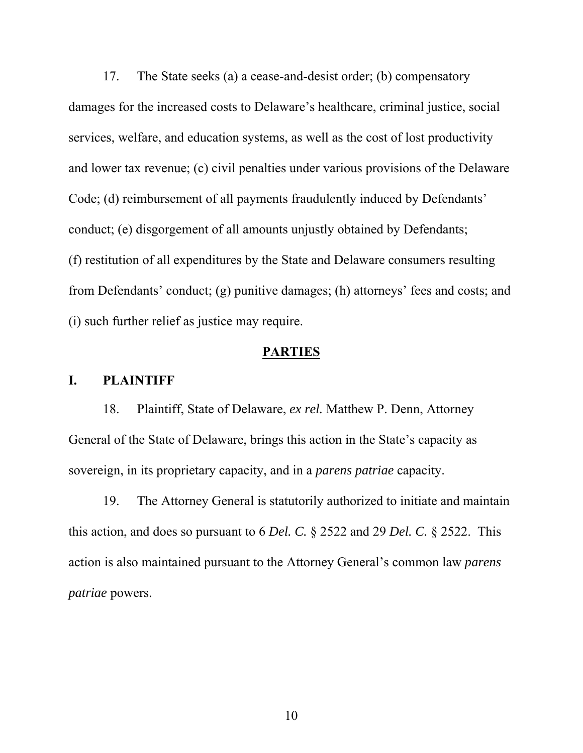17. The State seeks (a) a cease-and-desist order; (b) compensatory damages for the increased costs to Delaware's healthcare, criminal justice, social services, welfare, and education systems, as well as the cost of lost productivity and lower tax revenue; (c) civil penalties under various provisions of the Delaware Code; (d) reimbursement of all payments fraudulently induced by Defendants' conduct; (e) disgorgement of all amounts unjustly obtained by Defendants; (f) restitution of all expenditures by the State and Delaware consumers resulting from Defendants' conduct; (g) punitive damages; (h) attorneys' fees and costs; and (i) such further relief as justice may require.

### **PARTIES**

### **I. PLAINTIFF**

18. Plaintiff, State of Delaware, *ex rel.* Matthew P. Denn, Attorney General of the State of Delaware, brings this action in the State's capacity as sovereign, in its proprietary capacity, and in a *parens patriae* capacity.

19. The Attorney General is statutorily authorized to initiate and maintain this action, and does so pursuant to 6 *Del. C.* § 2522 and 29 *Del. C.* § 2522. This action is also maintained pursuant to the Attorney General's common law *parens patriae* powers.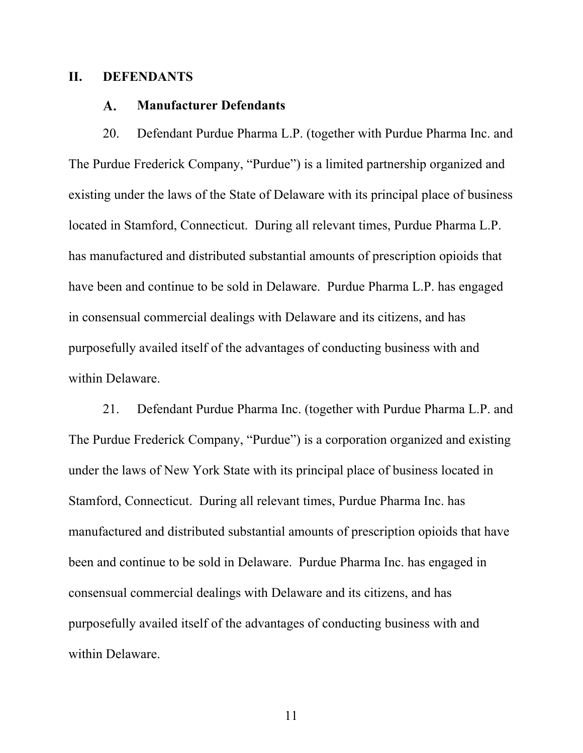### **II. DEFENDANTS**

#### **Manufacturer Defendants**  A.

20. Defendant Purdue Pharma L.P. (together with Purdue Pharma Inc. and The Purdue Frederick Company, "Purdue") is a limited partnership organized and existing under the laws of the State of Delaware with its principal place of business located in Stamford, Connecticut. During all relevant times, Purdue Pharma L.P. has manufactured and distributed substantial amounts of prescription opioids that have been and continue to be sold in Delaware. Purdue Pharma L.P. has engaged in consensual commercial dealings with Delaware and its citizens, and has purposefully availed itself of the advantages of conducting business with and within Delaware.

21. Defendant Purdue Pharma Inc. (together with Purdue Pharma L.P. and The Purdue Frederick Company, "Purdue") is a corporation organized and existing under the laws of New York State with its principal place of business located in Stamford, Connecticut. During all relevant times, Purdue Pharma Inc. has manufactured and distributed substantial amounts of prescription opioids that have been and continue to be sold in Delaware. Purdue Pharma Inc. has engaged in consensual commercial dealings with Delaware and its citizens, and has purposefully availed itself of the advantages of conducting business with and within Delaware.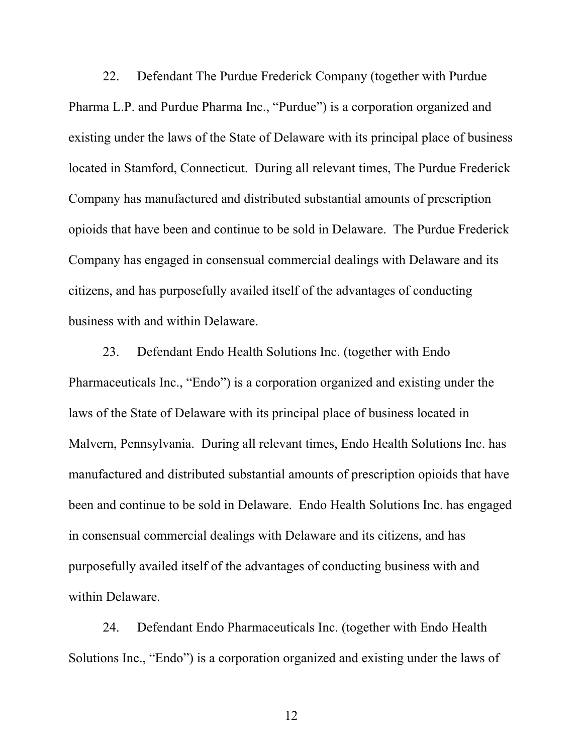22. Defendant The Purdue Frederick Company (together with Purdue Pharma L.P. and Purdue Pharma Inc., "Purdue") is a corporation organized and existing under the laws of the State of Delaware with its principal place of business located in Stamford, Connecticut. During all relevant times, The Purdue Frederick Company has manufactured and distributed substantial amounts of prescription opioids that have been and continue to be sold in Delaware. The Purdue Frederick Company has engaged in consensual commercial dealings with Delaware and its citizens, and has purposefully availed itself of the advantages of conducting business with and within Delaware.

23. Defendant Endo Health Solutions Inc. (together with Endo Pharmaceuticals Inc., "Endo") is a corporation organized and existing under the laws of the State of Delaware with its principal place of business located in Malvern, Pennsylvania. During all relevant times, Endo Health Solutions Inc. has manufactured and distributed substantial amounts of prescription opioids that have been and continue to be sold in Delaware. Endo Health Solutions Inc. has engaged in consensual commercial dealings with Delaware and its citizens, and has purposefully availed itself of the advantages of conducting business with and within Delaware.

24. Defendant Endo Pharmaceuticals Inc. (together with Endo Health Solutions Inc., "Endo") is a corporation organized and existing under the laws of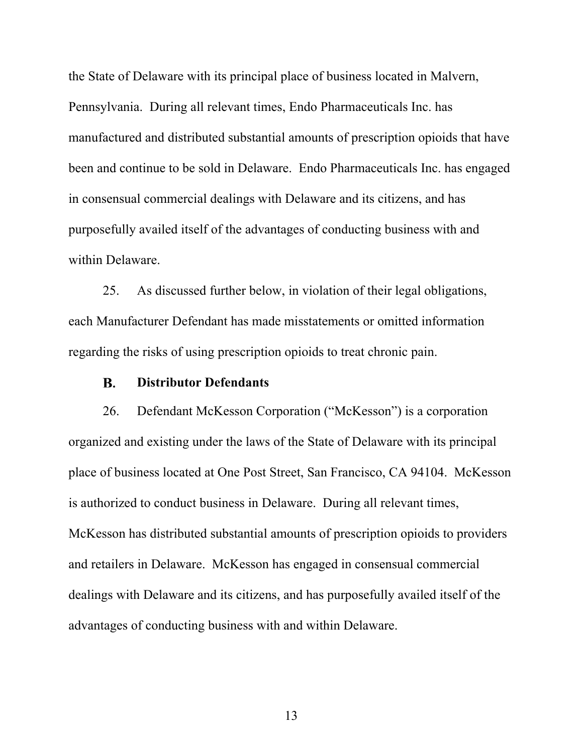the State of Delaware with its principal place of business located in Malvern, Pennsylvania. During all relevant times, Endo Pharmaceuticals Inc. has manufactured and distributed substantial amounts of prescription opioids that have been and continue to be sold in Delaware. Endo Pharmaceuticals Inc. has engaged in consensual commercial dealings with Delaware and its citizens, and has purposefully availed itself of the advantages of conducting business with and within Delaware.

25. As discussed further below, in violation of their legal obligations, each Manufacturer Defendant has made misstatements or omitted information regarding the risks of using prescription opioids to treat chronic pain.

#### **Distributor Defendants B.**

26. Defendant McKesson Corporation ("McKesson") is a corporation organized and existing under the laws of the State of Delaware with its principal place of business located at One Post Street, San Francisco, CA 94104. McKesson is authorized to conduct business in Delaware. During all relevant times, McKesson has distributed substantial amounts of prescription opioids to providers and retailers in Delaware. McKesson has engaged in consensual commercial dealings with Delaware and its citizens, and has purposefully availed itself of the advantages of conducting business with and within Delaware.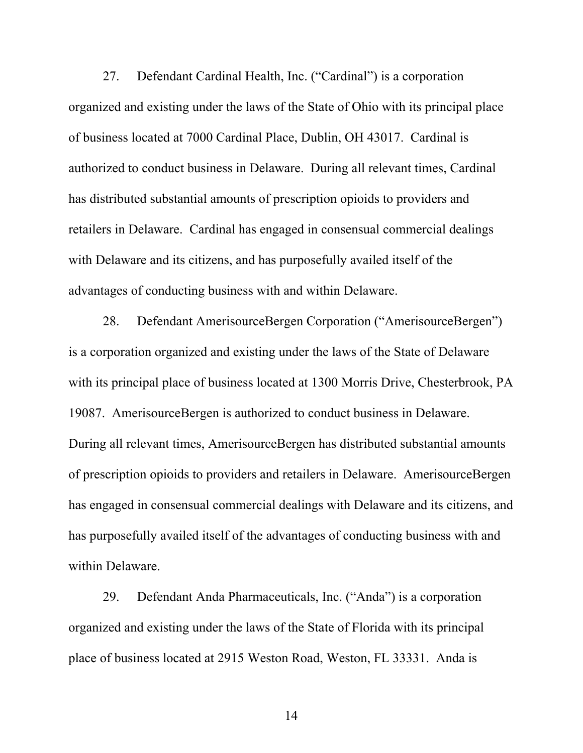27. Defendant Cardinal Health, Inc. ("Cardinal") is a corporation organized and existing under the laws of the State of Ohio with its principal place of business located at 7000 Cardinal Place, Dublin, OH 43017. Cardinal is authorized to conduct business in Delaware. During all relevant times, Cardinal has distributed substantial amounts of prescription opioids to providers and retailers in Delaware. Cardinal has engaged in consensual commercial dealings with Delaware and its citizens, and has purposefully availed itself of the advantages of conducting business with and within Delaware.

28. Defendant AmerisourceBergen Corporation ("AmerisourceBergen") is a corporation organized and existing under the laws of the State of Delaware with its principal place of business located at 1300 Morris Drive, Chesterbrook, PA 19087. AmerisourceBergen is authorized to conduct business in Delaware. During all relevant times, AmerisourceBergen has distributed substantial amounts of prescription opioids to providers and retailers in Delaware. AmerisourceBergen has engaged in consensual commercial dealings with Delaware and its citizens, and has purposefully availed itself of the advantages of conducting business with and within Delaware.

29. Defendant Anda Pharmaceuticals, Inc. ("Anda") is a corporation organized and existing under the laws of the State of Florida with its principal place of business located at 2915 Weston Road, Weston, FL 33331. Anda is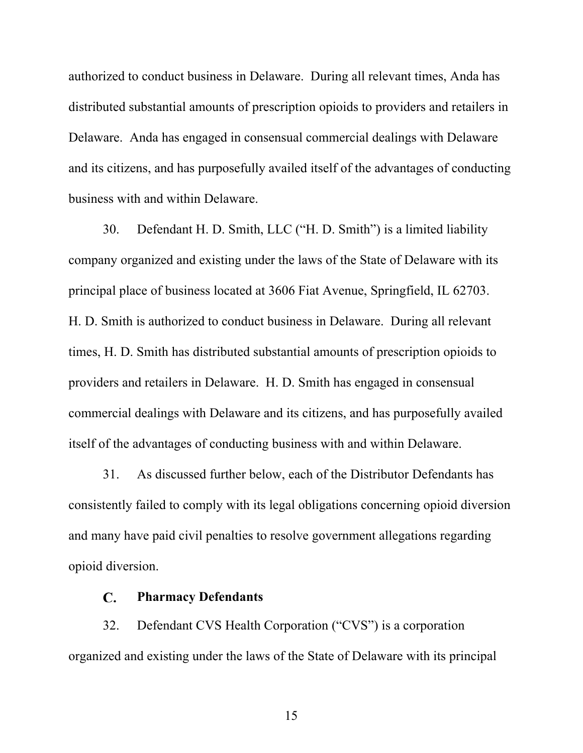authorized to conduct business in Delaware. During all relevant times, Anda has distributed substantial amounts of prescription opioids to providers and retailers in Delaware. Anda has engaged in consensual commercial dealings with Delaware and its citizens, and has purposefully availed itself of the advantages of conducting business with and within Delaware.

30. Defendant H. D. Smith, LLC ("H. D. Smith") is a limited liability company organized and existing under the laws of the State of Delaware with its principal place of business located at 3606 Fiat Avenue, Springfield, IL 62703. H. D. Smith is authorized to conduct business in Delaware. During all relevant times, H. D. Smith has distributed substantial amounts of prescription opioids to providers and retailers in Delaware. H. D. Smith has engaged in consensual commercial dealings with Delaware and its citizens, and has purposefully availed itself of the advantages of conducting business with and within Delaware.

31. As discussed further below, each of the Distributor Defendants has consistently failed to comply with its legal obligations concerning opioid diversion and many have paid civil penalties to resolve government allegations regarding opioid diversion.

#### $\mathbf{C}$ . **Pharmacy Defendants**

32. Defendant CVS Health Corporation ("CVS") is a corporation organized and existing under the laws of the State of Delaware with its principal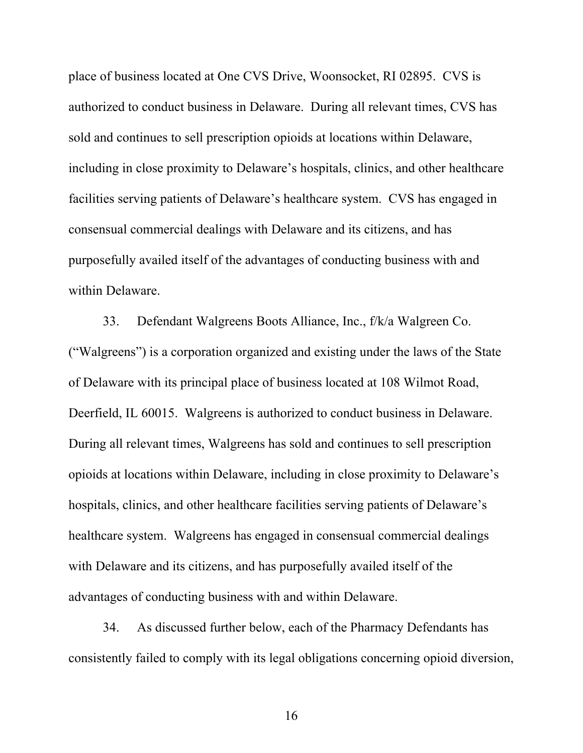place of business located at One CVS Drive, Woonsocket, RI 02895. CVS is authorized to conduct business in Delaware. During all relevant times, CVS has sold and continues to sell prescription opioids at locations within Delaware, including in close proximity to Delaware's hospitals, clinics, and other healthcare facilities serving patients of Delaware's healthcare system. CVS has engaged in consensual commercial dealings with Delaware and its citizens, and has purposefully availed itself of the advantages of conducting business with and within Delaware.

33. Defendant Walgreens Boots Alliance, Inc., f/k/a Walgreen Co. ("Walgreens") is a corporation organized and existing under the laws of the State of Delaware with its principal place of business located at 108 Wilmot Road, Deerfield, IL 60015. Walgreens is authorized to conduct business in Delaware. During all relevant times, Walgreens has sold and continues to sell prescription opioids at locations within Delaware, including in close proximity to Delaware's hospitals, clinics, and other healthcare facilities serving patients of Delaware's healthcare system. Walgreens has engaged in consensual commercial dealings with Delaware and its citizens, and has purposefully availed itself of the advantages of conducting business with and within Delaware.

34. As discussed further below, each of the Pharmacy Defendants has consistently failed to comply with its legal obligations concerning opioid diversion,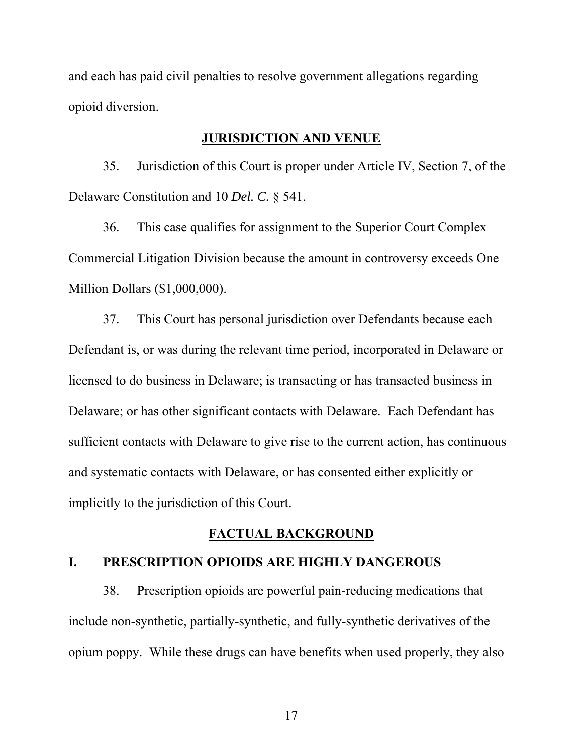and each has paid civil penalties to resolve government allegations regarding opioid diversion.

### **JURISDICTION AND VENUE**

35. Jurisdiction of this Court is proper under Article IV, Section 7, of the Delaware Constitution and 10 *Del. C.* § 541.

36. This case qualifies for assignment to the Superior Court Complex Commercial Litigation Division because the amount in controversy exceeds One Million Dollars (\$1,000,000).

37. This Court has personal jurisdiction over Defendants because each Defendant is, or was during the relevant time period, incorporated in Delaware or licensed to do business in Delaware; is transacting or has transacted business in Delaware; or has other significant contacts with Delaware. Each Defendant has sufficient contacts with Delaware to give rise to the current action, has continuous and systematic contacts with Delaware, or has consented either explicitly or implicitly to the jurisdiction of this Court.

# **FACTUAL BACKGROUND**

# **I. PRESCRIPTION OPIOIDS ARE HIGHLY DANGEROUS**

38. Prescription opioids are powerful pain-reducing medications that include non-synthetic, partially-synthetic, and fully-synthetic derivatives of the opium poppy. While these drugs can have benefits when used properly, they also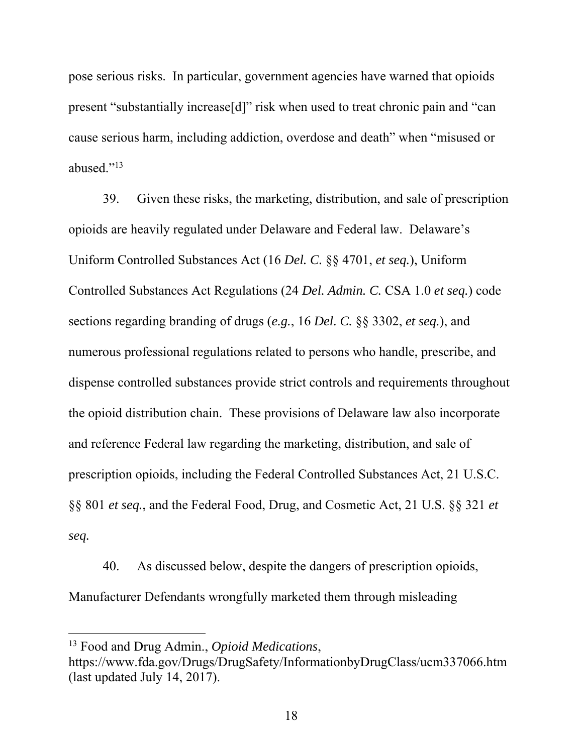pose serious risks. In particular, government agencies have warned that opioids present "substantially increase[d]" risk when used to treat chronic pain and "can cause serious harm, including addiction, overdose and death" when "misused or abused."13

39. Given these risks, the marketing, distribution, and sale of prescription opioids are heavily regulated under Delaware and Federal law. Delaware's Uniform Controlled Substances Act (16 *Del. C.* §§ 4701, *et seq.*), Uniform Controlled Substances Act Regulations (24 *Del. Admin. C.* CSA 1.0 *et seq.*) code sections regarding branding of drugs (*e.g.*, 16 *Del. C.* §§ 3302, *et seq.*), and numerous professional regulations related to persons who handle, prescribe, and dispense controlled substances provide strict controls and requirements throughout the opioid distribution chain. These provisions of Delaware law also incorporate and reference Federal law regarding the marketing, distribution, and sale of prescription opioids, including the Federal Controlled Substances Act, 21 U.S.C. §§ 801 *et seq.*, and the Federal Food, Drug, and Cosmetic Act, 21 U.S. §§ 321 *et seq.*

40. As discussed below, despite the dangers of prescription opioids, Manufacturer Defendants wrongfully marketed them through misleading

<sup>13</sup> Food and Drug Admin., *Opioid Medications*,

https://www.fda.gov/Drugs/DrugSafety/InformationbyDrugClass/ucm337066.htm (last updated July 14, 2017).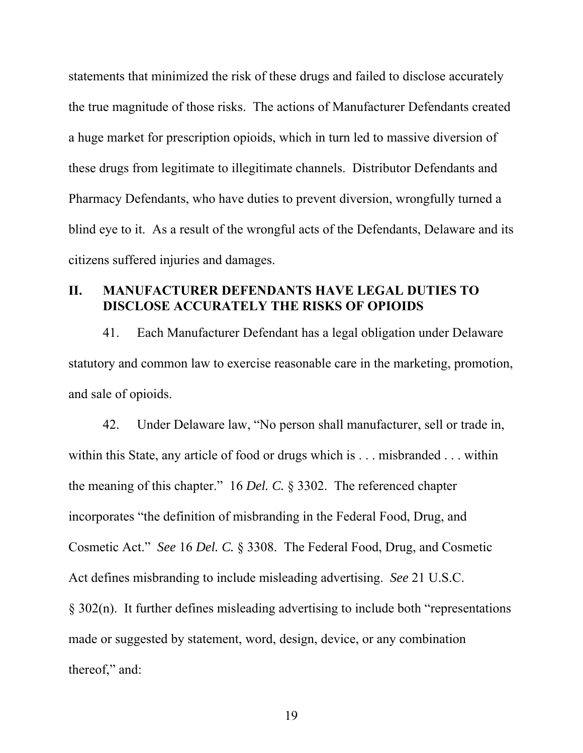statements that minimized the risk of these drugs and failed to disclose accurately the true magnitude of those risks. The actions of Manufacturer Defendants created a huge market for prescription opioids, which in turn led to massive diversion of these drugs from legitimate to illegitimate channels. Distributor Defendants and Pharmacy Defendants, who have duties to prevent diversion, wrongfully turned a blind eye to it. As a result of the wrongful acts of the Defendants, Delaware and its citizens suffered injuries and damages.

# **II. MANUFACTURER DEFENDANTS HAVE LEGAL DUTIES TO DISCLOSE ACCURATELY THE RISKS OF OPIOIDS**

41. Each Manufacturer Defendant has a legal obligation under Delaware statutory and common law to exercise reasonable care in the marketing, promotion, and sale of opioids.

42. Under Delaware law, "No person shall manufacturer, sell or trade in, within this State, any article of food or drugs which is . . . misbranded . . . within the meaning of this chapter." 16 *Del. C.* § 3302. The referenced chapter incorporates "the definition of misbranding in the Federal Food, Drug, and Cosmetic Act." *See* 16 *Del. C.* § 3308. The Federal Food, Drug, and Cosmetic Act defines misbranding to include misleading advertising. *See* 21 U.S.C. § 302(n). It further defines misleading advertising to include both "representations made or suggested by statement, word, design, device, or any combination thereof," and: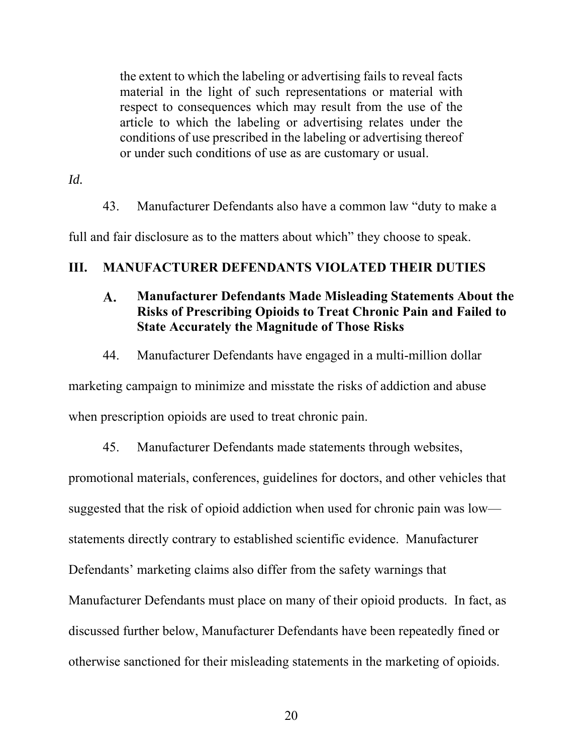the extent to which the labeling or advertising fails to reveal facts material in the light of such representations or material with respect to consequences which may result from the use of the article to which the labeling or advertising relates under the conditions of use prescribed in the labeling or advertising thereof or under such conditions of use as are customary or usual.

*Id.*

43. Manufacturer Defendants also have a common law "duty to make a

full and fair disclosure as to the matters about which" they choose to speak.

# **III. MANUFACTURER DEFENDANTS VIOLATED THEIR DUTIES**

#### $\mathbf{A}$ . **Manufacturer Defendants Made Misleading Statements About the Risks of Prescribing Opioids to Treat Chronic Pain and Failed to State Accurately the Magnitude of Those Risks**

44. Manufacturer Defendants have engaged in a multi-million dollar

marketing campaign to minimize and misstate the risks of addiction and abuse when prescription opioids are used to treat chronic pain.

45. Manufacturer Defendants made statements through websites,

promotional materials, conferences, guidelines for doctors, and other vehicles that suggested that the risk of opioid addiction when used for chronic pain was low—

statements directly contrary to established scientific evidence. Manufacturer

Defendants' marketing claims also differ from the safety warnings that

Manufacturer Defendants must place on many of their opioid products. In fact, as

discussed further below, Manufacturer Defendants have been repeatedly fined or

otherwise sanctioned for their misleading statements in the marketing of opioids.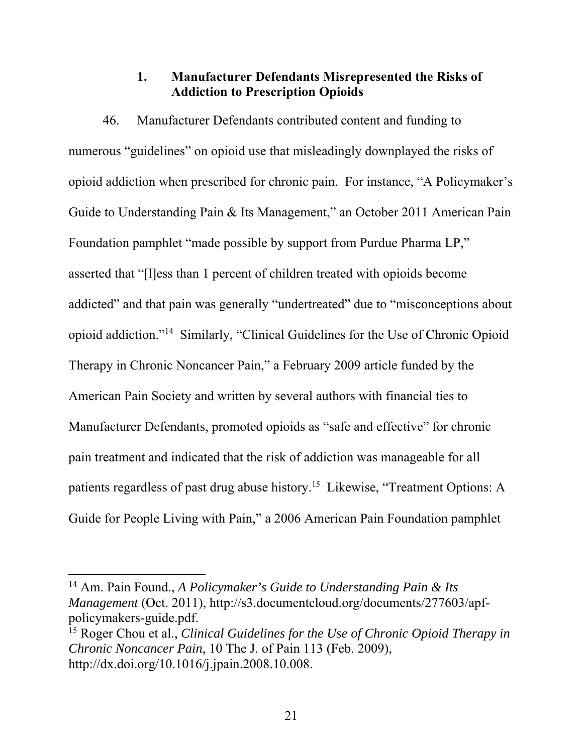# **1. Manufacturer Defendants Misrepresented the Risks of Addiction to Prescription Opioids**

46. Manufacturer Defendants contributed content and funding to numerous "guidelines" on opioid use that misleadingly downplayed the risks of opioid addiction when prescribed for chronic pain. For instance, "A Policymaker's Guide to Understanding Pain & Its Management," an October 2011 American Pain Foundation pamphlet "made possible by support from Purdue Pharma LP," asserted that "[l]ess than 1 percent of children treated with opioids become addicted" and that pain was generally "undertreated" due to "misconceptions about opioid addiction."14 Similarly, "Clinical Guidelines for the Use of Chronic Opioid Therapy in Chronic Noncancer Pain," a February 2009 article funded by the American Pain Society and written by several authors with financial ties to Manufacturer Defendants, promoted opioids as "safe and effective" for chronic pain treatment and indicated that the risk of addiction was manageable for all patients regardless of past drug abuse history.15 Likewise, "Treatment Options: A Guide for People Living with Pain," a 2006 American Pain Foundation pamphlet

<sup>14</sup> Am. Pain Found., *A Policymaker's Guide to Understanding Pain & Its Management* (Oct. 2011), http://s3.documentcloud.org/documents/277603/apfpolicymakers-guide.pdf.

<sup>&</sup>lt;sup>15</sup> Roger Chou et al., *Clinical Guidelines for the Use of Chronic Opioid Therapy in Chronic Noncancer Pain*, 10 The J. of Pain 113 (Feb. 2009), http://dx.doi.org/10.1016/j.jpain.2008.10.008.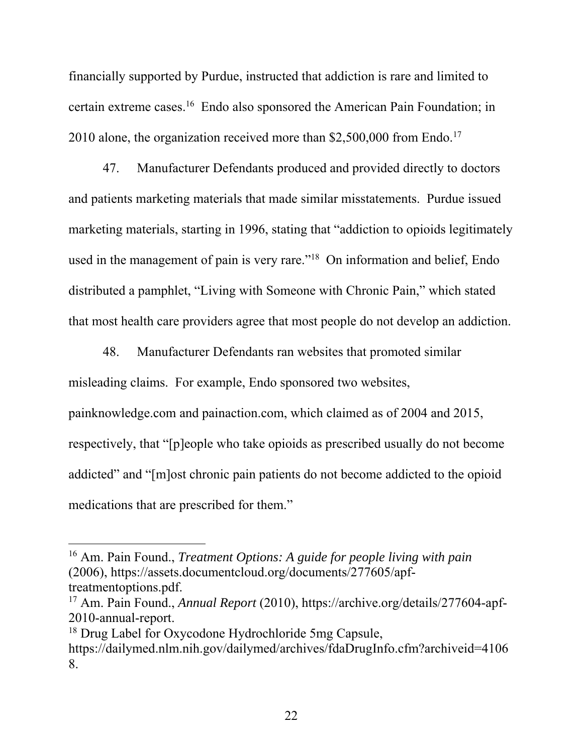financially supported by Purdue, instructed that addiction is rare and limited to certain extreme cases.16 Endo also sponsored the American Pain Foundation; in 2010 alone, the organization received more than  $$2,500,000$  from Endo.<sup>17</sup>

47. Manufacturer Defendants produced and provided directly to doctors and patients marketing materials that made similar misstatements. Purdue issued marketing materials, starting in 1996, stating that "addiction to opioids legitimately used in the management of pain is very rare."<sup>18</sup> On information and belief, Endo distributed a pamphlet, "Living with Someone with Chronic Pain," which stated that most health care providers agree that most people do not develop an addiction.

48. Manufacturer Defendants ran websites that promoted similar misleading claims. For example, Endo sponsored two websites,

painknowledge.com and painaction.com, which claimed as of 2004 and 2015,

respectively, that "[p]eople who take opioids as prescribed usually do not become

addicted" and "[m]ost chronic pain patients do not become addicted to the opioid

medications that are prescribed for them."

<sup>16</sup> Am. Pain Found., *Treatment Options: A guide for people living with pain* (2006), https://assets.documentcloud.org/documents/277605/apftreatmentoptions.pdf.

<sup>17</sup> Am. Pain Found., *Annual Report* (2010), https://archive.org/details/277604-apf-2010-annual-report.

<sup>18</sup> Drug Label for Oxycodone Hydrochloride 5mg Capsule,

https://dailymed.nlm.nih.gov/dailymed/archives/fdaDrugInfo.cfm?archiveid=4106 8.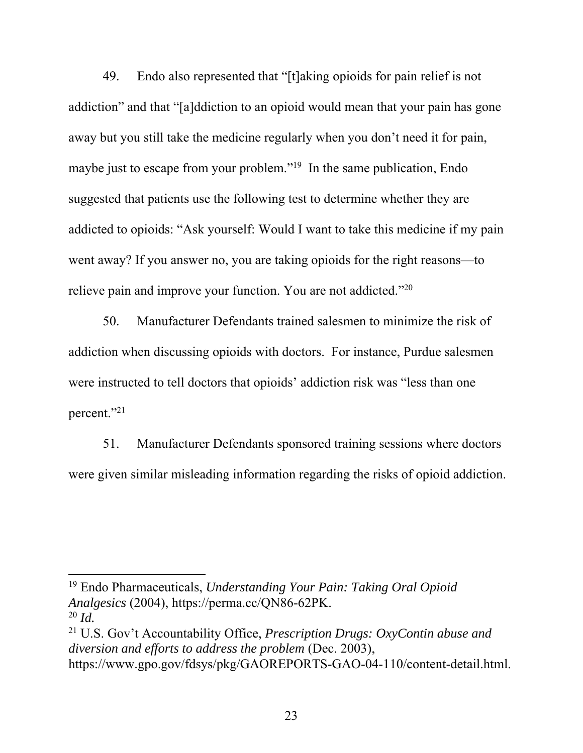49. Endo also represented that "[t]aking opioids for pain relief is not addiction" and that "[a]ddiction to an opioid would mean that your pain has gone away but you still take the medicine regularly when you don't need it for pain, maybe just to escape from your problem."<sup>19</sup> In the same publication, Endo suggested that patients use the following test to determine whether they are addicted to opioids: "Ask yourself: Would I want to take this medicine if my pain went away? If you answer no, you are taking opioids for the right reasons—to relieve pain and improve your function. You are not addicted."20

50. Manufacturer Defendants trained salesmen to minimize the risk of addiction when discussing opioids with doctors. For instance, Purdue salesmen were instructed to tell doctors that opioids' addiction risk was "less than one percent."<sup>21</sup>

51. Manufacturer Defendants sponsored training sessions where doctors were given similar misleading information regarding the risks of opioid addiction.

19 Endo Pharmaceuticals, *Understanding Your Pain: Taking Oral Opioid Analgesics* (2004), https://perma.cc/QN86-62PK. <sup>20</sup> *Id.*

 $\overline{a}$ 

21 U.S. Gov't Accountability Office, *Prescription Drugs: OxyContin abuse and diversion and efforts to address the problem* (Dec. 2003), https://www.gpo.gov/fdsys/pkg/GAOREPORTS-GAO-04-110/content-detail.html.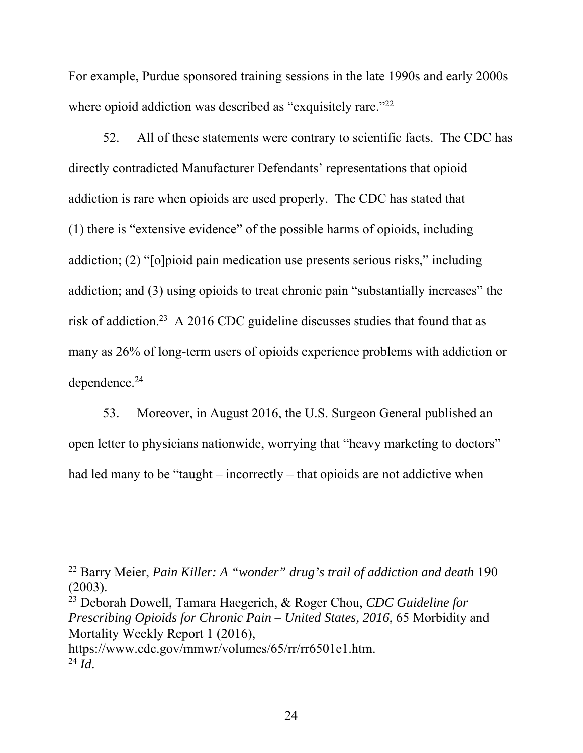For example, Purdue sponsored training sessions in the late 1990s and early 2000s where opioid addiction was described as "exquisitely rare."<sup>22</sup>

52. All of these statements were contrary to scientific facts. The CDC has directly contradicted Manufacturer Defendants' representations that opioid addiction is rare when opioids are used properly. The CDC has stated that (1) there is "extensive evidence" of the possible harms of opioids, including addiction; (2) "[o]pioid pain medication use presents serious risks," including addiction; and (3) using opioids to treat chronic pain "substantially increases" the risk of addiction.23 A 2016 CDC guideline discusses studies that found that as many as 26% of long-term users of opioids experience problems with addiction or dependence.24

53. Moreover, in August 2016, the U.S. Surgeon General published an open letter to physicians nationwide, worrying that "heavy marketing to doctors" had led many to be "taught – incorrectly – that opioids are not addictive when

 $\overline{a}$ 

23 Deborah Dowell, Tamara Haegerich, & Roger Chou, *CDC Guideline for Prescribing Opioids for Chronic Pain – United States, 2016*, 65 Morbidity and Mortality Weekly Report 1 (2016), https://www.cdc.gov/mmwr/volumes/65/rr/rr6501e1.htm.  $^{24}$   $\tilde{I}$ *d*.

<sup>22</sup> Barry Meier, *Pain Killer: A "wonder" drug's trail of addiction and death* 190 (2003).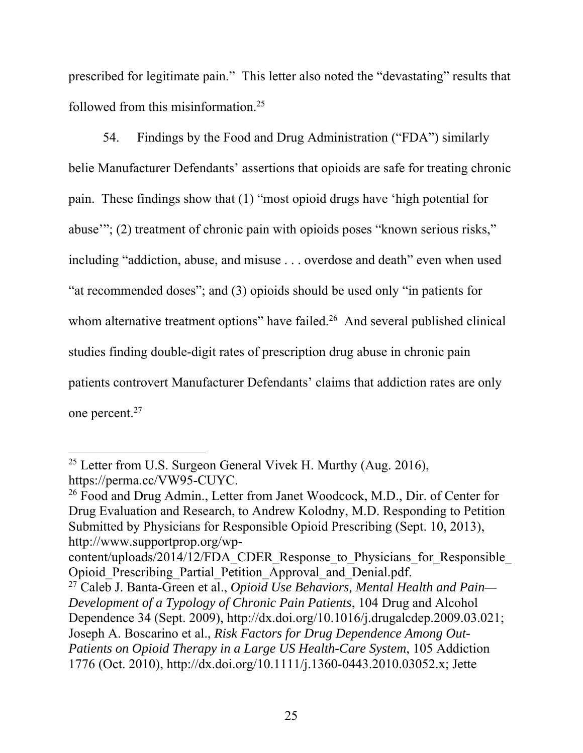prescribed for legitimate pain." This letter also noted the "devastating" results that followed from this misinformation.25

54. Findings by the Food and Drug Administration ("FDA") similarly belie Manufacturer Defendants' assertions that opioids are safe for treating chronic pain. These findings show that (1) "most opioid drugs have 'high potential for abuse'"; (2) treatment of chronic pain with opioids poses "known serious risks," including "addiction, abuse, and misuse . . . overdose and death" even when used "at recommended doses"; and (3) opioids should be used only "in patients for whom alternative treatment options" have failed.<sup>26</sup> And several published clinical studies finding double-digit rates of prescription drug abuse in chronic pain patients controvert Manufacturer Defendants' claims that addiction rates are only one percent.27

<sup>&</sup>lt;sup>25</sup> Letter from U.S. Surgeon General Vivek H. Murthy (Aug. 2016), https://perma.cc/VW95-CUYC.

<sup>&</sup>lt;sup>26</sup> Food and Drug Admin., Letter from Janet Woodcock, M.D., Dir. of Center for Drug Evaluation and Research, to Andrew Kolodny, M.D. Responding to Petition Submitted by Physicians for Responsible Opioid Prescribing (Sept. 10, 2013), http://www.supportprop.org/wp-

content/uploads/2014/12/FDA\_CDER\_Response\_to\_Physicians\_for\_Responsible\_ Opioid\_Prescribing\_Partial\_Petition\_Approval\_and\_Denial.pdf.

<sup>27</sup> Caleb J. Banta-Green et al., *Opioid Use Behaviors, Mental Health and Pain— Development of a Typology of Chronic Pain Patients*, 104 Drug and Alcohol Dependence 34 (Sept. 2009), http://dx.doi.org/10.1016/j.drugalcdep.2009.03.021; Joseph A. Boscarino et al., *Risk Factors for Drug Dependence Among Out-Patients on Opioid Therapy in a Large US Health-Care System*, 105 Addiction 1776 (Oct. 2010), http://dx.doi.org/10.1111/j.1360-0443.2010.03052.x; Jette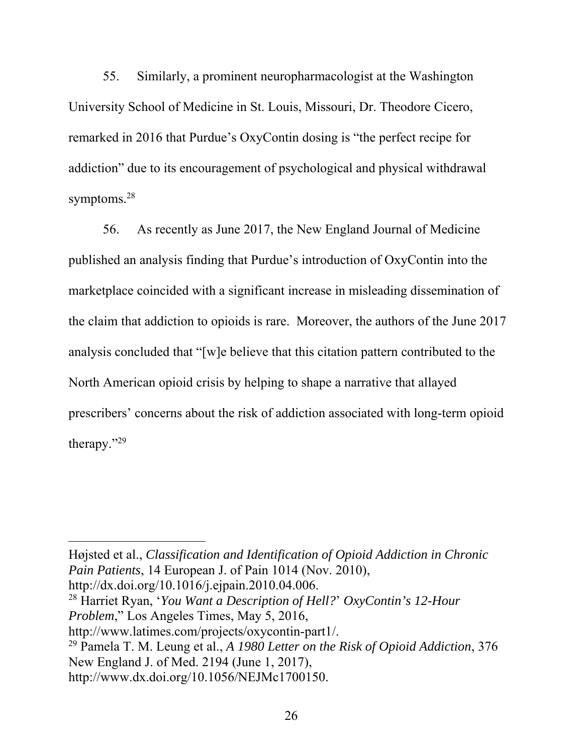55. Similarly, a prominent neuropharmacologist at the Washington University School of Medicine in St. Louis, Missouri, Dr. Theodore Cicero, remarked in 2016 that Purdue's OxyContin dosing is "the perfect recipe for addiction" due to its encouragement of psychological and physical withdrawal symptoms.<sup>28</sup>

56. As recently as June 2017, the New England Journal of Medicine published an analysis finding that Purdue's introduction of OxyContin into the marketplace coincided with a significant increase in misleading dissemination of the claim that addiction to opioids is rare. Moreover, the authors of the June 2017 analysis concluded that "[w]e believe that this citation pattern contributed to the North American opioid crisis by helping to shape a narrative that allayed prescribers' concerns about the risk of addiction associated with long-term opioid therapy."29

Højsted et al., *Classification and Identification of Opioid Addiction in Chronic Pain Patients*, 14 European J. of Pain 1014 (Nov. 2010), http://dx.doi.org/10.1016/j.ejpain.2010.04.006. 28 Harriet Ryan, '*You Want a Description of Hell?*' *OxyContin's 12-Hour Problem*," Los Angeles Times, May 5, 2016, http://www.latimes.com/projects/oxycontin-part1/. 29 Pamela T. M. Leung et al., *A 1980 Letter on the Risk of Opioid Addiction*, 376 New England J. of Med. 2194 (June 1, 2017), http://www.dx.doi.org/10.1056/NEJMc1700150.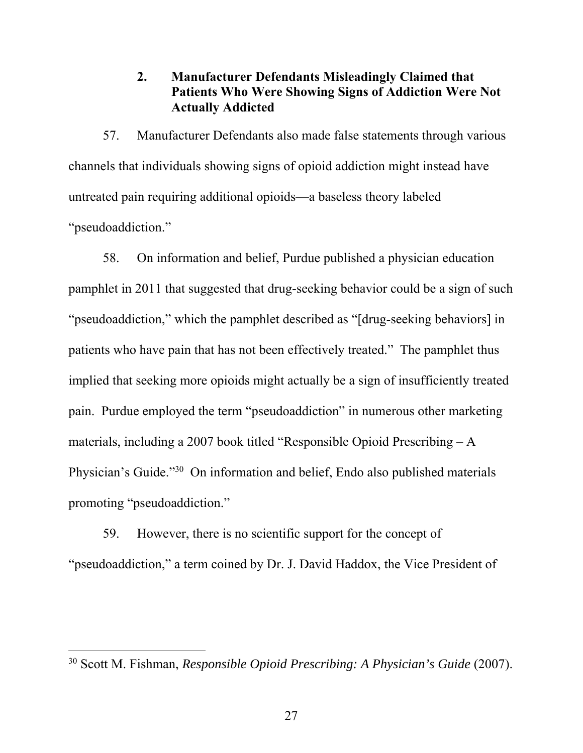# **2. Manufacturer Defendants Misleadingly Claimed that Patients Who Were Showing Signs of Addiction Were Not Actually Addicted**

57. Manufacturer Defendants also made false statements through various channels that individuals showing signs of opioid addiction might instead have untreated pain requiring additional opioids—a baseless theory labeled "pseudoaddiction."

58. On information and belief, Purdue published a physician education pamphlet in 2011 that suggested that drug-seeking behavior could be a sign of such "pseudoaddiction," which the pamphlet described as "[drug-seeking behaviors] in patients who have pain that has not been effectively treated." The pamphlet thus implied that seeking more opioids might actually be a sign of insufficiently treated pain. Purdue employed the term "pseudoaddiction" in numerous other marketing materials, including a 2007 book titled "Responsible Opioid Prescribing – A Physician's Guide."30 On information and belief, Endo also published materials promoting "pseudoaddiction."

59. However, there is no scientific support for the concept of "pseudoaddiction," a term coined by Dr. J. David Haddox, the Vice President of

<sup>30</sup> Scott M. Fishman, *Responsible Opioid Prescribing: A Physician's Guide* (2007).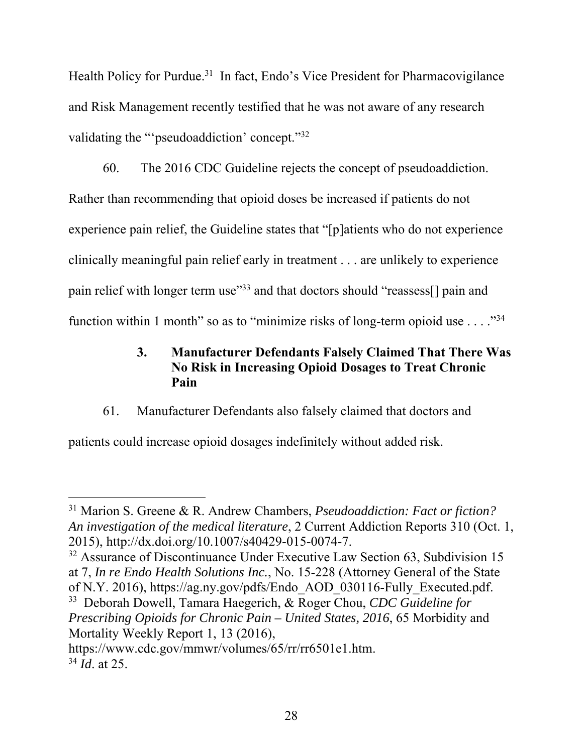Health Policy for Purdue.<sup>31</sup> In fact, Endo's Vice President for Pharmacovigilance and Risk Management recently testified that he was not aware of any research validating the "'pseudoaddiction' concept."32

60. The 2016 CDC Guideline rejects the concept of pseudoaddiction. Rather than recommending that opioid doses be increased if patients do not experience pain relief, the Guideline states that "[p]atients who do not experience clinically meaningful pain relief early in treatment . . . are unlikely to experience pain relief with longer term use"<sup>33</sup> and that doctors should "reassess<sup>[]</sup> pain and function within 1 month" so as to "minimize risks of long-term opioid use  $\dots$ ."<sup>34</sup>

# **3. Manufacturer Defendants Falsely Claimed That There Was No Risk in Increasing Opioid Dosages to Treat Chronic Pain**

61. Manufacturer Defendants also falsely claimed that doctors and

patients could increase opioid dosages indefinitely without added risk.

<sup>31</sup> Marion S. Greene & R. Andrew Chambers, *Pseudoaddiction: Fact or fiction? An investigation of the medical literature*, 2 Current Addiction Reports 310 (Oct. 1, 2015), http://dx.doi.org/10.1007/s40429-015-0074-7.

<sup>&</sup>lt;sup>32</sup> Assurance of Discontinuance Under Executive Law Section 63, Subdivision 15 at 7, *In re Endo Health Solutions Inc.*, No. 15-228 (Attorney General of the State of N.Y. 2016), https://ag.ny.gov/pdfs/Endo\_AOD\_030116-Fully\_Executed.pdf.

<sup>33</sup> Deborah Dowell, Tamara Haegerich, & Roger Chou, *CDC Guideline for Prescribing Opioids for Chronic Pain – United States, 2016*, 65 Morbidity and Mortality Weekly Report 1, 13 (2016),

https://www.cdc.gov/mmwr/volumes/65/rr/rr6501e1.htm. <sup>34</sup> *Id*. at 25.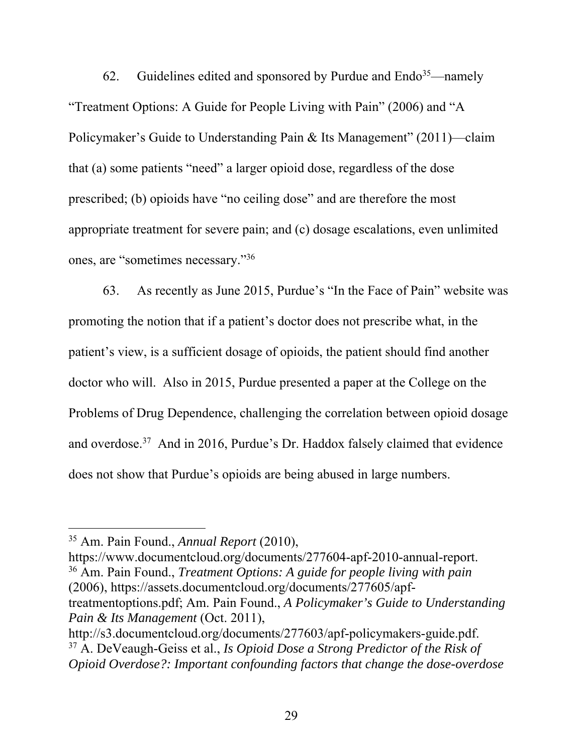62. Guidelines edited and sponsored by Purdue and  $\text{End}^{35}$ —namely "Treatment Options: A Guide for People Living with Pain" (2006) and "A Policymaker's Guide to Understanding Pain & Its Management" (2011)—claim that (a) some patients "need" a larger opioid dose, regardless of the dose prescribed; (b) opioids have "no ceiling dose" and are therefore the most appropriate treatment for severe pain; and (c) dosage escalations, even unlimited ones, are "sometimes necessary."36

63. As recently as June 2015, Purdue's "In the Face of Pain" website was promoting the notion that if a patient's doctor does not prescribe what, in the patient's view, is a sufficient dosage of opioids, the patient should find another doctor who will. Also in 2015, Purdue presented a paper at the College on the Problems of Drug Dependence, challenging the correlation between opioid dosage and overdose.<sup>37</sup> And in 2016, Purdue's Dr. Haddox falsely claimed that evidence does not show that Purdue's opioids are being abused in large numbers.

 $\overline{a}$ 

https://www.documentcloud.org/documents/277604-apf-2010-annual-report. 36 Am. Pain Found., *Treatment Options: A guide for people living with pain* (2006), https://assets.documentcloud.org/documents/277605/apftreatmentoptions.pdf; Am. Pain Found., *A Policymaker's Guide to Understanding Pain & Its Management* (Oct. 2011),

http://s3.documentcloud.org/documents/277603/apf-policymakers-guide.pdf. 37 A. DeVeaugh-Geiss et al., *Is Opioid Dose a Strong Predictor of the Risk of Opioid Overdose?: Important confounding factors that change the dose-overdose* 

<sup>35</sup> Am. Pain Found., *Annual Report* (2010),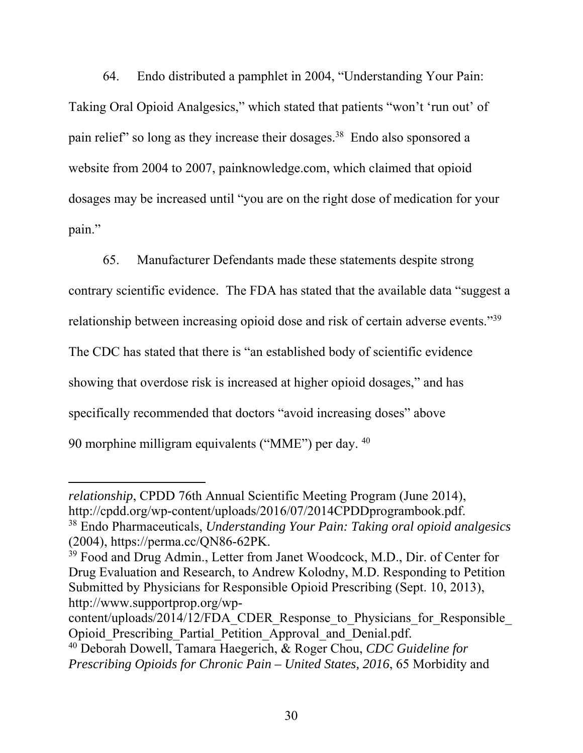64. Endo distributed a pamphlet in 2004, "Understanding Your Pain: Taking Oral Opioid Analgesics," which stated that patients "won't 'run out' of pain relief" so long as they increase their dosages.<sup>38</sup> Endo also sponsored a website from 2004 to 2007, painknowledge.com, which claimed that opioid dosages may be increased until "you are on the right dose of medication for your pain."

65. Manufacturer Defendants made these statements despite strong contrary scientific evidence. The FDA has stated that the available data "suggest a relationship between increasing opioid dose and risk of certain adverse events."39 The CDC has stated that there is "an established body of scientific evidence showing that overdose risk is increased at higher opioid dosages," and has specifically recommended that doctors "avoid increasing doses" above 90 morphine milligram equivalents ("MME") per day. 40

*relationship*, CPDD 76th Annual Scientific Meeting Program (June 2014), http://cpdd.org/wp-content/uploads/2016/07/2014CPDDprogrambook.pdf. 38 Endo Pharmaceuticals, *Understanding Your Pain: Taking oral opioid analgesics* (2004), https://perma.cc/QN86-62PK.

<sup>39</sup> Food and Drug Admin., Letter from Janet Woodcock, M.D., Dir. of Center for Drug Evaluation and Research, to Andrew Kolodny, M.D. Responding to Petition Submitted by Physicians for Responsible Opioid Prescribing (Sept. 10, 2013), http://www.supportprop.org/wp-

content/uploads/2014/12/FDA\_CDER\_Response\_to\_Physicians\_for\_Responsible Opioid Prescribing Partial Petition Approval and Denial.pdf.

<sup>40</sup> Deborah Dowell, Tamara Haegerich, & Roger Chou, *CDC Guideline for Prescribing Opioids for Chronic Pain – United States, 2016*, 65 Morbidity and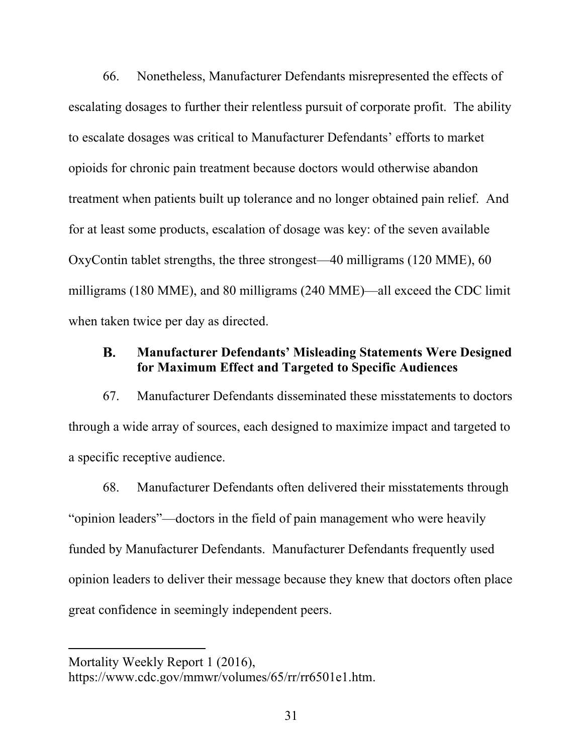66. Nonetheless, Manufacturer Defendants misrepresented the effects of escalating dosages to further their relentless pursuit of corporate profit. The ability to escalate dosages was critical to Manufacturer Defendants' efforts to market opioids for chronic pain treatment because doctors would otherwise abandon treatment when patients built up tolerance and no longer obtained pain relief. And for at least some products, escalation of dosage was key: of the seven available OxyContin tablet strengths, the three strongest—40 milligrams (120 MME), 60 milligrams (180 MME), and 80 milligrams (240 MME)—all exceed the CDC limit when taken twice per day as directed.

#### **Manufacturer Defendants' Misleading Statements Were Designed**  В. **for Maximum Effect and Targeted to Specific Audiences**

67. Manufacturer Defendants disseminated these misstatements to doctors through a wide array of sources, each designed to maximize impact and targeted to a specific receptive audience.

68. Manufacturer Defendants often delivered their misstatements through "opinion leaders"—doctors in the field of pain management who were heavily funded by Manufacturer Defendants. Manufacturer Defendants frequently used opinion leaders to deliver their message because they knew that doctors often place great confidence in seemingly independent peers.

Mortality Weekly Report 1 (2016),

https://www.cdc.gov/mmwr/volumes/65/rr/rr6501e1.htm.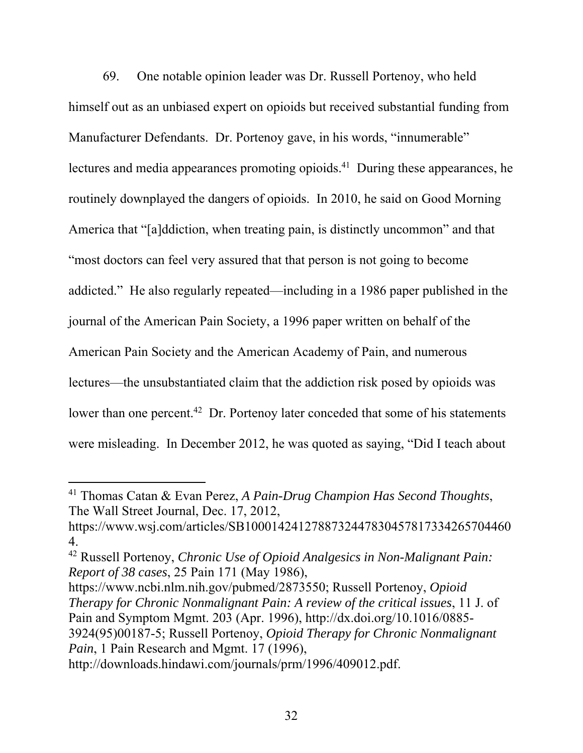69. One notable opinion leader was Dr. Russell Portenoy, who held himself out as an unbiased expert on opioids but received substantial funding from Manufacturer Defendants. Dr. Portenoy gave, in his words, "innumerable" lectures and media appearances promoting opioids.<sup>41</sup> During these appearances, he routinely downplayed the dangers of opioids. In 2010, he said on Good Morning America that "[a]ddiction, when treating pain, is distinctly uncommon" and that "most doctors can feel very assured that that person is not going to become addicted." He also regularly repeated—including in a 1986 paper published in the journal of the American Pain Society, a 1996 paper written on behalf of the American Pain Society and the American Academy of Pain, and numerous lectures—the unsubstantiated claim that the addiction risk posed by opioids was lower than one percent.<sup>42</sup> Dr. Portenoy later conceded that some of his statements were misleading. In December 2012, he was quoted as saying, "Did I teach about

<sup>41</sup> Thomas Catan & Evan Perez, *A Pain-Drug Champion Has Second Thoughts*, The Wall Street Journal, Dec. 17, 2012,

https://www.wsj.com/articles/SB1000142412788732447830457817334265704460 4.

<sup>42</sup> Russell Portenoy, *Chronic Use of Opioid Analgesics in Non-Malignant Pain: Report of 38 cases*, 25 Pain 171 (May 1986),

https://www.ncbi.nlm.nih.gov/pubmed/2873550; Russell Portenoy, *Opioid Therapy for Chronic Nonmalignant Pain: A review of the critical issues*, 11 J. of Pain and Symptom Mgmt. 203 (Apr. 1996), http://dx.doi.org/10.1016/0885- 3924(95)00187-5; Russell Portenoy, *Opioid Therapy for Chronic Nonmalignant Pain*, 1 Pain Research and Mgmt. 17 (1996),

http://downloads.hindawi.com/journals/prm/1996/409012.pdf.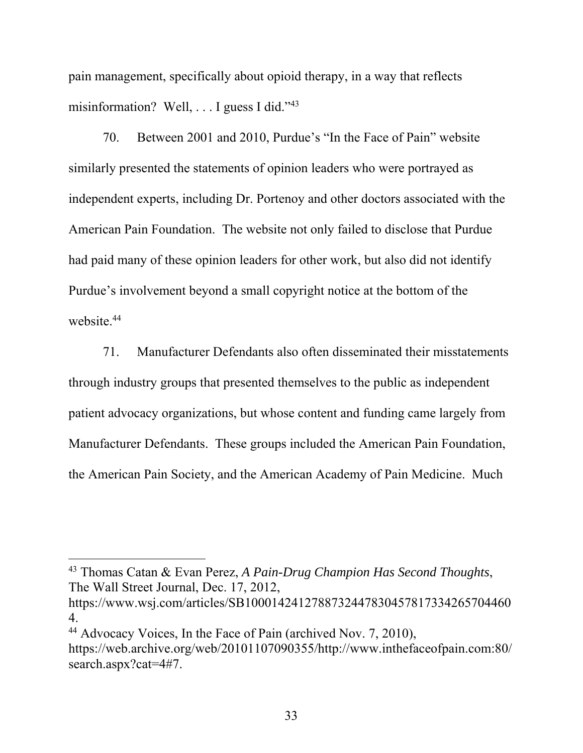pain management, specifically about opioid therapy, in a way that reflects misinformation? Well, . . . I guess I did."43

70. Between 2001 and 2010, Purdue's "In the Face of Pain" website similarly presented the statements of opinion leaders who were portrayed as independent experts, including Dr. Portenoy and other doctors associated with the American Pain Foundation. The website not only failed to disclose that Purdue had paid many of these opinion leaders for other work, but also did not identify Purdue's involvement beyond a small copyright notice at the bottom of the website.<sup>44</sup>

71. Manufacturer Defendants also often disseminated their misstatements through industry groups that presented themselves to the public as independent patient advocacy organizations, but whose content and funding came largely from Manufacturer Defendants. These groups included the American Pain Foundation, the American Pain Society, and the American Academy of Pain Medicine. Much

43 Thomas Catan & Evan Perez, *A Pain-Drug Champion Has Second Thoughts*, The Wall Street Journal, Dec. 17, 2012,

https://www.wsj.com/articles/SB1000142412788732447830457817334265704460 4.

<sup>44</sup> Advocacy Voices, In the Face of Pain (archived Nov. 7, 2010),

 $\overline{a}$ 

https://web.archive.org/web/20101107090355/http://www.inthefaceofpain.com:80/ search.aspx?cat=4#7.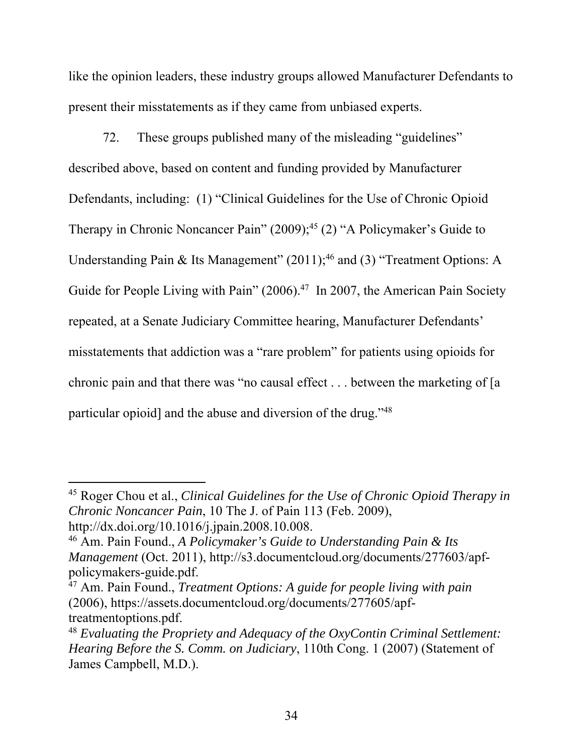like the opinion leaders, these industry groups allowed Manufacturer Defendants to present their misstatements as if they came from unbiased experts.

72. These groups published many of the misleading "guidelines" described above, based on content and funding provided by Manufacturer Defendants, including: (1) "Clinical Guidelines for the Use of Chronic Opioid Therapy in Chronic Noncancer Pain"  $(2009)$ ;<sup>45</sup> $(2)$  "A Policymaker's Guide to Understanding Pain & Its Management"  $(2011);^{46}$  and  $(3)$  "Treatment Options: A Guide for People Living with Pain" (2006).<sup>47</sup> In 2007, the American Pain Society repeated, at a Senate Judiciary Committee hearing, Manufacturer Defendants' misstatements that addiction was a "rare problem" for patients using opioids for chronic pain and that there was "no causal effect . . . between the marketing of [a particular opioid] and the abuse and diversion of the drug."48

<sup>45</sup> Roger Chou et al., *Clinical Guidelines for the Use of Chronic Opioid Therapy in Chronic Noncancer Pain*, 10 The J. of Pain 113 (Feb. 2009), http://dx.doi.org/10.1016/j.jpain.2008.10.008.

<sup>46</sup> Am. Pain Found., *A Policymaker's Guide to Understanding Pain & Its Management* (Oct. 2011), http://s3.documentcloud.org/documents/277603/apfpolicymakers-guide.pdf.

<sup>47</sup> Am. Pain Found., *Treatment Options: A guide for people living with pain* (2006), https://assets.documentcloud.org/documents/277605/apftreatmentoptions.pdf.

<sup>48</sup> *Evaluating the Propriety and Adequacy of the OxyContin Criminal Settlement: Hearing Before the S. Comm. on Judiciary*, 110th Cong. 1 (2007) (Statement of James Campbell, M.D.).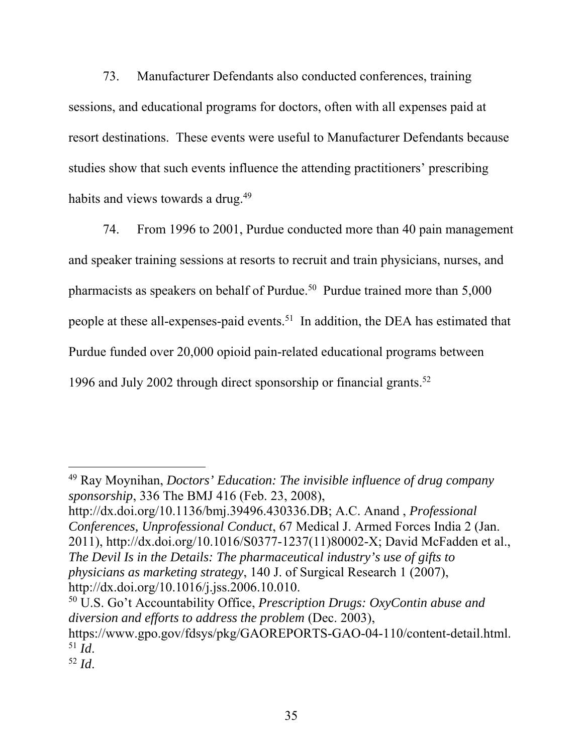73. Manufacturer Defendants also conducted conferences, training sessions, and educational programs for doctors, often with all expenses paid at resort destinations. These events were useful to Manufacturer Defendants because studies show that such events influence the attending practitioners' prescribing habits and views towards a drug.<sup>49</sup>

74. From 1996 to 2001, Purdue conducted more than 40 pain management and speaker training sessions at resorts to recruit and train physicians, nurses, and pharmacists as speakers on behalf of Purdue.<sup>50</sup> Purdue trained more than  $5,000$ people at these all-expenses-paid events.<sup>51</sup> In addition, the DEA has estimated that Purdue funded over 20,000 opioid pain-related educational programs between 1996 and July 2002 through direct sponsorship or financial grants.<sup>52</sup>

49 Ray Moynihan, *Doctors' Education: The invisible influence of drug company sponsorship*, 336 The BMJ 416 (Feb. 23, 2008),

http://dx.doi.org/10.1136/bmj.39496.430336.DB; A.C. Anand , *Professional Conferences, Unprofessional Conduct*, 67 Medical J. Armed Forces India 2 (Jan. 2011), http://dx.doi.org/10.1016/S0377-1237(11)80002-X; David McFadden et al., *The Devil Is in the Details: The pharmaceutical industry's use of gifts to physicians as marketing strategy*, 140 J. of Surgical Research 1 (2007), http://dx.doi.org/10.1016/j.jss.2006.10.010.

<sup>50</sup> U.S. Go't Accountability Office, *Prescription Drugs: OxyContin abuse and diversion and efforts to address the problem* (Dec. 2003), https://www.gpo.gov/fdsys/pkg/GAOREPORTS-GAO-04-110/content-detail.html.  $\frac{51}{52}$  *Id.*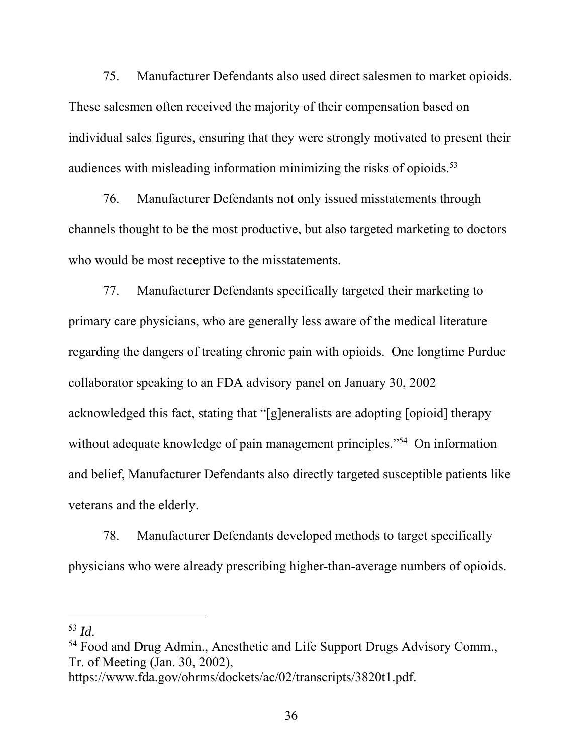75. Manufacturer Defendants also used direct salesmen to market opioids. These salesmen often received the majority of their compensation based on individual sales figures, ensuring that they were strongly motivated to present their audiences with misleading information minimizing the risks of opioids.<sup>53</sup>

76. Manufacturer Defendants not only issued misstatements through channels thought to be the most productive, but also targeted marketing to doctors who would be most receptive to the misstatements.

77. Manufacturer Defendants specifically targeted their marketing to primary care physicians, who are generally less aware of the medical literature regarding the dangers of treating chronic pain with opioids. One longtime Purdue collaborator speaking to an FDA advisory panel on January 30, 2002 acknowledged this fact, stating that "[g]eneralists are adopting [opioid] therapy without adequate knowledge of pain management principles."<sup>54</sup> On information and belief, Manufacturer Defendants also directly targeted susceptible patients like veterans and the elderly.

78. Manufacturer Defendants developed methods to target specifically physicians who were already prescribing higher-than-average numbers of opioids.

<sup>&</sup>lt;sup>53</sup> *Id*.<br><sup>54</sup> Food and Drug Admin., Anesthetic and Life Support Drugs Advisory Comm., Tr. of Meeting (Jan. 30, 2002),

https://www.fda.gov/ohrms/dockets/ac/02/transcripts/3820t1.pdf.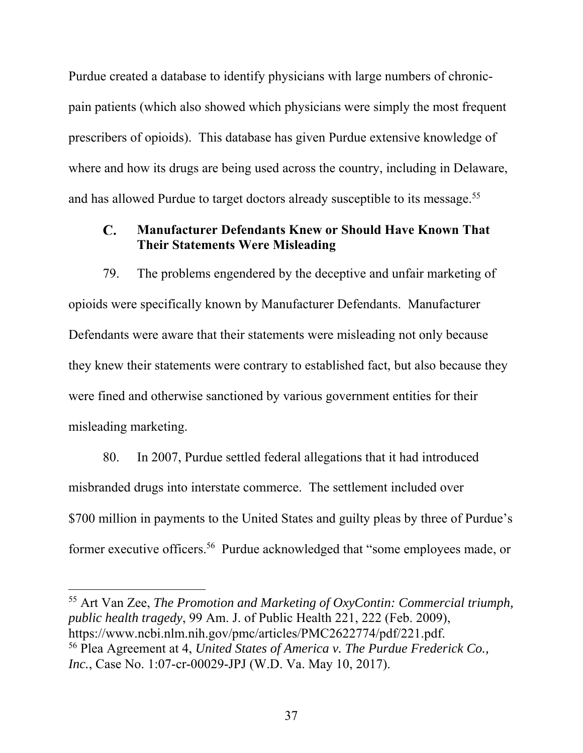Purdue created a database to identify physicians with large numbers of chronicpain patients (which also showed which physicians were simply the most frequent prescribers of opioids). This database has given Purdue extensive knowledge of where and how its drugs are being used across the country, including in Delaware, and has allowed Purdue to target doctors already susceptible to its message.<sup>55</sup>

#### C. **Manufacturer Defendants Knew or Should Have Known That Their Statements Were Misleading**

79. The problems engendered by the deceptive and unfair marketing of opioids were specifically known by Manufacturer Defendants. Manufacturer Defendants were aware that their statements were misleading not only because they knew their statements were contrary to established fact, but also because they were fined and otherwise sanctioned by various government entities for their misleading marketing.

80. In 2007, Purdue settled federal allegations that it had introduced misbranded drugs into interstate commerce. The settlement included over \$700 million in payments to the United States and guilty pleas by three of Purdue's former executive officers.56 Purdue acknowledged that "some employees made, or

55 Art Van Zee, *The Promotion and Marketing of OxyContin: Commercial triumph, public health tragedy*, 99 Am. J. of Public Health 221, 222 (Feb. 2009), https://www.ncbi.nlm.nih.gov/pmc/articles/PMC2622774/pdf/221.pdf. 56 Plea Agreement at 4, *United States of America v. The Purdue Frederick Co., Inc.*, Case No. 1:07-cr-00029-JPJ (W.D. Va. May 10, 2017).

 $\overline{\phantom{a}}$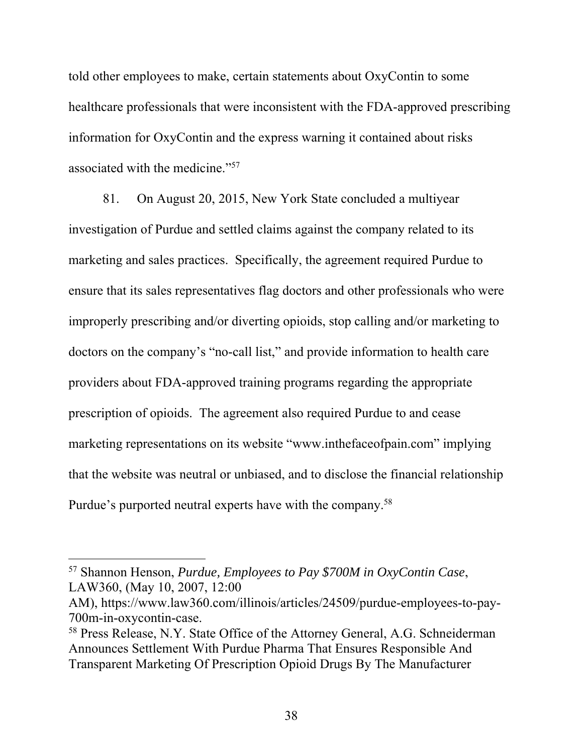told other employees to make, certain statements about OxyContin to some healthcare professionals that were inconsistent with the FDA-approved prescribing information for OxyContin and the express warning it contained about risks associated with the medicine."57

81. On August 20, 2015, New York State concluded a multiyear investigation of Purdue and settled claims against the company related to its marketing and sales practices. Specifically, the agreement required Purdue to ensure that its sales representatives flag doctors and other professionals who were improperly prescribing and/or diverting opioids, stop calling and/or marketing to doctors on the company's "no-call list," and provide information to health care providers about FDA-approved training programs regarding the appropriate prescription of opioids. The agreement also required Purdue to and cease marketing representations on its website "www.inthefaceofpain.com" implying that the website was neutral or unbiased, and to disclose the financial relationship Purdue's purported neutral experts have with the company.58

<sup>57</sup> Shannon Henson, *Purdue, Employees to Pay \$700M in OxyContin Case*, LAW360, (May 10, 2007, 12:00

AM), https://www.law360.com/illinois/articles/24509/purdue-employees-to-pay-700m-in-oxycontin-case.

<sup>58</sup> Press Release, N.Y. State Office of the Attorney General, A.G. Schneiderman Announces Settlement With Purdue Pharma That Ensures Responsible And Transparent Marketing Of Prescription Opioid Drugs By The Manufacturer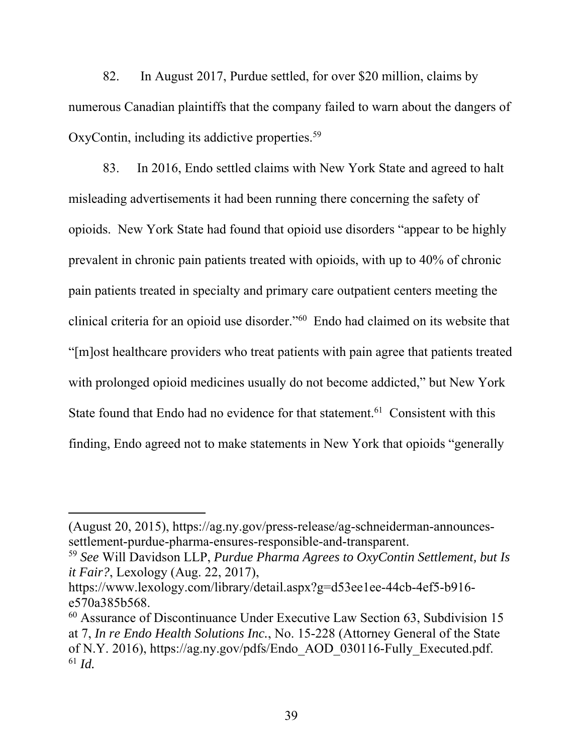82. In August 2017, Purdue settled, for over \$20 million, claims by numerous Canadian plaintiffs that the company failed to warn about the dangers of OxyContin, including its addictive properties.<sup>59</sup>

83. In 2016, Endo settled claims with New York State and agreed to halt misleading advertisements it had been running there concerning the safety of opioids. New York State had found that opioid use disorders "appear to be highly prevalent in chronic pain patients treated with opioids, with up to 40% of chronic pain patients treated in specialty and primary care outpatient centers meeting the clinical criteria for an opioid use disorder."60 Endo had claimed on its website that "[m]ost healthcare providers who treat patients with pain agree that patients treated with prolonged opioid medicines usually do not become addicted," but New York State found that Endo had no evidence for that statement.<sup>61</sup> Consistent with this finding, Endo agreed not to make statements in New York that opioids "generally

<sup>(</sup>August 20, 2015), https://ag.ny.gov/press-release/ag-schneiderman-announcessettlement-purdue-pharma-ensures-responsible-and-transparent.

<sup>59</sup> *See* Will Davidson LLP, *Purdue Pharma Agrees to OxyContin Settlement, but Is it Fair?*, Lexology (Aug. 22, 2017),

https://www.lexology.com/library/detail.aspx?g=d53ee1ee-44cb-4ef5-b916 e570a385b568.

<sup>60</sup> Assurance of Discontinuance Under Executive Law Section 63, Subdivision 15 at 7, *In re Endo Health Solutions Inc.*, No. 15-228 (Attorney General of the State of N.Y. 2016), https://ag.ny.gov/pdfs/Endo\_AOD\_030116-Fully\_Executed.pdf.  $61$  *Id.*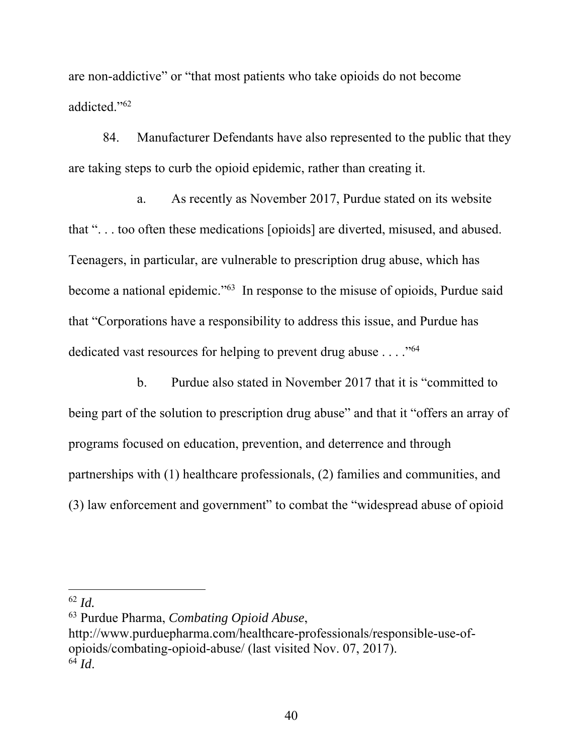are non-addictive" or "that most patients who take opioids do not become addicted."62

84. Manufacturer Defendants have also represented to the public that they are taking steps to curb the opioid epidemic, rather than creating it.

a. As recently as November 2017, Purdue stated on its website that ". . . too often these medications [opioids] are diverted, misused, and abused. Teenagers, in particular, are vulnerable to prescription drug abuse, which has become a national epidemic."63 In response to the misuse of opioids, Purdue said that "Corporations have a responsibility to address this issue, and Purdue has dedicated vast resources for helping to prevent drug abuse . . . . "<sup>64</sup>

b. Purdue also stated in November 2017 that it is "committed to being part of the solution to prescription drug abuse" and that it "offers an array of programs focused on education, prevention, and deterrence and through partnerships with (1) healthcare professionals, (2) families and communities, and (3) law enforcement and government" to combat the "widespread abuse of opioid

 $\overline{a}$ 

http://www.purduepharma.com/healthcare-professionals/responsible-use-ofopioids/combating-opioid-abuse/ (last visited Nov. 07, 2017).  $^{64}$  *Id.* 

<sup>62</sup> *Id.*

<sup>63</sup> Purdue Pharma, *Combating Opioid Abuse*,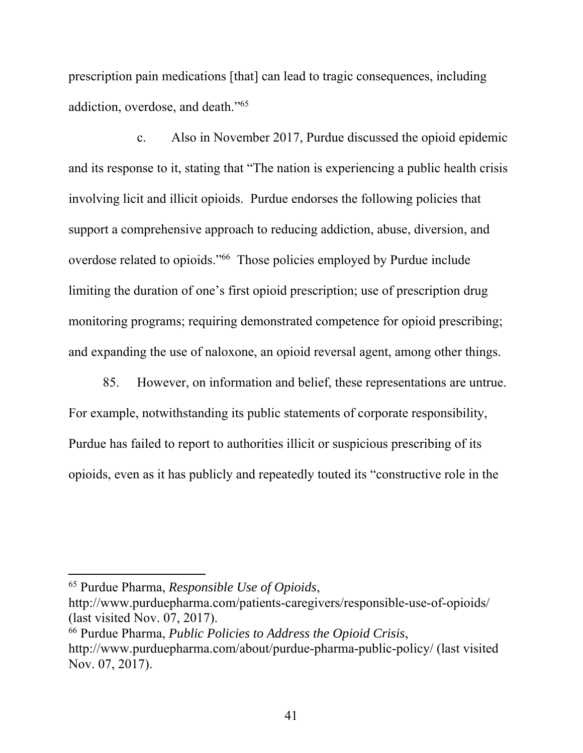prescription pain medications [that] can lead to tragic consequences, including addiction, overdose, and death."65

c. Also in November 2017, Purdue discussed the opioid epidemic and its response to it, stating that "The nation is experiencing a public health crisis involving licit and illicit opioids. Purdue endorses the following policies that support a comprehensive approach to reducing addiction, abuse, diversion, and overdose related to opioids."66 Those policies employed by Purdue include limiting the duration of one's first opioid prescription; use of prescription drug monitoring programs; requiring demonstrated competence for opioid prescribing; and expanding the use of naloxone, an opioid reversal agent, among other things.

85. However, on information and belief, these representations are untrue. For example, notwithstanding its public statements of corporate responsibility, Purdue has failed to report to authorities illicit or suspicious prescribing of its opioids, even as it has publicly and repeatedly touted its "constructive role in the

<sup>65</sup> Purdue Pharma, *Responsible Use of Opioids*,

http://www.purduepharma.com/patients-caregivers/responsible-use-of-opioids/ (last visited Nov. 07, 2017).

<sup>66</sup> Purdue Pharma, *Public Policies to Address the Opioid Crisis*,

http://www.purduepharma.com/about/purdue-pharma-public-policy/ (last visited Nov. 07, 2017).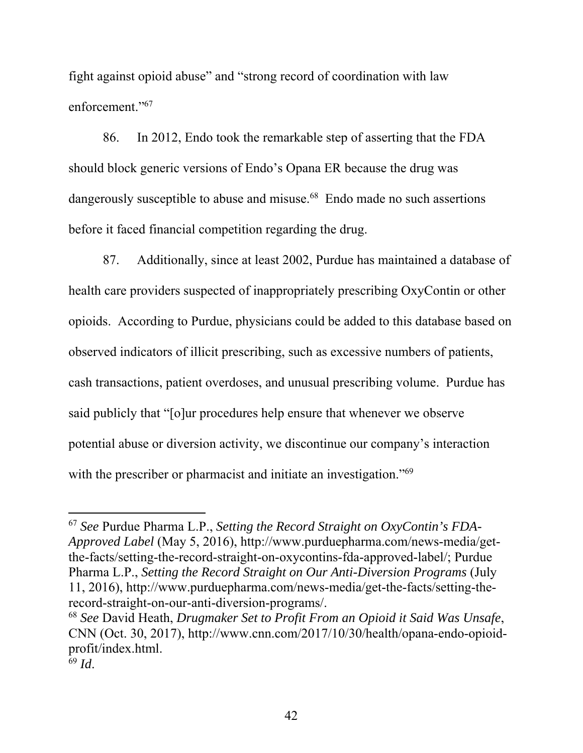fight against opioid abuse" and "strong record of coordination with law enforcement."67

86. In 2012, Endo took the remarkable step of asserting that the FDA should block generic versions of Endo's Opana ER because the drug was dangerously susceptible to abuse and misuse.<sup>68</sup> Endo made no such assertions before it faced financial competition regarding the drug.

87. Additionally, since at least 2002, Purdue has maintained a database of health care providers suspected of inappropriately prescribing OxyContin or other opioids. According to Purdue, physicians could be added to this database based on observed indicators of illicit prescribing, such as excessive numbers of patients, cash transactions, patient overdoses, and unusual prescribing volume. Purdue has said publicly that "[o]ur procedures help ensure that whenever we observe potential abuse or diversion activity, we discontinue our company's interaction with the prescriber or pharmacist and initiate an investigation."<sup>69</sup>

<sup>67</sup> *See* Purdue Pharma L.P., *Setting the Record Straight on OxyContin's FDA-Approved Label* (May 5, 2016), http://www.purduepharma.com/news-media/getthe-facts/setting-the-record-straight-on-oxycontins-fda-approved-label/; Purdue Pharma L.P., *Setting the Record Straight on Our Anti-Diversion Programs* (July 11, 2016), http://www.purduepharma.com/news-media/get-the-facts/setting-therecord-straight-on-our-anti-diversion-programs/.

<sup>68</sup> *See* David Heath, *Drugmaker Set to Profit From an Opioid it Said Was Unsafe*, CNN (Oct. 30, 2017), http://www.cnn.com/2017/10/30/health/opana-endo-opioidprofit/index.html.

 $69$  *Id.*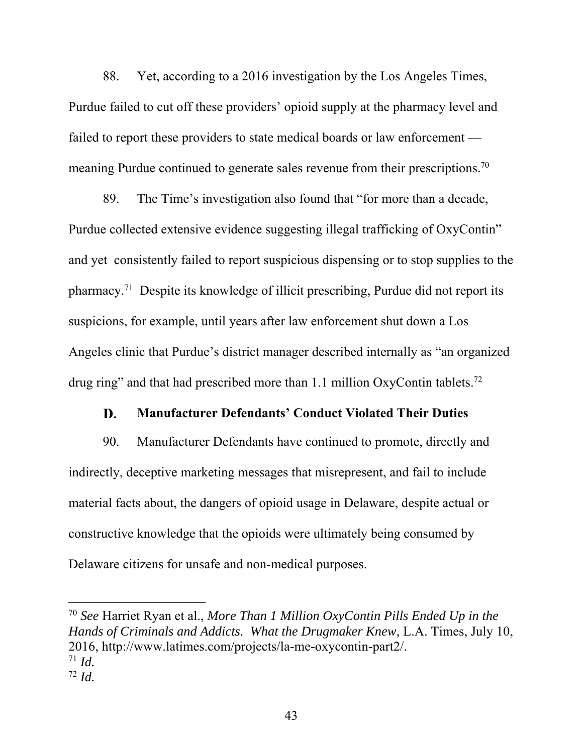88. Yet, according to a 2016 investigation by the Los Angeles Times, Purdue failed to cut off these providers' opioid supply at the pharmacy level and failed to report these providers to state medical boards or law enforcement meaning Purdue continued to generate sales revenue from their prescriptions.<sup>70</sup>

89. The Time's investigation also found that "for more than a decade, Purdue collected extensive evidence suggesting illegal trafficking of OxyContin" and yet consistently failed to report suspicious dispensing or to stop supplies to the pharmacy.71 Despite its knowledge of illicit prescribing, Purdue did not report its suspicions, for example, until years after law enforcement shut down a Los Angeles clinic that Purdue's district manager described internally as "an organized drug ring" and that had prescribed more than 1.1 million OxyContin tablets.<sup>72</sup>

#### D. **Manufacturer Defendants' Conduct Violated Their Duties**

90. Manufacturer Defendants have continued to promote, directly and indirectly, deceptive marketing messages that misrepresent, and fail to include material facts about, the dangers of opioid usage in Delaware, despite actual or constructive knowledge that the opioids were ultimately being consumed by Delaware citizens for unsafe and non-medical purposes.

<sup>70</sup> *See* Harriet Ryan et al., *More Than 1 Million OxyContin Pills Ended Up in the Hands of Criminals and Addicts. What the Drugmaker Knew*, L.A. Times, July 10, 2016, http://www.latimes.com/projects/la-me-oxycontin-part2/.  $\frac{71}{72}$  *Id.* 

<sup>43</sup>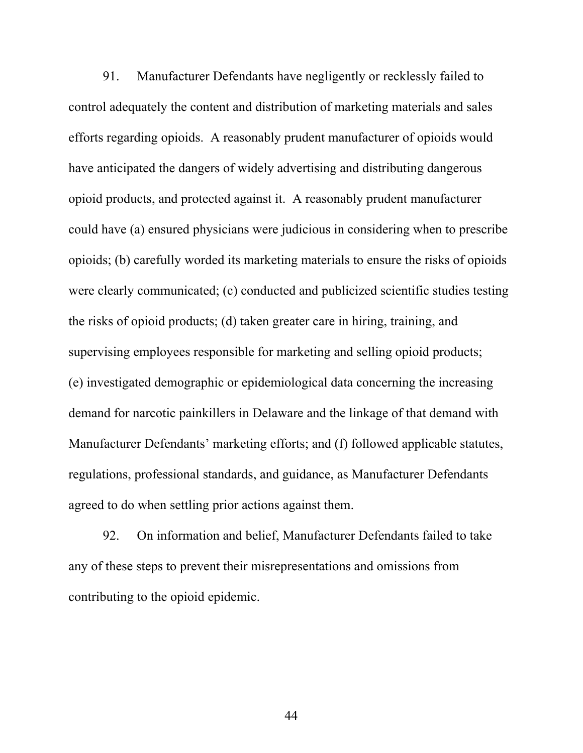91. Manufacturer Defendants have negligently or recklessly failed to control adequately the content and distribution of marketing materials and sales efforts regarding opioids. A reasonably prudent manufacturer of opioids would have anticipated the dangers of widely advertising and distributing dangerous opioid products, and protected against it. A reasonably prudent manufacturer could have (a) ensured physicians were judicious in considering when to prescribe opioids; (b) carefully worded its marketing materials to ensure the risks of opioids were clearly communicated; (c) conducted and publicized scientific studies testing the risks of opioid products; (d) taken greater care in hiring, training, and supervising employees responsible for marketing and selling opioid products; (e) investigated demographic or epidemiological data concerning the increasing demand for narcotic painkillers in Delaware and the linkage of that demand with Manufacturer Defendants' marketing efforts; and (f) followed applicable statutes, regulations, professional standards, and guidance, as Manufacturer Defendants agreed to do when settling prior actions against them.

92. On information and belief, Manufacturer Defendants failed to take any of these steps to prevent their misrepresentations and omissions from contributing to the opioid epidemic.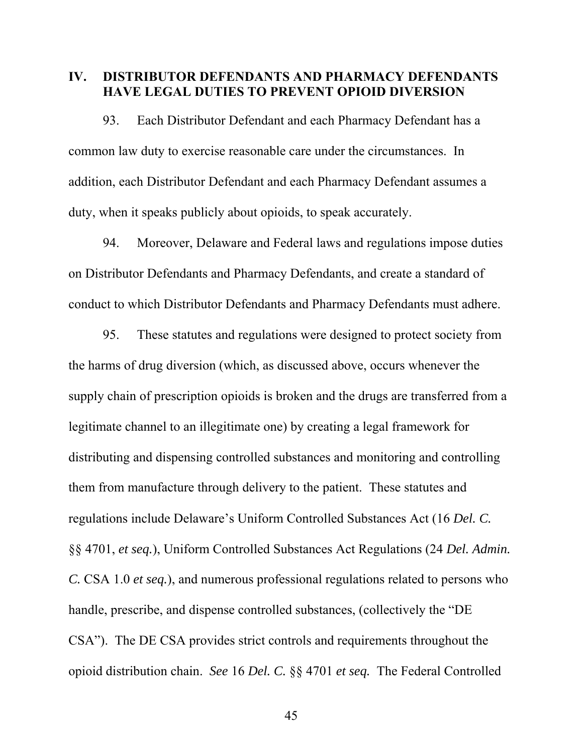## **IV. DISTRIBUTOR DEFENDANTS AND PHARMACY DEFENDANTS HAVE LEGAL DUTIES TO PREVENT OPIOID DIVERSION**

93. Each Distributor Defendant and each Pharmacy Defendant has a common law duty to exercise reasonable care under the circumstances. In addition, each Distributor Defendant and each Pharmacy Defendant assumes a duty, when it speaks publicly about opioids, to speak accurately.

94. Moreover, Delaware and Federal laws and regulations impose duties on Distributor Defendants and Pharmacy Defendants, and create a standard of conduct to which Distributor Defendants and Pharmacy Defendants must adhere.

95. These statutes and regulations were designed to protect society from the harms of drug diversion (which, as discussed above, occurs whenever the supply chain of prescription opioids is broken and the drugs are transferred from a legitimate channel to an illegitimate one) by creating a legal framework for distributing and dispensing controlled substances and monitoring and controlling them from manufacture through delivery to the patient. These statutes and regulations include Delaware's Uniform Controlled Substances Act (16 *Del. C.* §§ 4701, *et seq.*), Uniform Controlled Substances Act Regulations (24 *Del. Admin. C.* CSA 1.0 *et seq.*), and numerous professional regulations related to persons who handle, prescribe, and dispense controlled substances, (collectively the "DE CSA"). The DE CSA provides strict controls and requirements throughout the opioid distribution chain. *See* 16 *Del. C.* §§ 4701 *et seq.* The Federal Controlled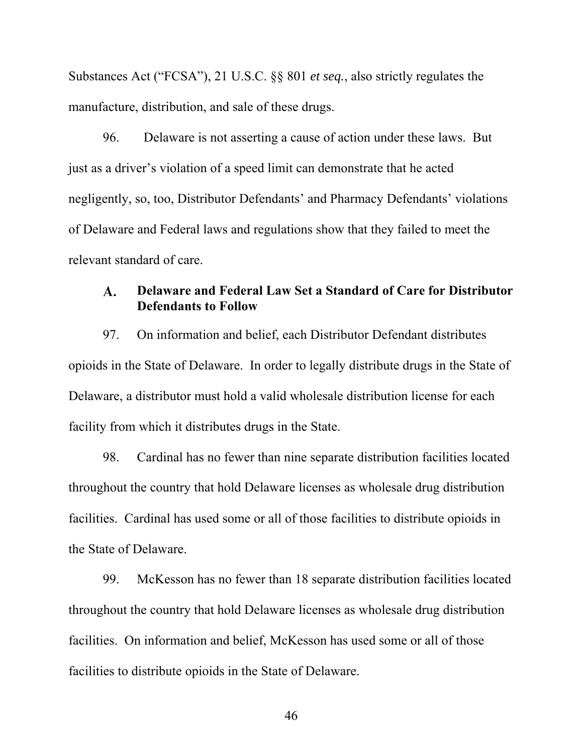Substances Act ("FCSA"), 21 U.S.C. §§ 801 *et seq.*, also strictly regulates the manufacture, distribution, and sale of these drugs.

96. Delaware is not asserting a cause of action under these laws. But just as a driver's violation of a speed limit can demonstrate that he acted negligently, so, too, Distributor Defendants' and Pharmacy Defendants' violations of Delaware and Federal laws and regulations show that they failed to meet the relevant standard of care.

#### **Delaware and Federal Law Set a Standard of Care for Distributor**  $\mathbf{A}$ . **Defendants to Follow**

97. On information and belief, each Distributor Defendant distributes opioids in the State of Delaware. In order to legally distribute drugs in the State of Delaware, a distributor must hold a valid wholesale distribution license for each facility from which it distributes drugs in the State.

98. Cardinal has no fewer than nine separate distribution facilities located throughout the country that hold Delaware licenses as wholesale drug distribution facilities. Cardinal has used some or all of those facilities to distribute opioids in the State of Delaware.

99. McKesson has no fewer than 18 separate distribution facilities located throughout the country that hold Delaware licenses as wholesale drug distribution facilities. On information and belief, McKesson has used some or all of those facilities to distribute opioids in the State of Delaware.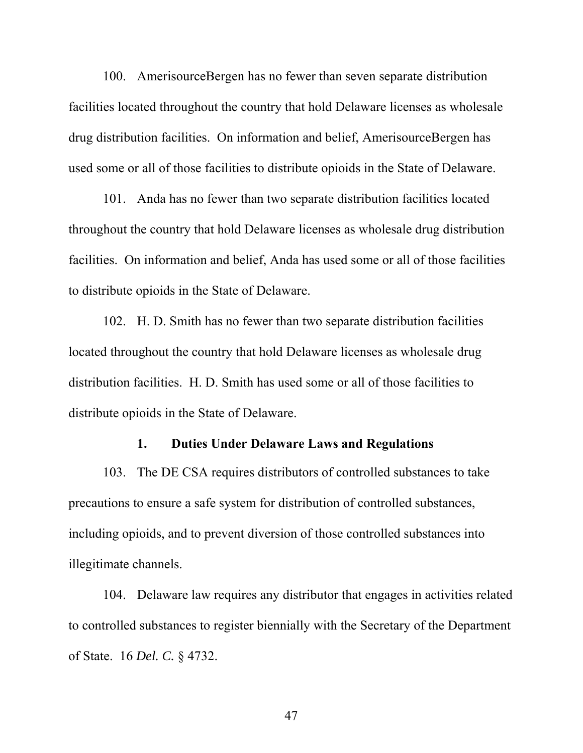100. AmerisourceBergen has no fewer than seven separate distribution facilities located throughout the country that hold Delaware licenses as wholesale drug distribution facilities. On information and belief, AmerisourceBergen has used some or all of those facilities to distribute opioids in the State of Delaware.

101. Anda has no fewer than two separate distribution facilities located throughout the country that hold Delaware licenses as wholesale drug distribution facilities. On information and belief, Anda has used some or all of those facilities to distribute opioids in the State of Delaware.

102. H. D. Smith has no fewer than two separate distribution facilities located throughout the country that hold Delaware licenses as wholesale drug distribution facilities. H. D. Smith has used some or all of those facilities to distribute opioids in the State of Delaware.

### **1. Duties Under Delaware Laws and Regulations**

103. The DE CSA requires distributors of controlled substances to take precautions to ensure a safe system for distribution of controlled substances, including opioids, and to prevent diversion of those controlled substances into illegitimate channels.

104. Delaware law requires any distributor that engages in activities related to controlled substances to register biennially with the Secretary of the Department of State. 16 *Del. C.* § 4732.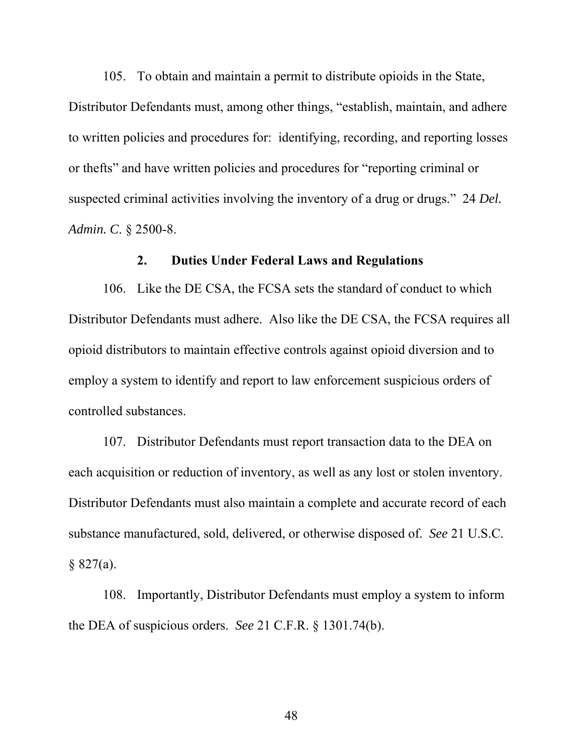105. To obtain and maintain a permit to distribute opioids in the State, Distributor Defendants must, among other things, "establish, maintain, and adhere to written policies and procedures for: identifying, recording, and reporting losses or thefts" and have written policies and procedures for "reporting criminal or suspected criminal activities involving the inventory of a drug or drugs." 24 *Del. Admin. C*. § 2500-8.

### **2. Duties Under Federal Laws and Regulations**

106. Like the DE CSA, the FCSA sets the standard of conduct to which Distributor Defendants must adhere. Also like the DE CSA, the FCSA requires all opioid distributors to maintain effective controls against opioid diversion and to employ a system to identify and report to law enforcement suspicious orders of controlled substances.

107. Distributor Defendants must report transaction data to the DEA on each acquisition or reduction of inventory, as well as any lost or stolen inventory. Distributor Defendants must also maintain a complete and accurate record of each substance manufactured, sold, delivered, or otherwise disposed of. *See* 21 U.S.C.  $§ 827(a).$ 

108. Importantly, Distributor Defendants must employ a system to inform the DEA of suspicious orders. *See* 21 C.F.R. § 1301.74(b).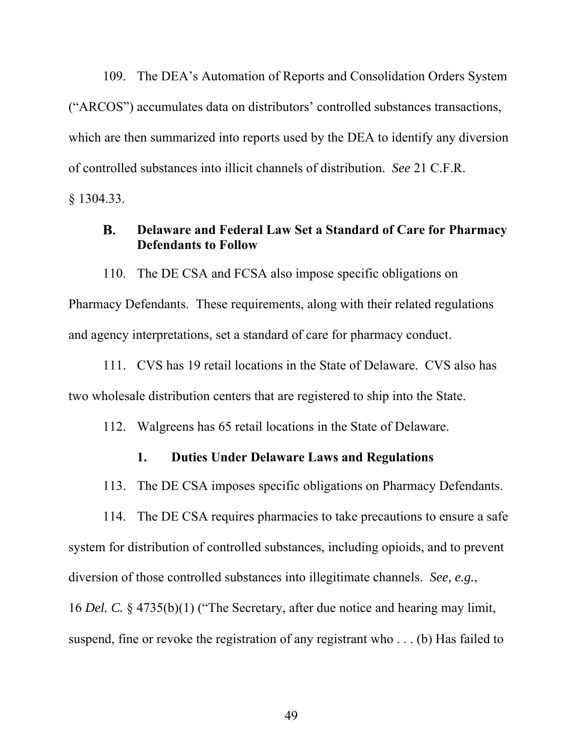109. The DEA's Automation of Reports and Consolidation Orders System ("ARCOS") accumulates data on distributors' controlled substances transactions, which are then summarized into reports used by the DEA to identify any diversion of controlled substances into illicit channels of distribution. *See* 21 C.F.R.

§ 1304.33.

#### **B. Delaware and Federal Law Set a Standard of Care for Pharmacy Defendants to Follow**

110. The DE CSA and FCSA also impose specific obligations on Pharmacy Defendants. These requirements, along with their related regulations and agency interpretations, set a standard of care for pharmacy conduct.

111. CVS has 19 retail locations in the State of Delaware. CVS also has two wholesale distribution centers that are registered to ship into the State.

112. Walgreens has 65 retail locations in the State of Delaware.

## **1. Duties Under Delaware Laws and Regulations**

113. The DE CSA imposes specific obligations on Pharmacy Defendants.

114. The DE CSA requires pharmacies to take precautions to ensure a safe system for distribution of controlled substances, including opioids, and to prevent diversion of those controlled substances into illegitimate channels. *See, e.g.*, 16 *Del. C.* § 4735(b)(1) ("The Secretary, after due notice and hearing may limit, suspend, fine or revoke the registration of any registrant who . . . (b) Has failed to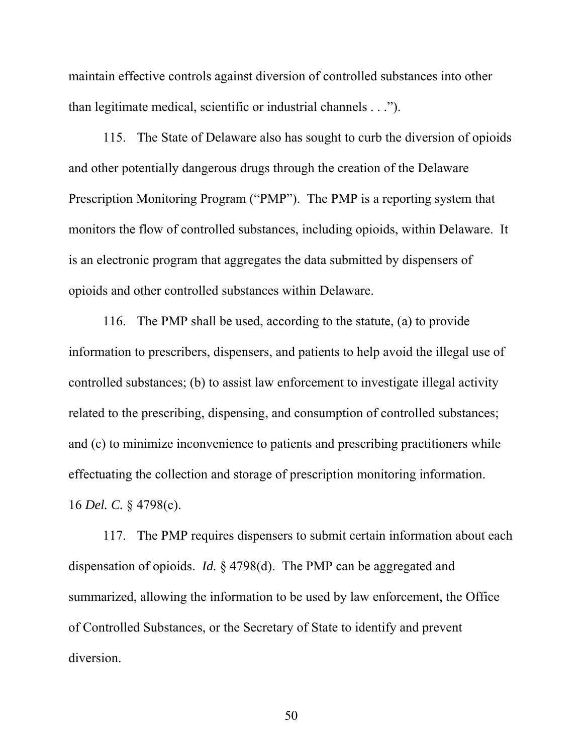maintain effective controls against diversion of controlled substances into other than legitimate medical, scientific or industrial channels . . .").

115. The State of Delaware also has sought to curb the diversion of opioids and other potentially dangerous drugs through the creation of the Delaware Prescription Monitoring Program ("PMP"). The PMP is a reporting system that monitors the flow of controlled substances, including opioids, within Delaware. It is an electronic program that aggregates the data submitted by dispensers of opioids and other controlled substances within Delaware.

116. The PMP shall be used, according to the statute, (a) to provide information to prescribers, dispensers, and patients to help avoid the illegal use of controlled substances; (b) to assist law enforcement to investigate illegal activity related to the prescribing, dispensing, and consumption of controlled substances; and (c) to minimize inconvenience to patients and prescribing practitioners while effectuating the collection and storage of prescription monitoring information. 16 *Del. C.* § 4798(c).

117. The PMP requires dispensers to submit certain information about each dispensation of opioids. *Id.* § 4798(d). The PMP can be aggregated and summarized, allowing the information to be used by law enforcement, the Office of Controlled Substances, or the Secretary of State to identify and prevent diversion.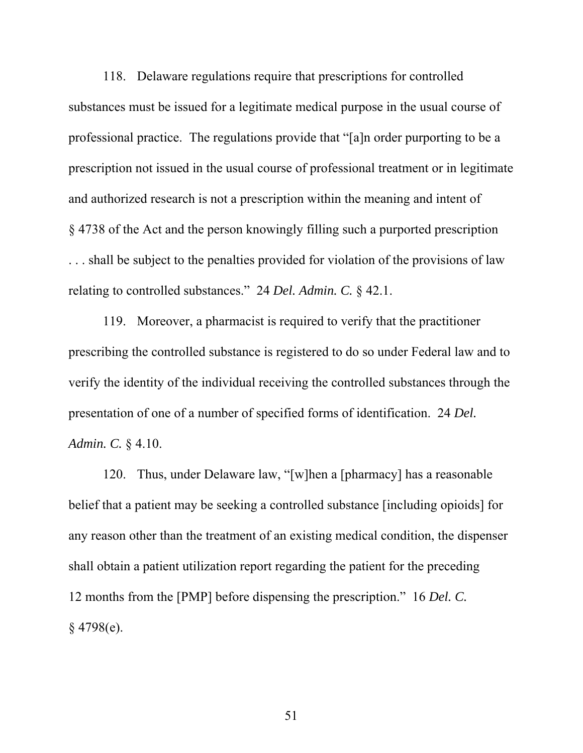118. Delaware regulations require that prescriptions for controlled substances must be issued for a legitimate medical purpose in the usual course of professional practice. The regulations provide that "[a]n order purporting to be a prescription not issued in the usual course of professional treatment or in legitimate and authorized research is not a prescription within the meaning and intent of § 4738 of the Act and the person knowingly filling such a purported prescription ... shall be subject to the penalties provided for violation of the provisions of law relating to controlled substances." 24 *Del. Admin. C.* § 42.1.

119. Moreover, a pharmacist is required to verify that the practitioner prescribing the controlled substance is registered to do so under Federal law and to verify the identity of the individual receiving the controlled substances through the presentation of one of a number of specified forms of identification. 24 *Del. Admin. C.* § 4.10.

120. Thus, under Delaware law, "[w]hen a [pharmacy] has a reasonable belief that a patient may be seeking a controlled substance [including opioids] for any reason other than the treatment of an existing medical condition, the dispenser shall obtain a patient utilization report regarding the patient for the preceding 12 months from the [PMP] before dispensing the prescription." 16 *Del. C.* § 4798(e).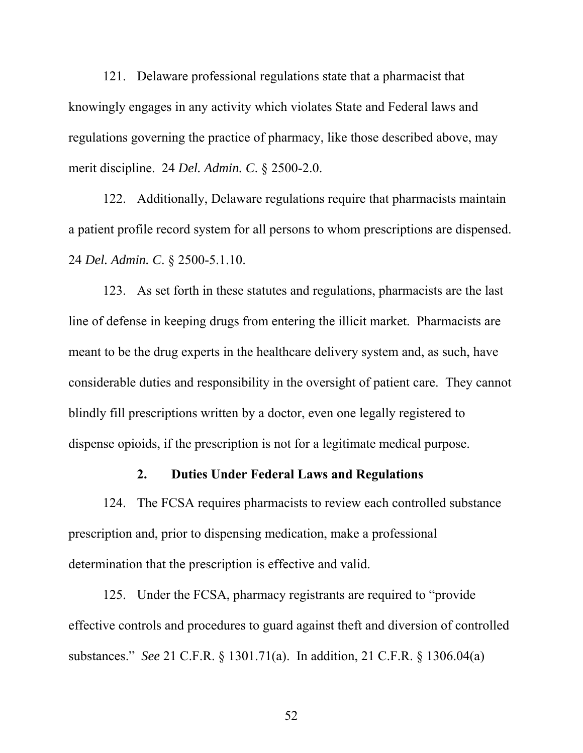121. Delaware professional regulations state that a pharmacist that knowingly engages in any activity which violates State and Federal laws and regulations governing the practice of pharmacy, like those described above, may merit discipline. 24 *Del. Admin. C*. § 2500-2.0.

122. Additionally, Delaware regulations require that pharmacists maintain a patient profile record system for all persons to whom prescriptions are dispensed. 24 *Del. Admin. C*. § 2500-5.1.10.

123. As set forth in these statutes and regulations, pharmacists are the last line of defense in keeping drugs from entering the illicit market. Pharmacists are meant to be the drug experts in the healthcare delivery system and, as such, have considerable duties and responsibility in the oversight of patient care. They cannot blindly fill prescriptions written by a doctor, even one legally registered to dispense opioids, if the prescription is not for a legitimate medical purpose.

### **2. Duties Under Federal Laws and Regulations**

124. The FCSA requires pharmacists to review each controlled substance prescription and, prior to dispensing medication, make a professional determination that the prescription is effective and valid.

125. Under the FCSA, pharmacy registrants are required to "provide effective controls and procedures to guard against theft and diversion of controlled substances." *See* 21 C.F.R. § 1301.71(a). In addition, 21 C.F.R. § 1306.04(a)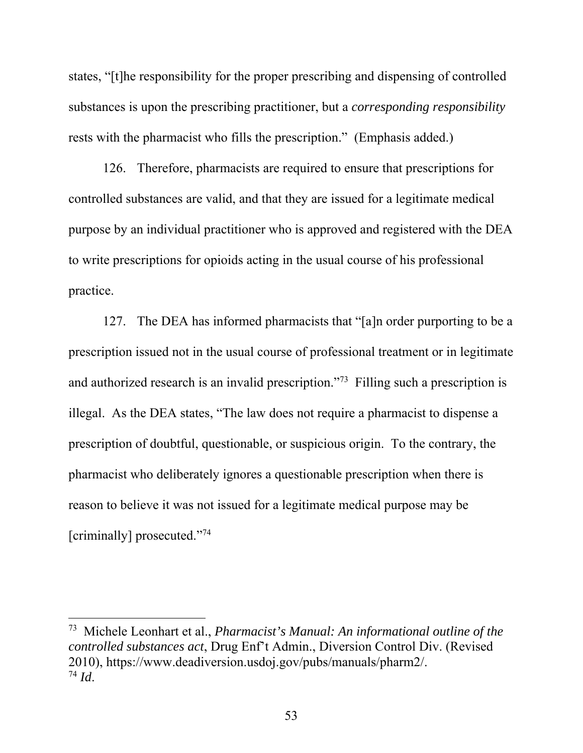states, "[t]he responsibility for the proper prescribing and dispensing of controlled substances is upon the prescribing practitioner, but a *corresponding responsibility* rests with the pharmacist who fills the prescription." (Emphasis added.)

126. Therefore, pharmacists are required to ensure that prescriptions for controlled substances are valid, and that they are issued for a legitimate medical purpose by an individual practitioner who is approved and registered with the DEA to write prescriptions for opioids acting in the usual course of his professional practice.

127. The DEA has informed pharmacists that "[a]n order purporting to be a prescription issued not in the usual course of professional treatment or in legitimate and authorized research is an invalid prescription."73 Filling such a prescription is illegal. As the DEA states, "The law does not require a pharmacist to dispense a prescription of doubtful, questionable, or suspicious origin. To the contrary, the pharmacist who deliberately ignores a questionable prescription when there is reason to believe it was not issued for a legitimate medical purpose may be [criminally] prosecuted."74

<sup>73</sup> Michele Leonhart et al., *Pharmacist's Manual: An informational outline of the controlled substances act*, Drug Enf't Admin., Diversion Control Div. (Revised 2010), https://www.deadiversion.usdoj.gov/pubs/manuals/pharm2/.  $^{74}$  *Id.*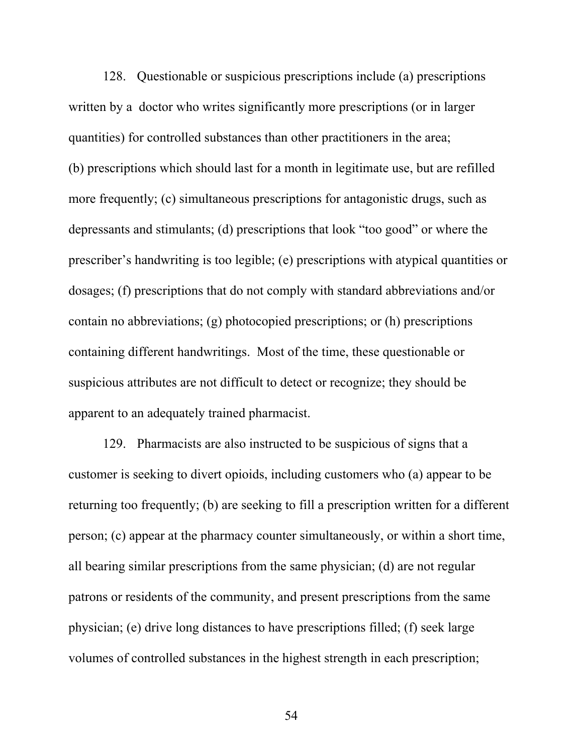128. Questionable or suspicious prescriptions include (a) prescriptions written by a doctor who writes significantly more prescriptions (or in larger quantities) for controlled substances than other practitioners in the area; (b) prescriptions which should last for a month in legitimate use, but are refilled more frequently; (c) simultaneous prescriptions for antagonistic drugs, such as depressants and stimulants; (d) prescriptions that look "too good" or where the prescriber's handwriting is too legible; (e) prescriptions with atypical quantities or dosages; (f) prescriptions that do not comply with standard abbreviations and/or contain no abbreviations; (g) photocopied prescriptions; or (h) prescriptions containing different handwritings. Most of the time, these questionable or suspicious attributes are not difficult to detect or recognize; they should be apparent to an adequately trained pharmacist.

129. Pharmacists are also instructed to be suspicious of signs that a customer is seeking to divert opioids, including customers who (a) appear to be returning too frequently; (b) are seeking to fill a prescription written for a different person; (c) appear at the pharmacy counter simultaneously, or within a short time, all bearing similar prescriptions from the same physician; (d) are not regular patrons or residents of the community, and present prescriptions from the same physician; (e) drive long distances to have prescriptions filled; (f) seek large volumes of controlled substances in the highest strength in each prescription;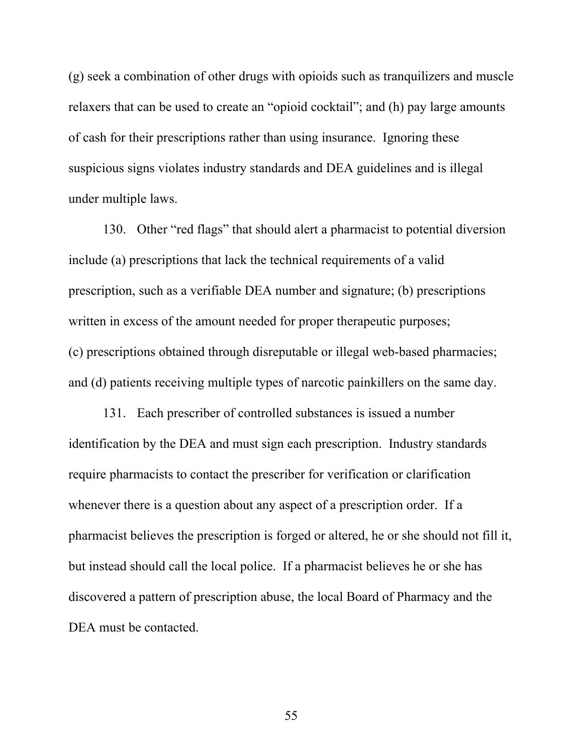(g) seek a combination of other drugs with opioids such as tranquilizers and muscle relaxers that can be used to create an "opioid cocktail"; and (h) pay large amounts of cash for their prescriptions rather than using insurance. Ignoring these suspicious signs violates industry standards and DEA guidelines and is illegal under multiple laws.

130. Other "red flags" that should alert a pharmacist to potential diversion include (a) prescriptions that lack the technical requirements of a valid prescription, such as a verifiable DEA number and signature; (b) prescriptions written in excess of the amount needed for proper therapeutic purposes; (c) prescriptions obtained through disreputable or illegal web-based pharmacies; and (d) patients receiving multiple types of narcotic painkillers on the same day.

131. Each prescriber of controlled substances is issued a number identification by the DEA and must sign each prescription. Industry standards require pharmacists to contact the prescriber for verification or clarification whenever there is a question about any aspect of a prescription order. If a pharmacist believes the prescription is forged or altered, he or she should not fill it, but instead should call the local police. If a pharmacist believes he or she has discovered a pattern of prescription abuse, the local Board of Pharmacy and the DEA must be contacted.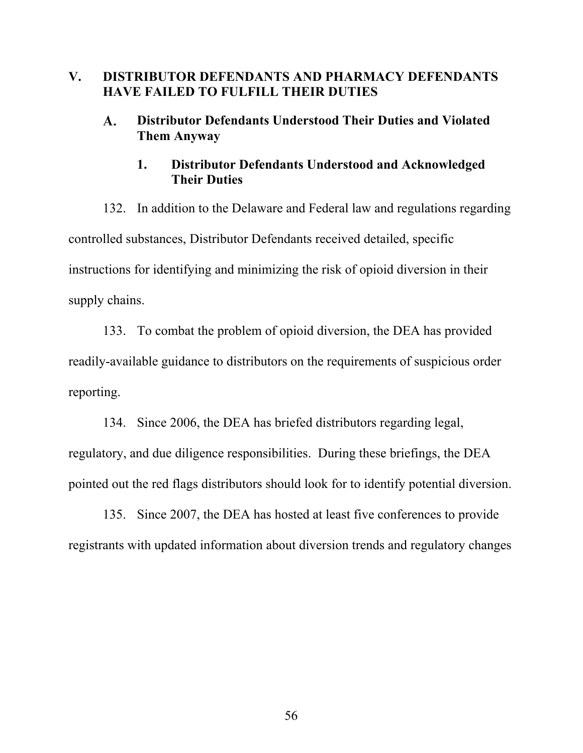# **V. DISTRIBUTOR DEFENDANTS AND PHARMACY DEFENDANTS HAVE FAILED TO FULFILL THEIR DUTIES**

#### $\mathbf{A}$ . **Distributor Defendants Understood Their Duties and Violated Them Anyway**

# **1. Distributor Defendants Understood and Acknowledged Their Duties**

132. In addition to the Delaware and Federal law and regulations regarding controlled substances, Distributor Defendants received detailed, specific instructions for identifying and minimizing the risk of opioid diversion in their supply chains.

133. To combat the problem of opioid diversion, the DEA has provided readily-available guidance to distributors on the requirements of suspicious order reporting.

134. Since 2006, the DEA has briefed distributors regarding legal, regulatory, and due diligence responsibilities. During these briefings, the DEA pointed out the red flags distributors should look for to identify potential diversion.

135. Since 2007, the DEA has hosted at least five conferences to provide registrants with updated information about diversion trends and regulatory changes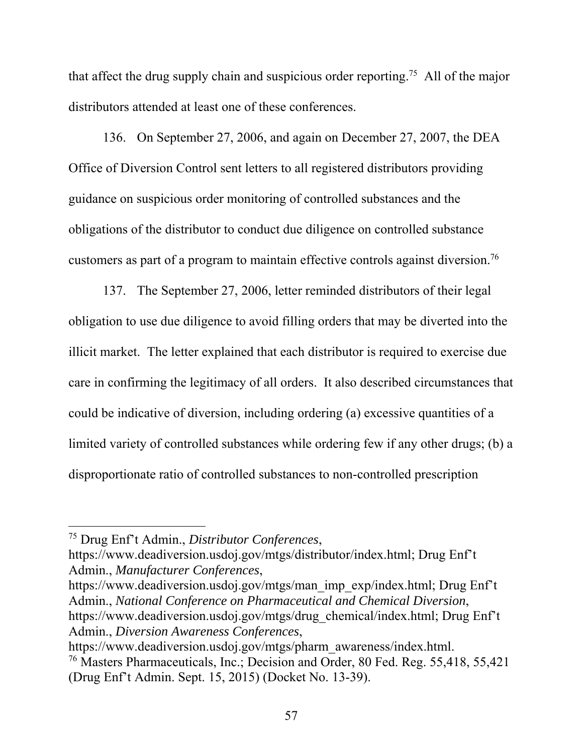that affect the drug supply chain and suspicious order reporting.75 All of the major distributors attended at least one of these conferences.

136. On September 27, 2006, and again on December 27, 2007, the DEA Office of Diversion Control sent letters to all registered distributors providing guidance on suspicious order monitoring of controlled substances and the obligations of the distributor to conduct due diligence on controlled substance customers as part of a program to maintain effective controls against diversion.76

137. The September 27, 2006, letter reminded distributors of their legal obligation to use due diligence to avoid filling orders that may be diverted into the illicit market. The letter explained that each distributor is required to exercise due care in confirming the legitimacy of all orders. It also described circumstances that could be indicative of diversion, including ordering (a) excessive quantities of a limited variety of controlled substances while ordering few if any other drugs; (b) a disproportionate ratio of controlled substances to non-controlled prescription

 $\overline{a}$ 

https://www.deadiversion.usdoj.gov/mtgs/distributor/index.html; Drug Enf't Admin., *Manufacturer Conferences*,

https://www.deadiversion.usdoj.gov/mtgs/man\_imp\_exp/index.html; Drug Enf't Admin., *National Conference on Pharmaceutical and Chemical Diversion*, https://www.deadiversion.usdoj.gov/mtgs/drug\_chemical/index.html; Drug Enf't Admin., *Diversion Awareness Conferences*,

<sup>75</sup> Drug Enf't Admin., *Distributor Conferences*,

https://www.deadiversion.usdoj.gov/mtgs/pharm\_awareness/index.html. 76 Masters Pharmaceuticals, Inc.; Decision and Order, 80 Fed. Reg. 55,418, 55,421 (Drug Enf't Admin. Sept. 15, 2015) (Docket No. 13-39).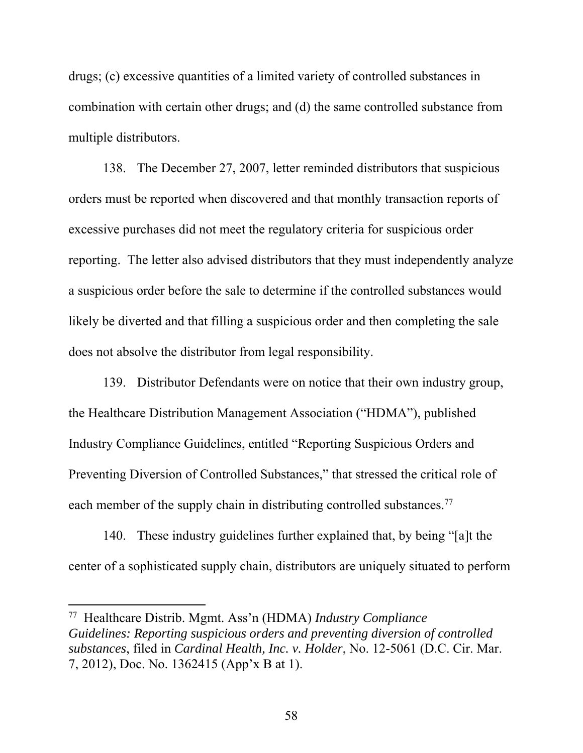drugs; (c) excessive quantities of a limited variety of controlled substances in combination with certain other drugs; and (d) the same controlled substance from multiple distributors.

138. The December 27, 2007, letter reminded distributors that suspicious orders must be reported when discovered and that monthly transaction reports of excessive purchases did not meet the regulatory criteria for suspicious order reporting. The letter also advised distributors that they must independently analyze a suspicious order before the sale to determine if the controlled substances would likely be diverted and that filling a suspicious order and then completing the sale does not absolve the distributor from legal responsibility.

139. Distributor Defendants were on notice that their own industry group, the Healthcare Distribution Management Association ("HDMA"), published Industry Compliance Guidelines, entitled "Reporting Suspicious Orders and Preventing Diversion of Controlled Substances," that stressed the critical role of each member of the supply chain in distributing controlled substances.<sup>77</sup>

140. These industry guidelines further explained that, by being "[a]t the center of a sophisticated supply chain, distributors are uniquely situated to perform

 $\overline{a}$ 

<sup>77</sup> Healthcare Distrib. Mgmt. Ass'n (HDMA) *Industry Compliance Guidelines: Reporting suspicious orders and preventing diversion of controlled substances*, filed in *Cardinal Health, Inc. v. Holder*, No. 12-5061 (D.C. Cir. Mar. 7, 2012), Doc. No. 1362415 (App'x B at 1).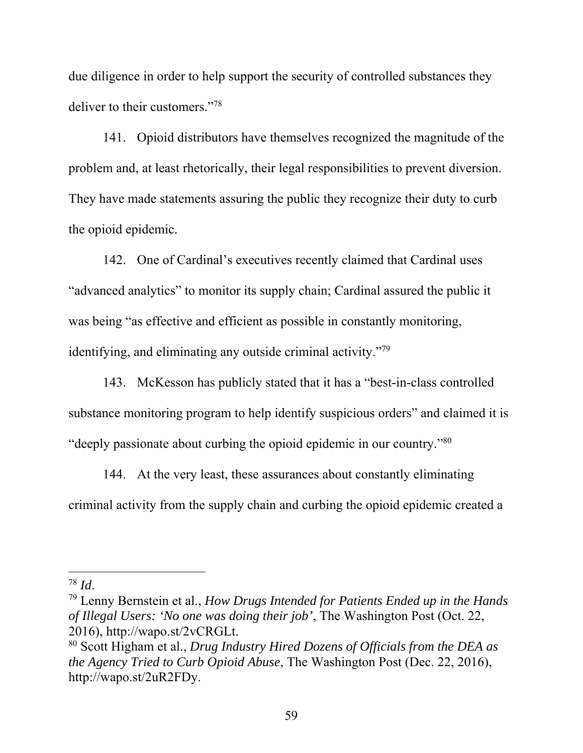due diligence in order to help support the security of controlled substances they deliver to their customers."78

141. Opioid distributors have themselves recognized the magnitude of the problem and, at least rhetorically, their legal responsibilities to prevent diversion. They have made statements assuring the public they recognize their duty to curb the opioid epidemic.

142. One of Cardinal's executives recently claimed that Cardinal uses "advanced analytics" to monitor its supply chain; Cardinal assured the public it was being "as effective and efficient as possible in constantly monitoring, identifying, and eliminating any outside criminal activity."79

143. McKesson has publicly stated that it has a "best-in-class controlled substance monitoring program to help identify suspicious orders" and claimed it is "deeply passionate about curbing the opioid epidemic in our country."80

144. At the very least, these assurances about constantly eliminating criminal activity from the supply chain and curbing the opioid epidemic created a

<sup>78</sup> *Id*. 79 Lenny Bernstein et al., *How Drugs Intended for Patients Ended up in the Hands of Illegal Users: 'No one was doing their job'*, The Washington Post (Oct. 22, 2016), http://wapo.st/2vCRGLt.

<sup>80</sup> Scott Higham et al., *Drug Industry Hired Dozens of Officials from the DEA as the Agency Tried to Curb Opioid Abuse*, The Washington Post (Dec. 22, 2016), http://wapo.st/2uR2FDy.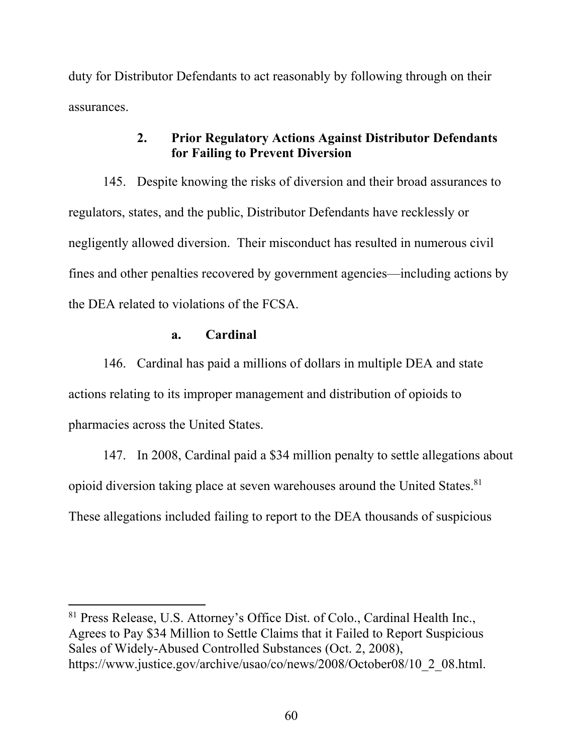duty for Distributor Defendants to act reasonably by following through on their assurances.

# **2. Prior Regulatory Actions Against Distributor Defendants for Failing to Prevent Diversion**

145. Despite knowing the risks of diversion and their broad assurances to regulators, states, and the public, Distributor Defendants have recklessly or negligently allowed diversion. Their misconduct has resulted in numerous civil fines and other penalties recovered by government agencies—including actions by the DEA related to violations of the FCSA.

## **a. Cardinal**

 $\overline{a}$ 

146. Cardinal has paid a millions of dollars in multiple DEA and state actions relating to its improper management and distribution of opioids to pharmacies across the United States.

147. In 2008, Cardinal paid a \$34 million penalty to settle allegations about opioid diversion taking place at seven warehouses around the United States.<sup>81</sup> These allegations included failing to report to the DEA thousands of suspicious

<sup>81</sup> Press Release, U.S. Attorney's Office Dist. of Colo., Cardinal Health Inc., Agrees to Pay \$34 Million to Settle Claims that it Failed to Report Suspicious Sales of Widely-Abused Controlled Substances (Oct. 2, 2008), https://www.justice.gov/archive/usao/co/news/2008/October08/10\_2\_08.html.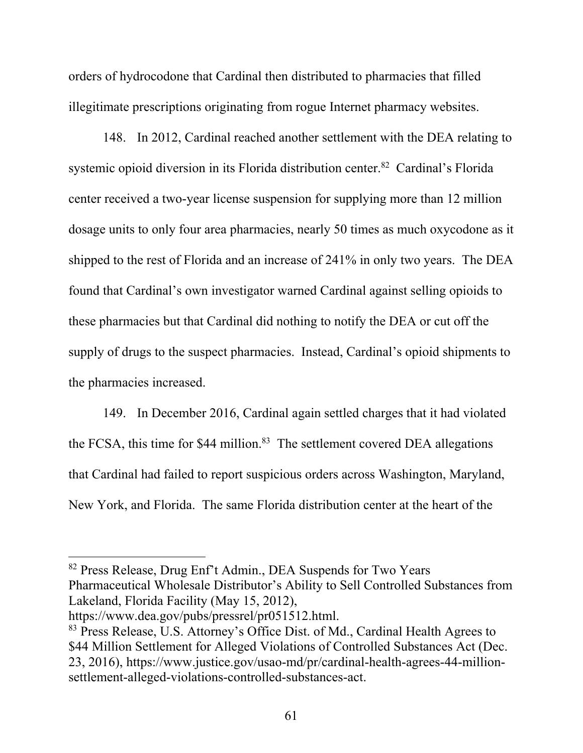orders of hydrocodone that Cardinal then distributed to pharmacies that filled illegitimate prescriptions originating from rogue Internet pharmacy websites.

148. In 2012, Cardinal reached another settlement with the DEA relating to systemic opioid diversion in its Florida distribution center.<sup>82</sup> Cardinal's Florida center received a two-year license suspension for supplying more than 12 million dosage units to only four area pharmacies, nearly 50 times as much oxycodone as it shipped to the rest of Florida and an increase of 241% in only two years. The DEA found that Cardinal's own investigator warned Cardinal against selling opioids to these pharmacies but that Cardinal did nothing to notify the DEA or cut off the supply of drugs to the suspect pharmacies. Instead, Cardinal's opioid shipments to the pharmacies increased.

149. In December 2016, Cardinal again settled charges that it had violated the FCSA, this time for \$44 million.<sup>83</sup> The settlement covered DEA allegations that Cardinal had failed to report suspicious orders across Washington, Maryland, New York, and Florida. The same Florida distribution center at the heart of the

82 Press Release, Drug Enf't Admin., DEA Suspends for Two Years Pharmaceutical Wholesale Distributor's Ability to Sell Controlled Substances from Lakeland, Florida Facility (May 15, 2012),

https://www.dea.gov/pubs/pressrel/pr051512.html.

<sup>83</sup> Press Release, U.S. Attorney's Office Dist. of Md., Cardinal Health Agrees to \$44 Million Settlement for Alleged Violations of Controlled Substances Act (Dec. 23, 2016), https://www.justice.gov/usao-md/pr/cardinal-health-agrees-44-millionsettlement-alleged-violations-controlled-substances-act.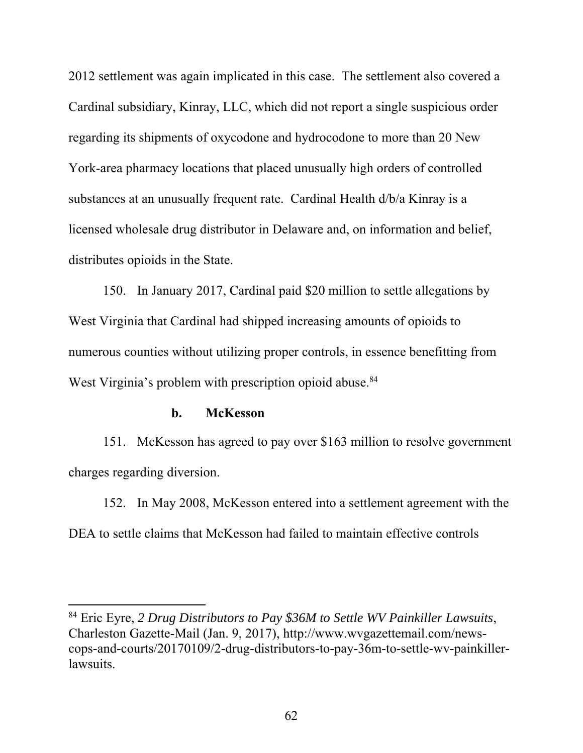2012 settlement was again implicated in this case. The settlement also covered a Cardinal subsidiary, Kinray, LLC, which did not report a single suspicious order regarding its shipments of oxycodone and hydrocodone to more than 20 New York-area pharmacy locations that placed unusually high orders of controlled substances at an unusually frequent rate. Cardinal Health d/b/a Kinray is a licensed wholesale drug distributor in Delaware and, on information and belief, distributes opioids in the State.

150. In January 2017, Cardinal paid \$20 million to settle allegations by West Virginia that Cardinal had shipped increasing amounts of opioids to numerous counties without utilizing proper controls, in essence benefitting from West Virginia's problem with prescription opioid abuse.<sup>84</sup>

#### **b. McKesson**

 $\overline{a}$ 

151. McKesson has agreed to pay over \$163 million to resolve government charges regarding diversion.

152. In May 2008, McKesson entered into a settlement agreement with the DEA to settle claims that McKesson had failed to maintain effective controls

<sup>84</sup> Eric Eyre, *2 Drug Distributors to Pay \$36M to Settle WV Painkiller Lawsuits*, Charleston Gazette-Mail (Jan. 9, 2017), http://www.wvgazettemail.com/newscops-and-courts/20170109/2-drug-distributors-to-pay-36m-to-settle-wv-painkillerlawsuits.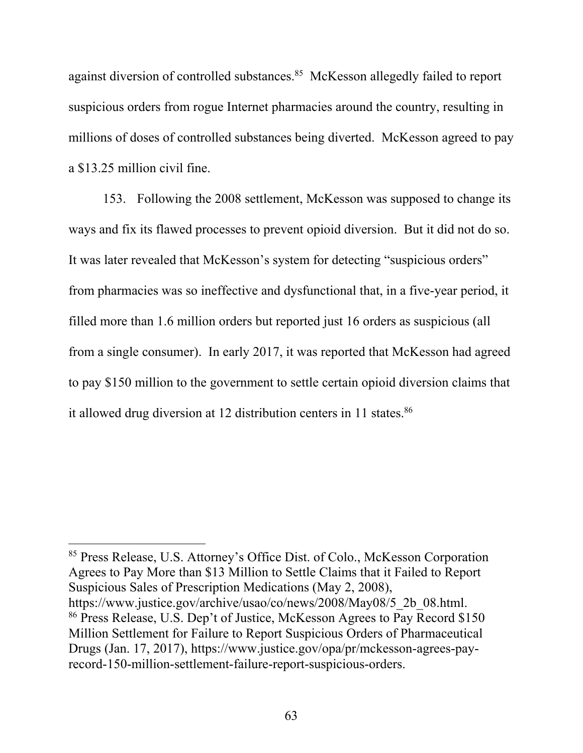against diversion of controlled substances.<sup>85</sup> McKesson allegedly failed to report suspicious orders from rogue Internet pharmacies around the country, resulting in millions of doses of controlled substances being diverted. McKesson agreed to pay a \$13.25 million civil fine.

153. Following the 2008 settlement, McKesson was supposed to change its ways and fix its flawed processes to prevent opioid diversion. But it did not do so. It was later revealed that McKesson's system for detecting "suspicious orders" from pharmacies was so ineffective and dysfunctional that, in a five-year period, it filled more than 1.6 million orders but reported just 16 orders as suspicious (all from a single consumer). In early 2017, it was reported that McKesson had agreed to pay \$150 million to the government to settle certain opioid diversion claims that it allowed drug diversion at 12 distribution centers in 11 states.<sup>86</sup>

85 Press Release, U.S. Attorney's Office Dist. of Colo., McKesson Corporation Agrees to Pay More than \$13 Million to Settle Claims that it Failed to Report Suspicious Sales of Prescription Medications (May 2, 2008), https://www.justice.gov/archive/usao/co/news/2008/May08/5\_2b\_08.html. 86 Press Release, U.S. Dep't of Justice, McKesson Agrees to Pay Record \$150 Million Settlement for Failure to Report Suspicious Orders of Pharmaceutical Drugs (Jan. 17, 2017), https://www.justice.gov/opa/pr/mckesson-agrees-payrecord-150-million-settlement-failure-report-suspicious-orders.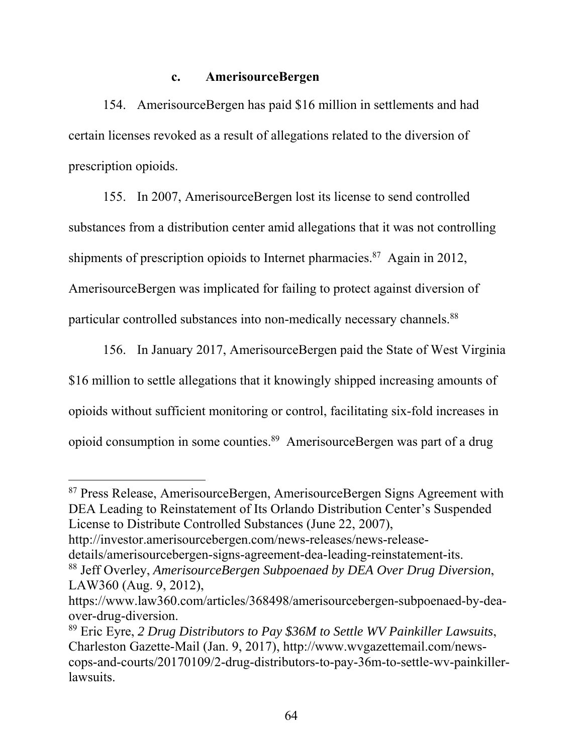## **c. AmerisourceBergen**

154. AmerisourceBergen has paid \$16 million in settlements and had certain licenses revoked as a result of allegations related to the diversion of prescription opioids.

155. In 2007, AmerisourceBergen lost its license to send controlled substances from a distribution center amid allegations that it was not controlling shipments of prescription opioids to Internet pharmacies.<sup>87</sup> Again in 2012, AmerisourceBergen was implicated for failing to protect against diversion of particular controlled substances into non-medically necessary channels.<sup>88</sup>

156. In January 2017, AmerisourceBergen paid the State of West Virginia \$16 million to settle allegations that it knowingly shipped increasing amounts of opioids without sufficient monitoring or control, facilitating six-fold increases in opioid consumption in some counties.89 AmerisourceBergen was part of a drug

87 Press Release, AmerisourceBergen, AmerisourceBergen Signs Agreement with DEA Leading to Reinstatement of Its Orlando Distribution Center's Suspended License to Distribute Controlled Substances (June 22, 2007),

http://investor.amerisourcebergen.com/news-releases/news-releasedetails/amerisourcebergen-signs-agreement-dea-leading-reinstatement-its. 88 Jeff Overley, *AmerisourceBergen Subpoenaed by DEA Over Drug Diversion*,

LAW360 (Aug. 9, 2012),

https://www.law360.com/articles/368498/amerisourcebergen-subpoenaed-by-deaover-drug-diversion.

<sup>89</sup> Eric Eyre, *2 Drug Distributors to Pay \$36M to Settle WV Painkiller Lawsuits*, Charleston Gazette-Mail (Jan. 9, 2017), http://www.wvgazettemail.com/newscops-and-courts/20170109/2-drug-distributors-to-pay-36m-to-settle-wv-painkillerlawsuits.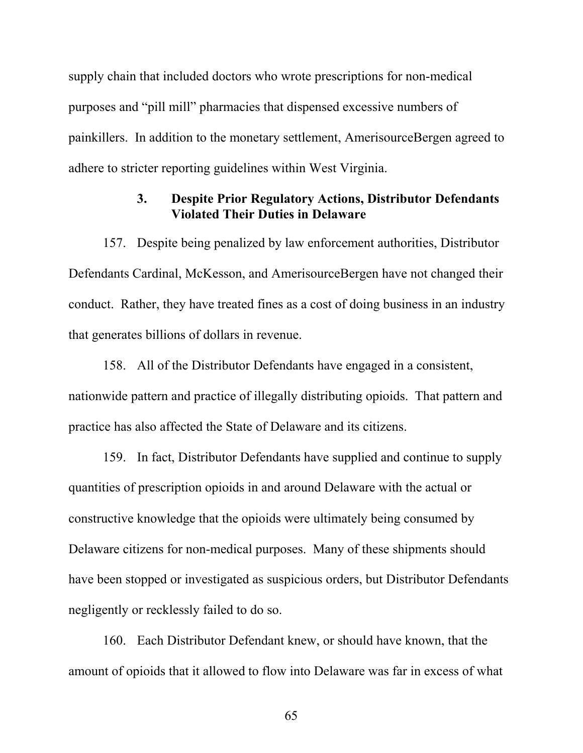supply chain that included doctors who wrote prescriptions for non-medical purposes and "pill mill" pharmacies that dispensed excessive numbers of painkillers. In addition to the monetary settlement, AmerisourceBergen agreed to adhere to stricter reporting guidelines within West Virginia.

# **3. Despite Prior Regulatory Actions, Distributor Defendants Violated Their Duties in Delaware**

157. Despite being penalized by law enforcement authorities, Distributor Defendants Cardinal, McKesson, and AmerisourceBergen have not changed their conduct. Rather, they have treated fines as a cost of doing business in an industry that generates billions of dollars in revenue.

158. All of the Distributor Defendants have engaged in a consistent, nationwide pattern and practice of illegally distributing opioids. That pattern and practice has also affected the State of Delaware and its citizens.

159. In fact, Distributor Defendants have supplied and continue to supply quantities of prescription opioids in and around Delaware with the actual or constructive knowledge that the opioids were ultimately being consumed by Delaware citizens for non-medical purposes. Many of these shipments should have been stopped or investigated as suspicious orders, but Distributor Defendants negligently or recklessly failed to do so.

160. Each Distributor Defendant knew, or should have known, that the amount of opioids that it allowed to flow into Delaware was far in excess of what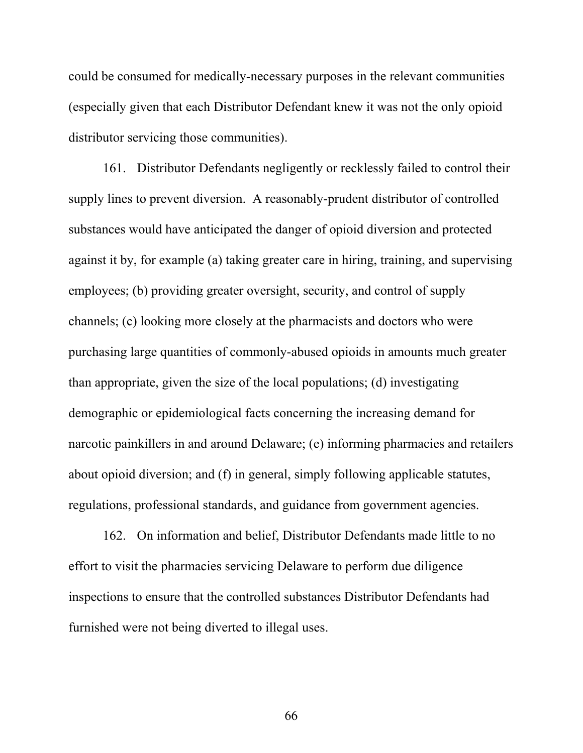could be consumed for medically-necessary purposes in the relevant communities (especially given that each Distributor Defendant knew it was not the only opioid distributor servicing those communities).

161. Distributor Defendants negligently or recklessly failed to control their supply lines to prevent diversion. A reasonably-prudent distributor of controlled substances would have anticipated the danger of opioid diversion and protected against it by, for example (a) taking greater care in hiring, training, and supervising employees; (b) providing greater oversight, security, and control of supply channels; (c) looking more closely at the pharmacists and doctors who were purchasing large quantities of commonly-abused opioids in amounts much greater than appropriate, given the size of the local populations; (d) investigating demographic or epidemiological facts concerning the increasing demand for narcotic painkillers in and around Delaware; (e) informing pharmacies and retailers about opioid diversion; and (f) in general, simply following applicable statutes, regulations, professional standards, and guidance from government agencies.

162. On information and belief, Distributor Defendants made little to no effort to visit the pharmacies servicing Delaware to perform due diligence inspections to ensure that the controlled substances Distributor Defendants had furnished were not being diverted to illegal uses.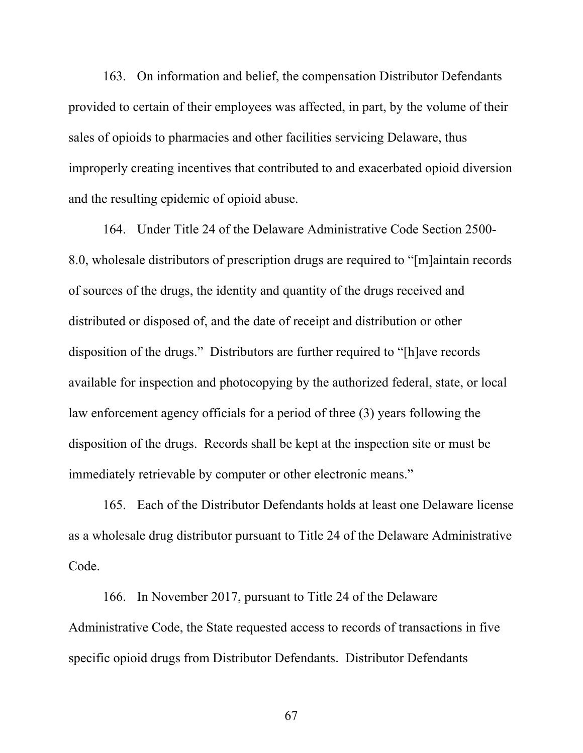163. On information and belief, the compensation Distributor Defendants provided to certain of their employees was affected, in part, by the volume of their sales of opioids to pharmacies and other facilities servicing Delaware, thus improperly creating incentives that contributed to and exacerbated opioid diversion and the resulting epidemic of opioid abuse.

164. Under Title 24 of the Delaware Administrative Code Section 2500- 8.0, wholesale distributors of prescription drugs are required to "[m]aintain records of sources of the drugs, the identity and quantity of the drugs received and distributed or disposed of, and the date of receipt and distribution or other disposition of the drugs." Distributors are further required to "[h]ave records available for inspection and photocopying by the authorized federal, state, or local law enforcement agency officials for a period of three (3) years following the disposition of the drugs. Records shall be kept at the inspection site or must be immediately retrievable by computer or other electronic means."

165. Each of the Distributor Defendants holds at least one Delaware license as a wholesale drug distributor pursuant to Title 24 of the Delaware Administrative Code.

166. In November 2017, pursuant to Title 24 of the Delaware Administrative Code, the State requested access to records of transactions in five specific opioid drugs from Distributor Defendants. Distributor Defendants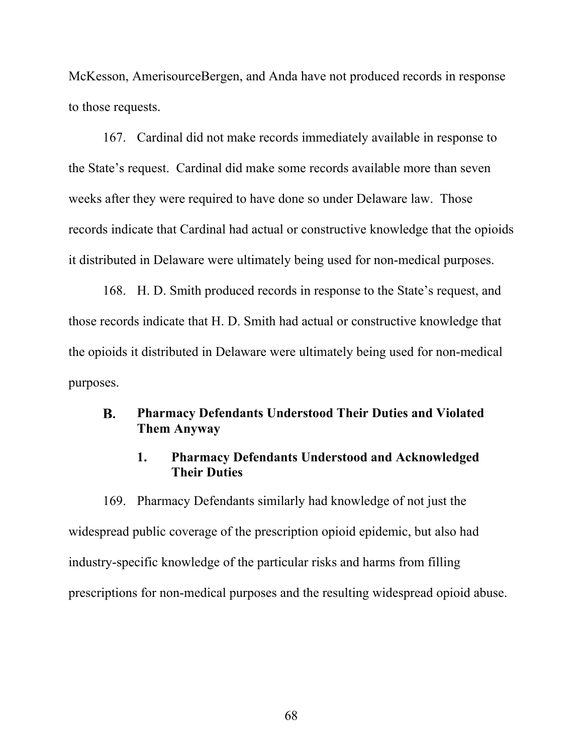McKesson, AmerisourceBergen, and Anda have not produced records in response to those requests.

167. Cardinal did not make records immediately available in response to the State's request. Cardinal did make some records available more than seven weeks after they were required to have done so under Delaware law. Those records indicate that Cardinal had actual or constructive knowledge that the opioids it distributed in Delaware were ultimately being used for non-medical purposes.

168. H. D. Smith produced records in response to the State's request, and those records indicate that H. D. Smith had actual or constructive knowledge that the opioids it distributed in Delaware were ultimately being used for non-medical purposes.

#### **B. Pharmacy Defendants Understood Their Duties and Violated Them Anyway**

### **1. Pharmacy Defendants Understood and Acknowledged Their Duties**

169. Pharmacy Defendants similarly had knowledge of not just the widespread public coverage of the prescription opioid epidemic, but also had industry-specific knowledge of the particular risks and harms from filling prescriptions for non-medical purposes and the resulting widespread opioid abuse.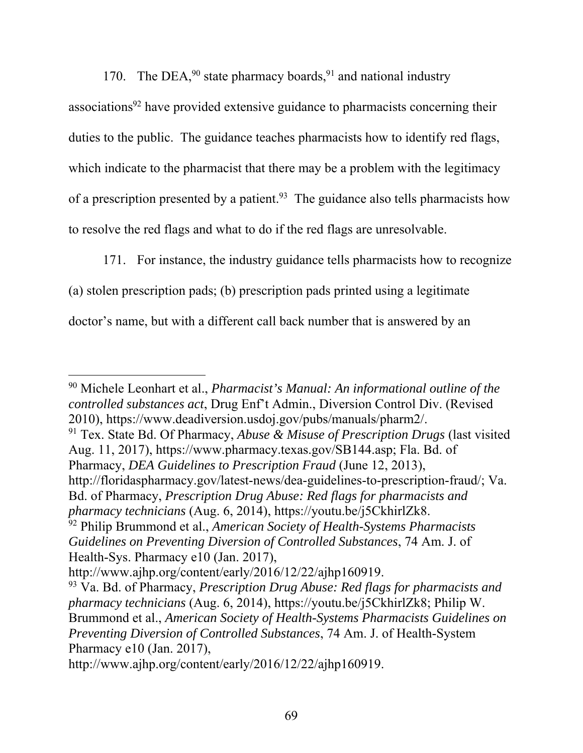170. The DEA, $90$  state pharmacy boards, $91$  and national industry

associations<sup>92</sup> have provided extensive guidance to pharmacists concerning their duties to the public. The guidance teaches pharmacists how to identify red flags, which indicate to the pharmacist that there may be a problem with the legitimacy of a prescription presented by a patient.<sup>93</sup> The guidance also tells pharmacists how to resolve the red flags and what to do if the red flags are unresolvable.

171. For instance, the industry guidance tells pharmacists how to recognize (a) stolen prescription pads; (b) prescription pads printed using a legitimate doctor's name, but with a different call back number that is answered by an

 $\overline{a}$ 90 Michele Leonhart et al., *Pharmacist's Manual: An informational outline of the controlled substances act*, Drug Enf't Admin., Diversion Control Div. (Revised 2010), https://www.deadiversion.usdoj.gov/pubs/manuals/pharm2/.

91 Tex. State Bd. Of Pharmacy, *Abuse & Misuse of Prescription Drugs* (last visited Aug. 11, 2017), https://www.pharmacy.texas.gov/SB144.asp; Fla. Bd. of Pharmacy, *DEA Guidelines to Prescription Fraud* (June 12, 2013),

http://floridaspharmacy.gov/latest-news/dea-guidelines-to-prescription-fraud/; Va. Bd. of Pharmacy, *Prescription Drug Abuse: Red flags for pharmacists and pharmacy technicians* (Aug. 6, 2014), https://youtu.be/j5CkhirlZk8.

92 Philip Brummond et al., *American Society of Health-Systems Pharmacists Guidelines on Preventing Diversion of Controlled Substances*, 74 Am. J. of Health-Sys. Pharmacy e10 (Jan. 2017),

http://www.ajhp.org/content/early/2016/12/22/ajhp160919.

<sup>93</sup> Va. Bd. of Pharmacy, *Prescription Drug Abuse: Red flags for pharmacists and pharmacy technicians* (Aug. 6, 2014), https://youtu.be/j5CkhirlZk8; Philip W. Brummond et al., *American Society of Health-Systems Pharmacists Guidelines on Preventing Diversion of Controlled Substances*, 74 Am. J. of Health-System Pharmacy e10 (Jan. 2017),

http://www.ajhp.org/content/early/2016/12/22/ajhp160919.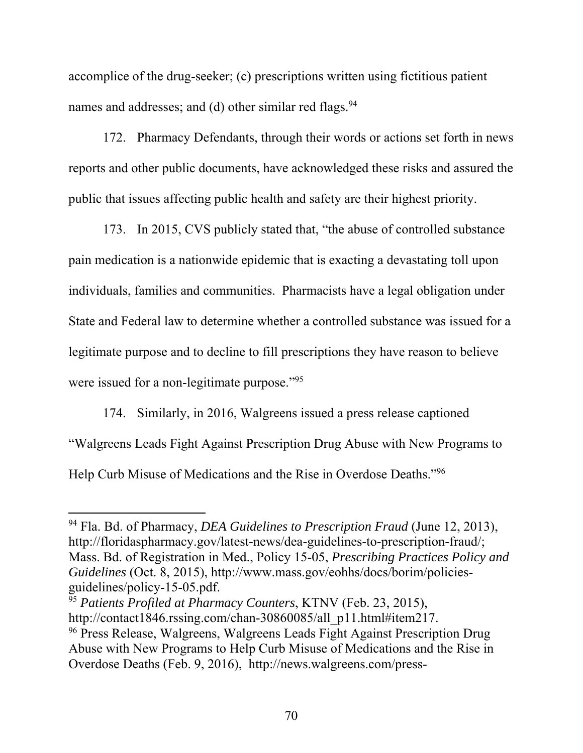accomplice of the drug-seeker; (c) prescriptions written using fictitious patient names and addresses; and (d) other similar red flags.<sup>94</sup>

172. Pharmacy Defendants, through their words or actions set forth in news reports and other public documents, have acknowledged these risks and assured the public that issues affecting public health and safety are their highest priority.

173. In 2015, CVS publicly stated that, "the abuse of controlled substance pain medication is a nationwide epidemic that is exacting a devastating toll upon individuals, families and communities. Pharmacists have a legal obligation under State and Federal law to determine whether a controlled substance was issued for a legitimate purpose and to decline to fill prescriptions they have reason to believe were issued for a non-legitimate purpose."<sup>95</sup>

174. Similarly, in 2016, Walgreens issued a press release captioned "Walgreens Leads Fight Against Prescription Drug Abuse with New Programs to Help Curb Misuse of Medications and the Rise in Overdose Deaths."96

<sup>94</sup> Fla. Bd. of Pharmacy, *DEA Guidelines to Prescription Fraud* (June 12, 2013), http://floridaspharmacy.gov/latest-news/dea-guidelines-to-prescription-fraud/; Mass. Bd. of Registration in Med., Policy 15-05, *Prescribing Practices Policy and Guidelines* (Oct. 8, 2015), http://www.mass.gov/eohhs/docs/borim/policiesguidelines/policy-15-05.pdf.

<sup>95</sup> *Patients Profiled at Pharmacy Counters*, KTNV (Feb. 23, 2015), http://contact1846.rssing.com/chan-30860085/all\_p11.html#item217. 96 Press Release, Walgreens, Walgreens Leads Fight Against Prescription Drug Abuse with New Programs to Help Curb Misuse of Medications and the Rise in Overdose Deaths (Feb. 9, 2016), http://news.walgreens.com/press-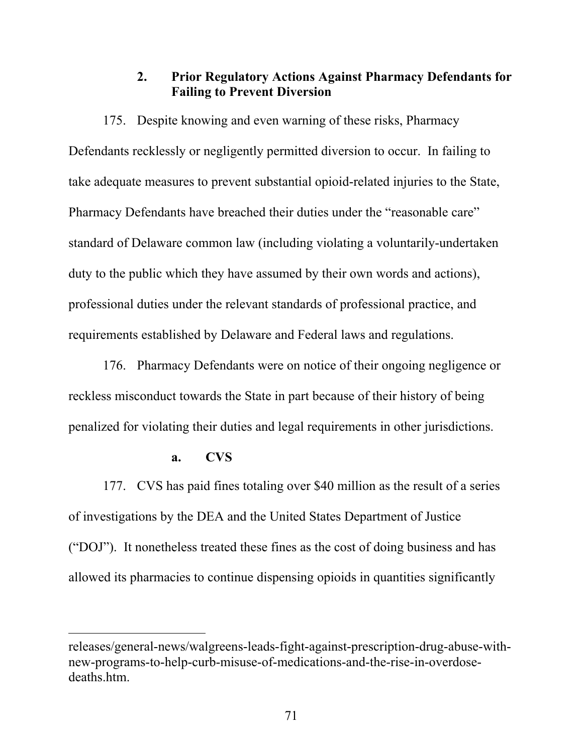### **2. Prior Regulatory Actions Against Pharmacy Defendants for Failing to Prevent Diversion**

175. Despite knowing and even warning of these risks, Pharmacy Defendants recklessly or negligently permitted diversion to occur. In failing to take adequate measures to prevent substantial opioid-related injuries to the State, Pharmacy Defendants have breached their duties under the "reasonable care" standard of Delaware common law (including violating a voluntarily-undertaken duty to the public which they have assumed by their own words and actions), professional duties under the relevant standards of professional practice, and requirements established by Delaware and Federal laws and regulations.

176. Pharmacy Defendants were on notice of their ongoing negligence or reckless misconduct towards the State in part because of their history of being penalized for violating their duties and legal requirements in other jurisdictions.

### **a. CVS**

 $\overline{a}$ 

177. CVS has paid fines totaling over \$40 million as the result of a series of investigations by the DEA and the United States Department of Justice ("DOJ"). It nonetheless treated these fines as the cost of doing business and has allowed its pharmacies to continue dispensing opioids in quantities significantly

releases/general-news/walgreens-leads-fight-against-prescription-drug-abuse-withnew-programs-to-help-curb-misuse-of-medications-and-the-rise-in-overdosedeaths.htm.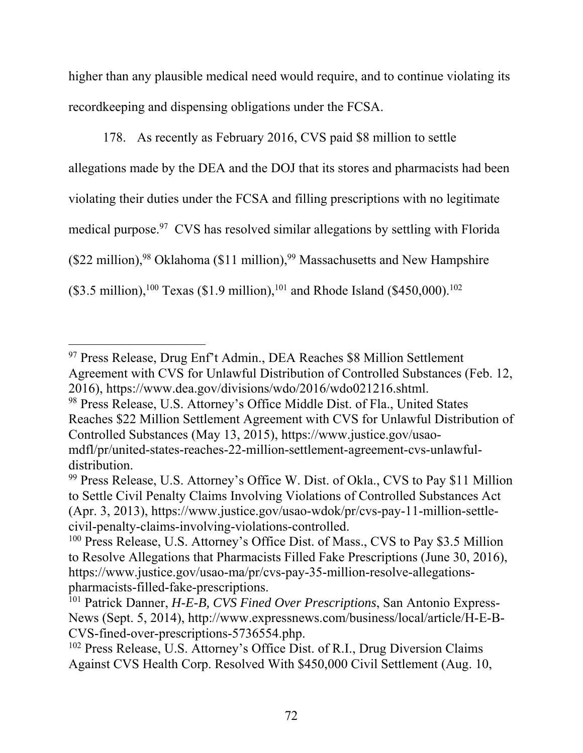higher than any plausible medical need would require, and to continue violating its recordkeeping and dispensing obligations under the FCSA.

178. As recently as February 2016, CVS paid \$8 million to settle allegations made by the DEA and the DOJ that its stores and pharmacists had been violating their duties under the FCSA and filling prescriptions with no legitimate medical purpose.<sup>97</sup> CVS has resolved similar allegations by settling with Florida (\$22 million),  $98$  Oklahoma (\$11 million),  $99$  Massachusetts and New Hampshire  $($3.5 \text{ million})$ ,<sup>100</sup> Texas (\$1.9 million),<sup>101</sup> and Rhode Island (\$450,000).<sup>102</sup>

<sup>97</sup> Press Release, Drug Enf't Admin., DEA Reaches \$8 Million Settlement Agreement with CVS for Unlawful Distribution of Controlled Substances (Feb. 12, 2016), https://www.dea.gov/divisions/wdo/2016/wdo021216.shtml. 98 Press Release, U.S. Attorney's Office Middle Dist. of Fla., United States

Reaches \$22 Million Settlement Agreement with CVS for Unlawful Distribution of Controlled Substances (May 13, 2015), https://www.justice.gov/usaomdfl/pr/united-states-reaches-22-million-settlement-agreement-cvs-unlawful-

distribution.

<sup>99</sup> Press Release, U.S. Attorney's Office W. Dist. of Okla., CVS to Pay \$11 Million to Settle Civil Penalty Claims Involving Violations of Controlled Substances Act (Apr. 3, 2013), https://www.justice.gov/usao-wdok/pr/cvs-pay-11-million-settlecivil-penalty-claims-involving-violations-controlled.

<sup>&</sup>lt;sup>100</sup> Press Release, U.S. Attorney's Office Dist. of Mass., CVS to Pay \$3.5 Million to Resolve Allegations that Pharmacists Filled Fake Prescriptions (June 30, 2016), https://www.justice.gov/usao-ma/pr/cvs-pay-35-million-resolve-allegationspharmacists-filled-fake-prescriptions.

<sup>101</sup> Patrick Danner, *H-E-B, CVS Fined Over Prescriptions*, San Antonio Express-News (Sept. 5, 2014), http://www.expressnews.com/business/local/article/H-E-B-CVS-fined-over-prescriptions-5736554.php.

<sup>&</sup>lt;sup>102</sup> Press Release, U.S. Attorney's Office Dist. of R.I., Drug Diversion Claims Against CVS Health Corp. Resolved With \$450,000 Civil Settlement (Aug. 10,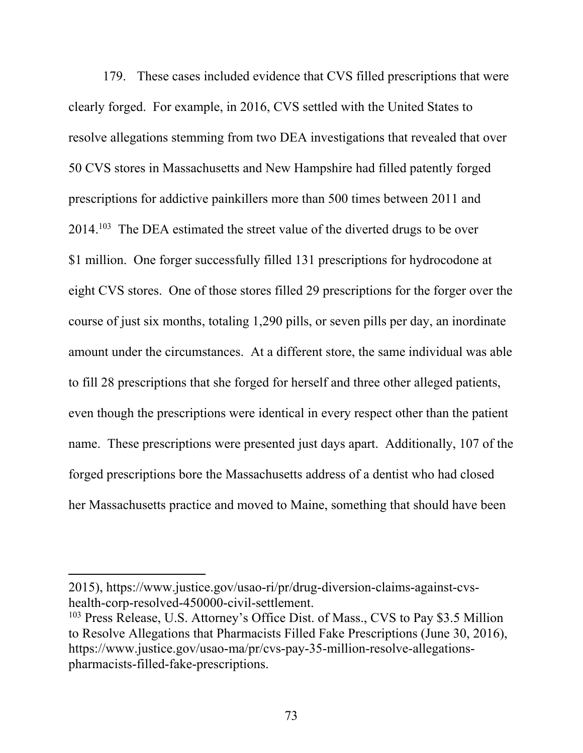179. These cases included evidence that CVS filled prescriptions that were clearly forged. For example, in 2016, CVS settled with the United States to resolve allegations stemming from two DEA investigations that revealed that over 50 CVS stores in Massachusetts and New Hampshire had filled patently forged prescriptions for addictive painkillers more than 500 times between 2011 and 2014.103 The DEA estimated the street value of the diverted drugs to be over \$1 million. One forger successfully filled 131 prescriptions for hydrocodone at eight CVS stores. One of those stores filled 29 prescriptions for the forger over the course of just six months, totaling 1,290 pills, or seven pills per day, an inordinate amount under the circumstances. At a different store, the same individual was able to fill 28 prescriptions that she forged for herself and three other alleged patients, even though the prescriptions were identical in every respect other than the patient name. These prescriptions were presented just days apart. Additionally, 107 of the forged prescriptions bore the Massachusetts address of a dentist who had closed her Massachusetts practice and moved to Maine, something that should have been

<sup>2015),</sup> https://www.justice.gov/usao-ri/pr/drug-diversion-claims-against-cvshealth-corp-resolved-450000-civil-settlement.

<sup>&</sup>lt;sup>103</sup> Press Release, U.S. Attorney's Office Dist. of Mass., CVS to Pay \$3.5 Million to Resolve Allegations that Pharmacists Filled Fake Prescriptions (June 30, 2016), https://www.justice.gov/usao-ma/pr/cvs-pay-35-million-resolve-allegationspharmacists-filled-fake-prescriptions.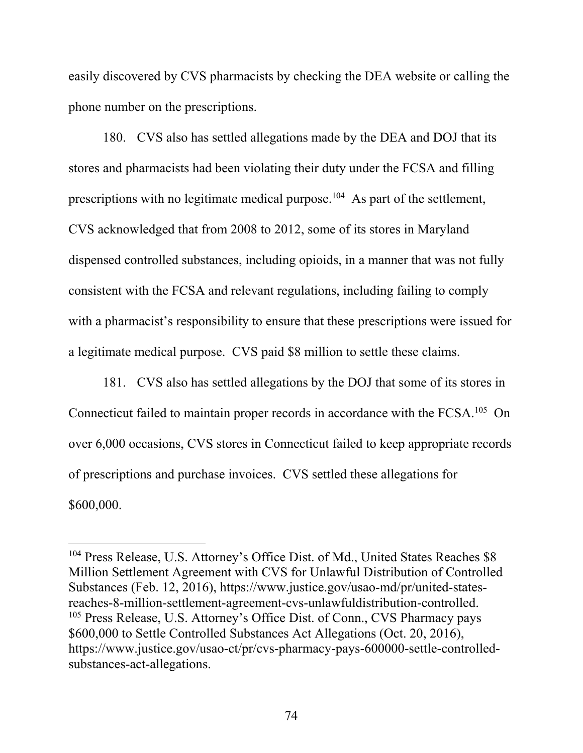easily discovered by CVS pharmacists by checking the DEA website or calling the phone number on the prescriptions.

180. CVS also has settled allegations made by the DEA and DOJ that its stores and pharmacists had been violating their duty under the FCSA and filling prescriptions with no legitimate medical purpose.<sup>104</sup> As part of the settlement, CVS acknowledged that from 2008 to 2012, some of its stores in Maryland dispensed controlled substances, including opioids, in a manner that was not fully consistent with the FCSA and relevant regulations, including failing to comply with a pharmacist's responsibility to ensure that these prescriptions were issued for a legitimate medical purpose. CVS paid \$8 million to settle these claims.

181. CVS also has settled allegations by the DOJ that some of its stores in Connecticut failed to maintain proper records in accordance with the FCSA.<sup>105</sup> On over 6,000 occasions, CVS stores in Connecticut failed to keep appropriate records of prescriptions and purchase invoices. CVS settled these allegations for \$600,000.

<sup>&</sup>lt;sup>104</sup> Press Release, U.S. Attorney's Office Dist. of Md., United States Reaches \$8 Million Settlement Agreement with CVS for Unlawful Distribution of Controlled Substances (Feb. 12, 2016), https://www.justice.gov/usao-md/pr/united-statesreaches-8-million-settlement-agreement-cvs-unlawfuldistribution-controlled. <sup>105</sup> Press Release, U.S. Attorney's Office Dist. of Conn., CVS Pharmacy pays \$600,000 to Settle Controlled Substances Act Allegations (Oct. 20, 2016), https://www.justice.gov/usao-ct/pr/cvs-pharmacy-pays-600000-settle-controlledsubstances-act-allegations.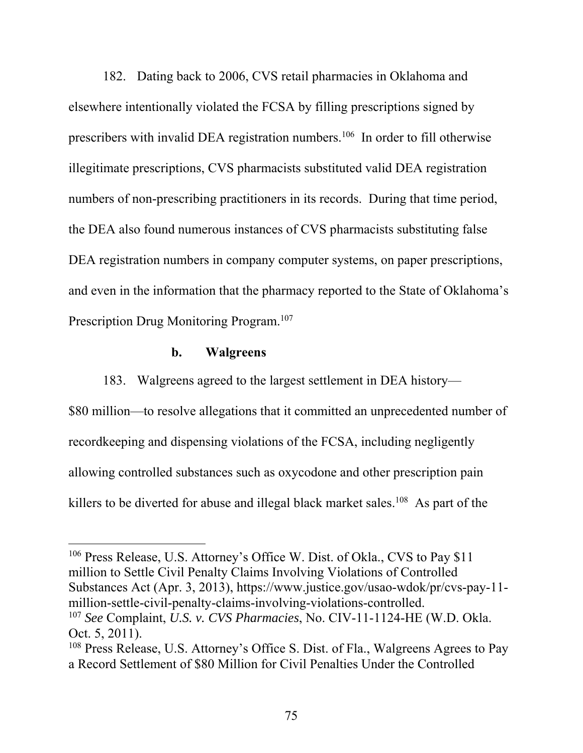182. Dating back to 2006, CVS retail pharmacies in Oklahoma and elsewhere intentionally violated the FCSA by filling prescriptions signed by prescribers with invalid DEA registration numbers.<sup>106</sup> In order to fill otherwise illegitimate prescriptions, CVS pharmacists substituted valid DEA registration numbers of non-prescribing practitioners in its records. During that time period, the DEA also found numerous instances of CVS pharmacists substituting false DEA registration numbers in company computer systems, on paper prescriptions, and even in the information that the pharmacy reported to the State of Oklahoma's Prescription Drug Monitoring Program.<sup>107</sup>

### **b. Walgreens**

 $\overline{a}$ 

183. Walgreens agreed to the largest settlement in DEA history—

\$80 million—to resolve allegations that it committed an unprecedented number of recordkeeping and dispensing violations of the FCSA, including negligently allowing controlled substances such as oxycodone and other prescription pain killers to be diverted for abuse and illegal black market sales.<sup>108</sup> As part of the

<sup>106</sup> Press Release, U.S. Attorney's Office W. Dist. of Okla., CVS to Pay \$11 million to Settle Civil Penalty Claims Involving Violations of Controlled Substances Act (Apr. 3, 2013), https://www.justice.gov/usao-wdok/pr/cvs-pay-11 million-settle-civil-penalty-claims-involving-violations-controlled.

<sup>107</sup> *See* Complaint, *U.S. v. CVS Pharmacies*, No. CIV-11-1124-HE (W.D. Okla. Oct. 5, 2011).

<sup>108</sup> Press Release, U.S. Attorney's Office S. Dist. of Fla., Walgreens Agrees to Pay a Record Settlement of \$80 Million for Civil Penalties Under the Controlled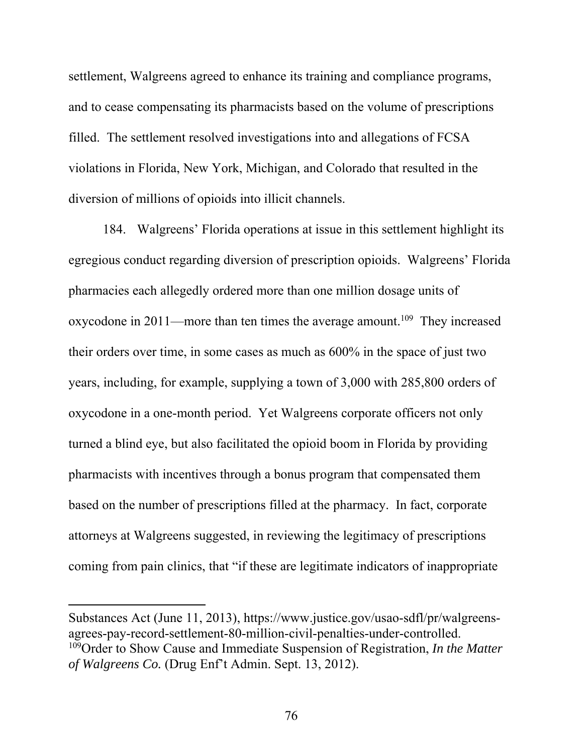settlement, Walgreens agreed to enhance its training and compliance programs, and to cease compensating its pharmacists based on the volume of prescriptions filled. The settlement resolved investigations into and allegations of FCSA violations in Florida, New York, Michigan, and Colorado that resulted in the diversion of millions of opioids into illicit channels.

184. Walgreens' Florida operations at issue in this settlement highlight its egregious conduct regarding diversion of prescription opioids. Walgreens' Florida pharmacies each allegedly ordered more than one million dosage units of oxycodone in 2011—more than ten times the average amount.<sup>109</sup> They increased their orders over time, in some cases as much as 600% in the space of just two years, including, for example, supplying a town of 3,000 with 285,800 orders of oxycodone in a one-month period. Yet Walgreens corporate officers not only turned a blind eye, but also facilitated the opioid boom in Florida by providing pharmacists with incentives through a bonus program that compensated them based on the number of prescriptions filled at the pharmacy. In fact, corporate attorneys at Walgreens suggested, in reviewing the legitimacy of prescriptions coming from pain clinics, that "if these are legitimate indicators of inappropriate

Substances Act (June 11, 2013), https://www.justice.gov/usao-sdfl/pr/walgreensagrees-pay-record-settlement-80-million-civil-penalties-under-controlled. 109Order to Show Cause and Immediate Suspension of Registration, *In the Matter of Walgreens Co.* (Drug Enf't Admin. Sept. 13, 2012).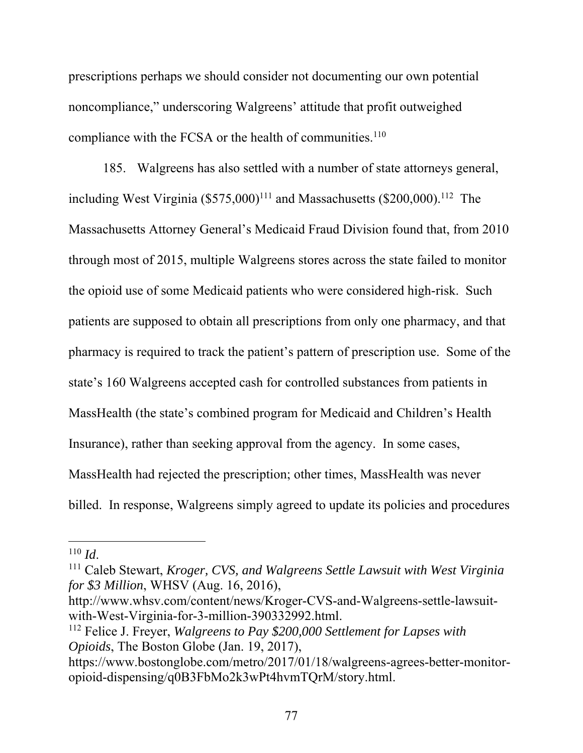prescriptions perhaps we should consider not documenting our own potential noncompliance," underscoring Walgreens' attitude that profit outweighed compliance with the FCSA or the health of communities.<sup>110</sup>

185. Walgreens has also settled with a number of state attorneys general, including West Virginia  $(\$575,000)^{111}$  and Massachusetts  $(\$200,000)^{112}$  The Massachusetts Attorney General's Medicaid Fraud Division found that, from 2010 through most of 2015, multiple Walgreens stores across the state failed to monitor the opioid use of some Medicaid patients who were considered high-risk. Such patients are supposed to obtain all prescriptions from only one pharmacy, and that pharmacy is required to track the patient's pattern of prescription use. Some of the state's 160 Walgreens accepted cash for controlled substances from patients in MassHealth (the state's combined program for Medicaid and Children's Health Insurance), rather than seeking approval from the agency. In some cases, MassHealth had rejected the prescription; other times, MassHealth was never billed. In response, Walgreens simply agreed to update its policies and procedures

 $\overline{a}$ 

http://www.whsv.com/content/news/Kroger-CVS-and-Walgreens-settle-lawsuitwith-West-Virginia-for-3-million-390332992.html.

<sup>&</sup>lt;sup>110</sup> *Id.* 110 *Id.* 111 Caleb Stewart, *Kroger, CVS, and Walgreens Settle Lawsuit with West Virginia for \$3 Million*, WHSV (Aug. 16, 2016),

<sup>112</sup> Felice J. Freyer, *Walgreens to Pay \$200,000 Settlement for Lapses with Opioids*, The Boston Globe (Jan. 19, 2017),

https://www.bostonglobe.com/metro/2017/01/18/walgreens-agrees-better-monitoropioid-dispensing/q0B3FbMo2k3wPt4hvmTQrM/story.html.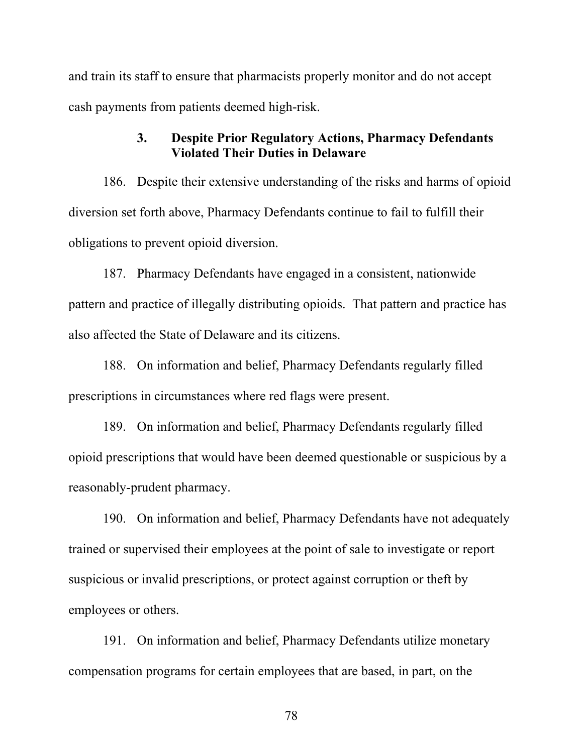and train its staff to ensure that pharmacists properly monitor and do not accept cash payments from patients deemed high-risk.

### **3. Despite Prior Regulatory Actions, Pharmacy Defendants Violated Their Duties in Delaware**

186. Despite their extensive understanding of the risks and harms of opioid diversion set forth above, Pharmacy Defendants continue to fail to fulfill their obligations to prevent opioid diversion.

187. Pharmacy Defendants have engaged in a consistent, nationwide pattern and practice of illegally distributing opioids. That pattern and practice has also affected the State of Delaware and its citizens.

188. On information and belief, Pharmacy Defendants regularly filled prescriptions in circumstances where red flags were present.

189. On information and belief, Pharmacy Defendants regularly filled opioid prescriptions that would have been deemed questionable or suspicious by a reasonably-prudent pharmacy.

190. On information and belief, Pharmacy Defendants have not adequately trained or supervised their employees at the point of sale to investigate or report suspicious or invalid prescriptions, or protect against corruption or theft by employees or others.

191. On information and belief, Pharmacy Defendants utilize monetary compensation programs for certain employees that are based, in part, on the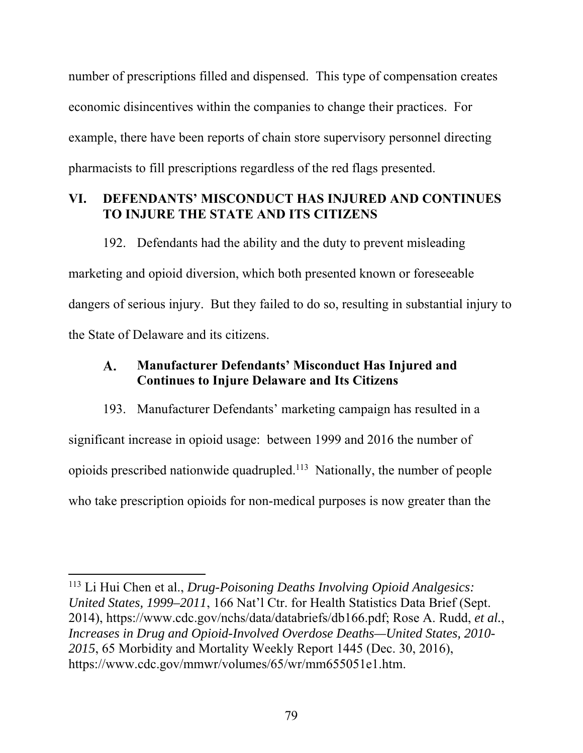number of prescriptions filled and dispensed. This type of compensation creates economic disincentives within the companies to change their practices. For example, there have been reports of chain store supervisory personnel directing pharmacists to fill prescriptions regardless of the red flags presented.

# **VI. DEFENDANTS' MISCONDUCT HAS INJURED AND CONTINUES TO INJURE THE STATE AND ITS CITIZENS**

192. Defendants had the ability and the duty to prevent misleading marketing and opioid diversion, which both presented known or foreseeable dangers of serious injury. But they failed to do so, resulting in substantial injury to the State of Delaware and its citizens.

### **Manufacturer Defendants' Misconduct Has Injured and A. Continues to Injure Delaware and Its Citizens**

193. Manufacturer Defendants' marketing campaign has resulted in a significant increase in opioid usage: between 1999 and 2016 the number of opioids prescribed nationwide quadrupled.113 Nationally, the number of people who take prescription opioids for non-medical purposes is now greater than the

 $\overline{\phantom{a}}$ 

<sup>113</sup> Li Hui Chen et al., *Drug-Poisoning Deaths Involving Opioid Analgesics: United States, 1999–2011*, 166 Nat'l Ctr. for Health Statistics Data Brief (Sept. 2014), https://www.cdc.gov/nchs/data/databriefs/db166.pdf; Rose A. Rudd, *et al.*, *Increases in Drug and Opioid-Involved Overdose Deaths—United States, 2010- 2015*, 65 Morbidity and Mortality Weekly Report 1445 (Dec. 30, 2016), https://www.cdc.gov/mmwr/volumes/65/wr/mm655051e1.htm.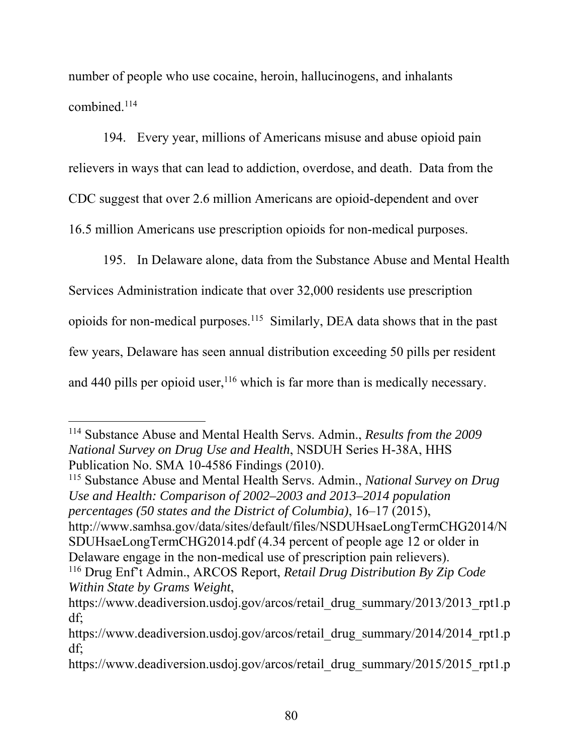number of people who use cocaine, heroin, hallucinogens, and inhalants combined.114

194. Every year, millions of Americans misuse and abuse opioid pain relievers in ways that can lead to addiction, overdose, and death. Data from the CDC suggest that over 2.6 million Americans are opioid-dependent and over 16.5 million Americans use prescription opioids for non-medical purposes.

195. In Delaware alone, data from the Substance Abuse and Mental Health Services Administration indicate that over 32,000 residents use prescription opioids for non-medical purposes.115 Similarly, DEA data shows that in the past few years, Delaware has seen annual distribution exceeding 50 pills per resident and 440 pills per opioid user,  $116$  which is far more than is medically necessary.

 $\overline{a}$ 

115 Substance Abuse and Mental Health Servs. Admin., *National Survey on Drug Use and Health: Comparison of 2002–2003 and 2013–2014 population percentages (50 states and the District of Columbia)*, 16–17 (2015), http://www.samhsa.gov/data/sites/default/files/NSDUHsaeLongTermCHG2014/N SDUHsaeLongTermCHG2014.pdf (4.34 percent of people age 12 or older in Delaware engage in the non-medical use of prescription pain relievers).

<sup>114</sup> Substance Abuse and Mental Health Servs. Admin., *Results from the 2009 National Survey on Drug Use and Health*, NSDUH Series H-38A, HHS Publication No. SMA 10-4586 Findings (2010).

<sup>116</sup> Drug Enf't Admin., ARCOS Report, *Retail Drug Distribution By Zip Code Within State by Grams Weight*,

https://www.deadiversion.usdoj.gov/arcos/retail\_drug\_summary/2013/2013\_rpt1.p df;

https://www.deadiversion.usdoj.gov/arcos/retail\_drug\_summary/2014/2014\_rpt1.p df;

https://www.deadiversion.usdoj.gov/arcos/retail\_drug\_summary/2015/2015\_rpt1.p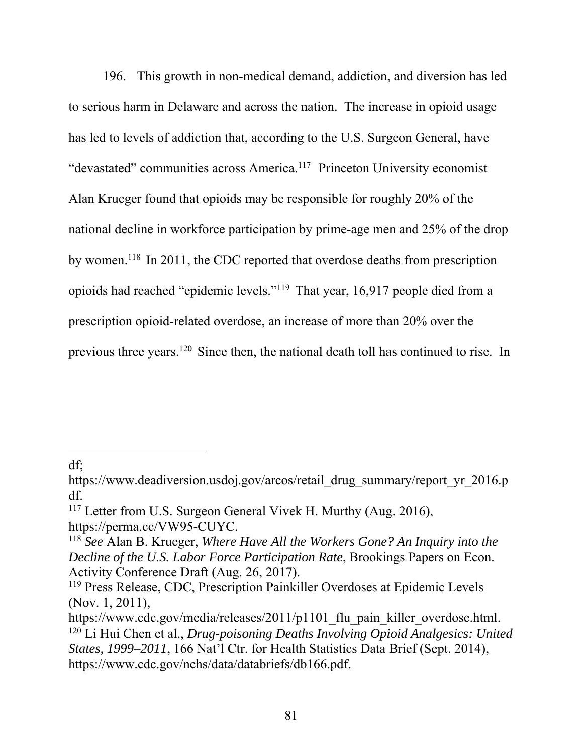196. This growth in non-medical demand, addiction, and diversion has led to serious harm in Delaware and across the nation. The increase in opioid usage has led to levels of addiction that, according to the U.S. Surgeon General, have "devastated" communities across America.<sup>117</sup> Princeton University economist Alan Krueger found that opioids may be responsible for roughly 20% of the national decline in workforce participation by prime-age men and 25% of the drop by women.<sup>118</sup> In 2011, the CDC reported that overdose deaths from prescription opioids had reached "epidemic levels."119 That year, 16,917 people died from a prescription opioid-related overdose, an increase of more than 20% over the previous three years.<sup>120</sup> Since then, the national death toll has continued to rise. In

df;

https://www.deadiversion.usdoj.gov/arcos/retail\_drug\_summary/report\_yr\_2016.p df.

<sup>&</sup>lt;sup>117</sup> Letter from U.S. Surgeon General Vivek H. Murthy (Aug. 2016), https://perma.cc/VW95-CUYC.

<sup>118</sup> *See* Alan B. Krueger, *Where Have All the Workers Gone? An Inquiry into the Decline of the U.S. Labor Force Participation Rate*, Brookings Papers on Econ. Activity Conference Draft (Aug. 26, 2017).

<sup>119</sup> Press Release, CDC, Prescription Painkiller Overdoses at Epidemic Levels (Nov. 1, 2011),

https://www.cdc.gov/media/releases/2011/p1101 flu pain killer overdose.html. 120 Li Hui Chen et al., *Drug-poisoning Deaths Involving Opioid Analgesics: United States, 1999–2011*, 166 Nat'l Ctr. for Health Statistics Data Brief (Sept. 2014), https://www.cdc.gov/nchs/data/databriefs/db166.pdf.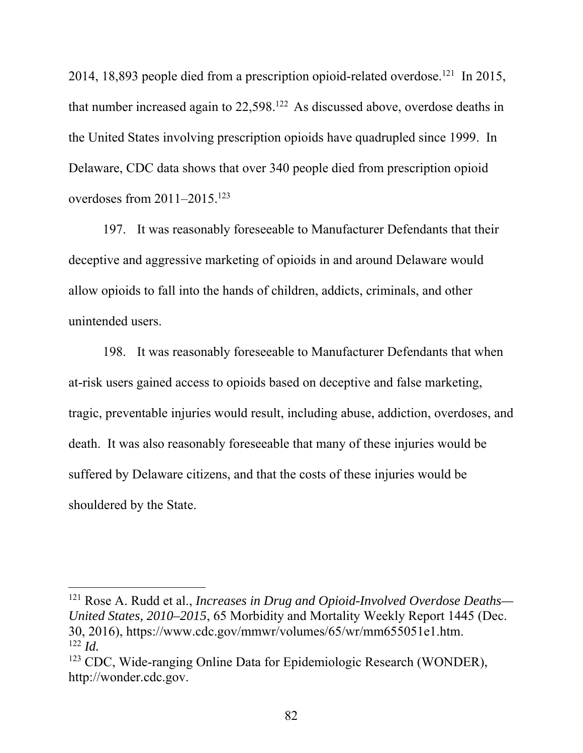2014, 18,893 people died from a prescription opioid-related overdose.<sup>121</sup> In 2015, that number increased again to 22,598.122 As discussed above, overdose deaths in the United States involving prescription opioids have quadrupled since 1999. In Delaware, CDC data shows that over 340 people died from prescription opioid overdoses from 2011–2015.<sup>123</sup>

197. It was reasonably foreseeable to Manufacturer Defendants that their deceptive and aggressive marketing of opioids in and around Delaware would allow opioids to fall into the hands of children, addicts, criminals, and other unintended users.

198. It was reasonably foreseeable to Manufacturer Defendants that when at-risk users gained access to opioids based on deceptive and false marketing, tragic, preventable injuries would result, including abuse, addiction, overdoses, and death. It was also reasonably foreseeable that many of these injuries would be suffered by Delaware citizens, and that the costs of these injuries would be shouldered by the State.

<sup>121</sup> Rose A. Rudd et al., *Increases in Drug and Opioid-Involved Overdose Deaths— United States, 2010–2015*, 65 Morbidity and Mortality Weekly Report 1445 (Dec. 30, 2016), https://www.cdc.gov/mmwr/volumes/65/wr/mm655051e1.htm. <sup>122</sup> *Id.*

<sup>123</sup> CDC, Wide-ranging Online Data for Epidemiologic Research (WONDER), http://wonder.cdc.gov.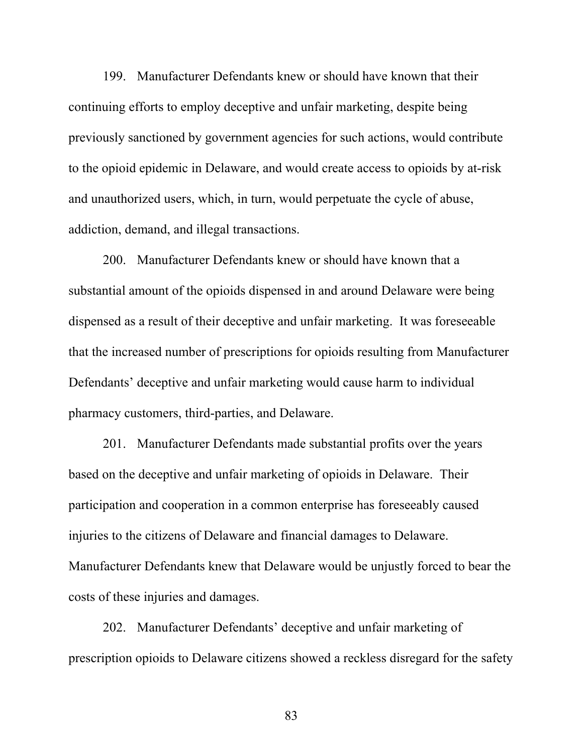199. Manufacturer Defendants knew or should have known that their continuing efforts to employ deceptive and unfair marketing, despite being previously sanctioned by government agencies for such actions, would contribute to the opioid epidemic in Delaware, and would create access to opioids by at-risk and unauthorized users, which, in turn, would perpetuate the cycle of abuse, addiction, demand, and illegal transactions.

200. Manufacturer Defendants knew or should have known that a substantial amount of the opioids dispensed in and around Delaware were being dispensed as a result of their deceptive and unfair marketing. It was foreseeable that the increased number of prescriptions for opioids resulting from Manufacturer Defendants' deceptive and unfair marketing would cause harm to individual pharmacy customers, third-parties, and Delaware.

201. Manufacturer Defendants made substantial profits over the years based on the deceptive and unfair marketing of opioids in Delaware. Their participation and cooperation in a common enterprise has foreseeably caused injuries to the citizens of Delaware and financial damages to Delaware. Manufacturer Defendants knew that Delaware would be unjustly forced to bear the costs of these injuries and damages.

202. Manufacturer Defendants' deceptive and unfair marketing of prescription opioids to Delaware citizens showed a reckless disregard for the safety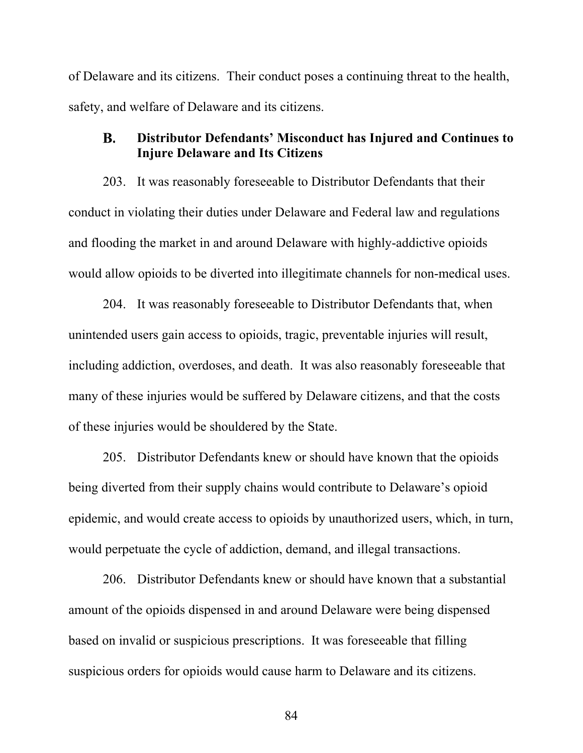of Delaware and its citizens. Their conduct poses a continuing threat to the health, safety, and welfare of Delaware and its citizens.

#### **Distributor Defendants' Misconduct has Injured and Continues to** B. **Injure Delaware and Its Citizens**

203. It was reasonably foreseeable to Distributor Defendants that their conduct in violating their duties under Delaware and Federal law and regulations and flooding the market in and around Delaware with highly-addictive opioids would allow opioids to be diverted into illegitimate channels for non-medical uses.

204. It was reasonably foreseeable to Distributor Defendants that, when unintended users gain access to opioids, tragic, preventable injuries will result, including addiction, overdoses, and death. It was also reasonably foreseeable that many of these injuries would be suffered by Delaware citizens, and that the costs of these injuries would be shouldered by the State.

205. Distributor Defendants knew or should have known that the opioids being diverted from their supply chains would contribute to Delaware's opioid epidemic, and would create access to opioids by unauthorized users, which, in turn, would perpetuate the cycle of addiction, demand, and illegal transactions.

206. Distributor Defendants knew or should have known that a substantial amount of the opioids dispensed in and around Delaware were being dispensed based on invalid or suspicious prescriptions. It was foreseeable that filling suspicious orders for opioids would cause harm to Delaware and its citizens.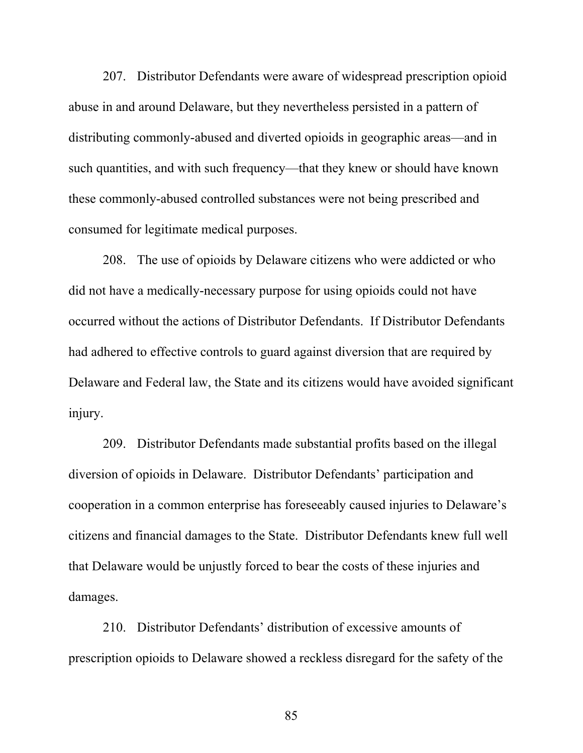207. Distributor Defendants were aware of widespread prescription opioid abuse in and around Delaware, but they nevertheless persisted in a pattern of distributing commonly-abused and diverted opioids in geographic areas—and in such quantities, and with such frequency—that they knew or should have known these commonly-abused controlled substances were not being prescribed and consumed for legitimate medical purposes.

208. The use of opioids by Delaware citizens who were addicted or who did not have a medically-necessary purpose for using opioids could not have occurred without the actions of Distributor Defendants. If Distributor Defendants had adhered to effective controls to guard against diversion that are required by Delaware and Federal law, the State and its citizens would have avoided significant injury.

209. Distributor Defendants made substantial profits based on the illegal diversion of opioids in Delaware. Distributor Defendants' participation and cooperation in a common enterprise has foreseeably caused injuries to Delaware's citizens and financial damages to the State. Distributor Defendants knew full well that Delaware would be unjustly forced to bear the costs of these injuries and damages.

210. Distributor Defendants' distribution of excessive amounts of prescription opioids to Delaware showed a reckless disregard for the safety of the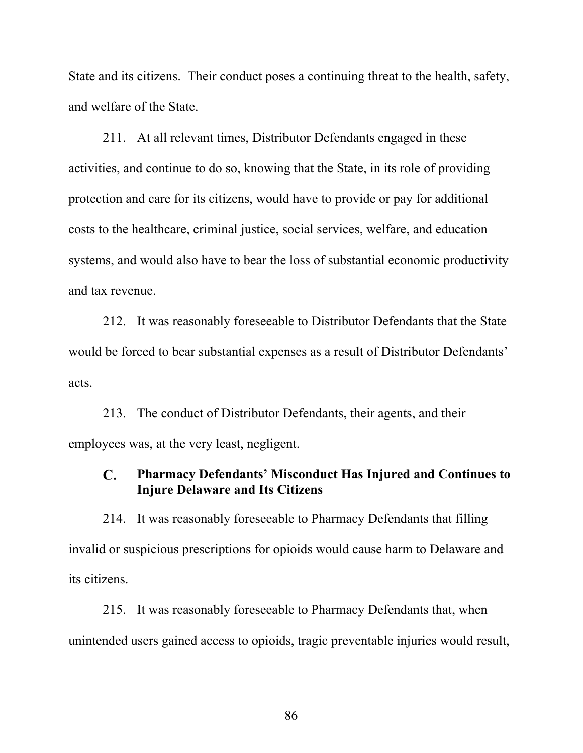State and its citizens. Their conduct poses a continuing threat to the health, safety, and welfare of the State.

211. At all relevant times, Distributor Defendants engaged in these activities, and continue to do so, knowing that the State, in its role of providing protection and care for its citizens, would have to provide or pay for additional costs to the healthcare, criminal justice, social services, welfare, and education systems, and would also have to bear the loss of substantial economic productivity and tax revenue.

212. It was reasonably foreseeable to Distributor Defendants that the State would be forced to bear substantial expenses as a result of Distributor Defendants' acts.

213. The conduct of Distributor Defendants, their agents, and their employees was, at the very least, negligent.

#### C. **Pharmacy Defendants' Misconduct Has Injured and Continues to Injure Delaware and Its Citizens**

214. It was reasonably foreseeable to Pharmacy Defendants that filling invalid or suspicious prescriptions for opioids would cause harm to Delaware and its citizens.

215. It was reasonably foreseeable to Pharmacy Defendants that, when unintended users gained access to opioids, tragic preventable injuries would result,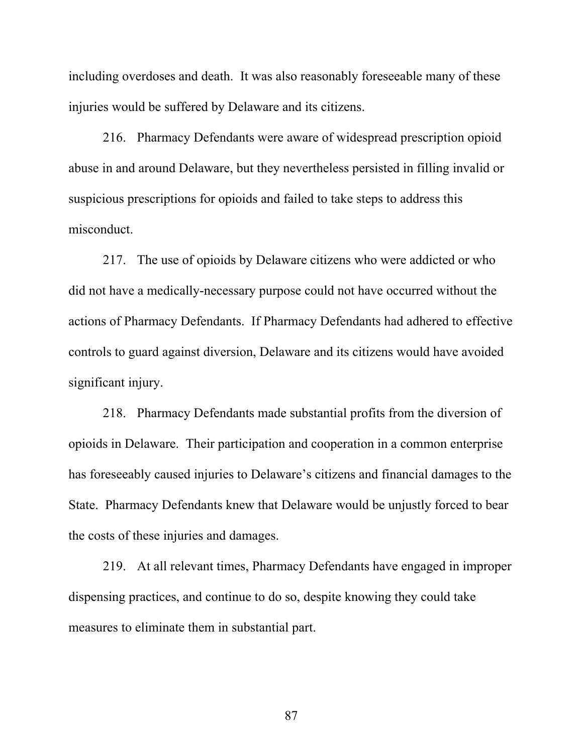including overdoses and death. It was also reasonably foreseeable many of these injuries would be suffered by Delaware and its citizens.

216. Pharmacy Defendants were aware of widespread prescription opioid abuse in and around Delaware, but they nevertheless persisted in filling invalid or suspicious prescriptions for opioids and failed to take steps to address this misconduct.

217. The use of opioids by Delaware citizens who were addicted or who did not have a medically-necessary purpose could not have occurred without the actions of Pharmacy Defendants. If Pharmacy Defendants had adhered to effective controls to guard against diversion, Delaware and its citizens would have avoided significant injury.

218. Pharmacy Defendants made substantial profits from the diversion of opioids in Delaware. Their participation and cooperation in a common enterprise has foreseeably caused injuries to Delaware's citizens and financial damages to the State. Pharmacy Defendants knew that Delaware would be unjustly forced to bear the costs of these injuries and damages.

219. At all relevant times, Pharmacy Defendants have engaged in improper dispensing practices, and continue to do so, despite knowing they could take measures to eliminate them in substantial part.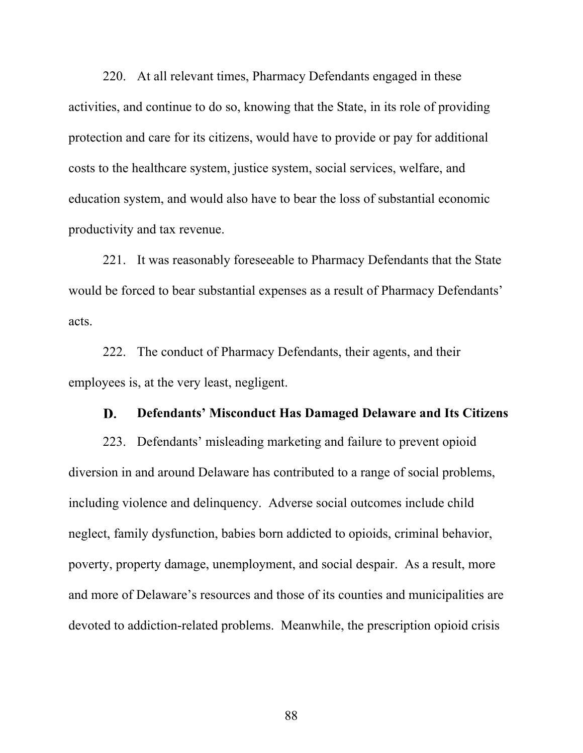220. At all relevant times, Pharmacy Defendants engaged in these activities, and continue to do so, knowing that the State, in its role of providing protection and care for its citizens, would have to provide or pay for additional costs to the healthcare system, justice system, social services, welfare, and education system, and would also have to bear the loss of substantial economic productivity and tax revenue.

221. It was reasonably foreseeable to Pharmacy Defendants that the State would be forced to bear substantial expenses as a result of Pharmacy Defendants' acts.

222. The conduct of Pharmacy Defendants, their agents, and their employees is, at the very least, negligent.

#### D. **Defendants' Misconduct Has Damaged Delaware and Its Citizens**

223. Defendants' misleading marketing and failure to prevent opioid diversion in and around Delaware has contributed to a range of social problems, including violence and delinquency. Adverse social outcomes include child neglect, family dysfunction, babies born addicted to opioids, criminal behavior, poverty, property damage, unemployment, and social despair. As a result, more and more of Delaware's resources and those of its counties and municipalities are devoted to addiction-related problems. Meanwhile, the prescription opioid crisis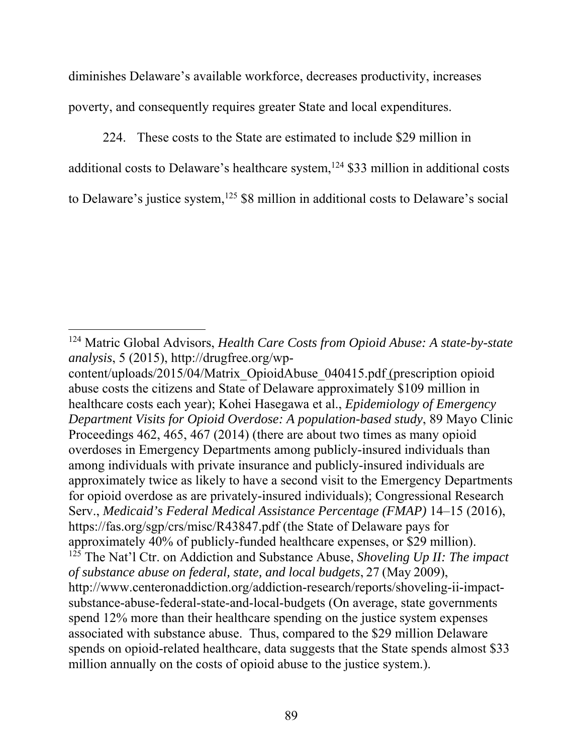diminishes Delaware's available workforce, decreases productivity, increases poverty, and consequently requires greater State and local expenditures.

224. These costs to the State are estimated to include \$29 million in additional costs to Delaware's healthcare system, $124$  \$33 million in additional costs to Delaware's justice system, $125$  \$8 million in additional costs to Delaware's social

<sup>124</sup> Matric Global Advisors, *Health Care Costs from Opioid Abuse: A state-by-state analysis*, 5 (2015), http://drugfree.org/wp-

content/uploads/2015/04/Matrix\_OpioidAbuse\_040415.pdf (prescription opioid abuse costs the citizens and State of Delaware approximately \$109 million in healthcare costs each year); Kohei Hasegawa et al., *Epidemiology of Emergency Department Visits for Opioid Overdose: A population-based study*, 89 Mayo Clinic Proceedings 462, 465, 467 (2014) (there are about two times as many opioid overdoses in Emergency Departments among publicly-insured individuals than among individuals with private insurance and publicly-insured individuals are approximately twice as likely to have a second visit to the Emergency Departments for opioid overdose as are privately-insured individuals); Congressional Research Serv., *Medicaid's Federal Medical Assistance Percentage (FMAP)* 14–15 (2016), https://fas.org/sgp/crs/misc/R43847.pdf (the State of Delaware pays for approximately 40% of publicly-funded healthcare expenses, or \$29 million). <sup>125</sup> The Nat'l Ctr. on Addiction and Substance Abuse, *Shoveling Up II: The impact of substance abuse on federal, state, and local budgets*, 27 (May 2009), http://www.centeronaddiction.org/addiction-research/reports/shoveling-ii-impactsubstance-abuse-federal-state-and-local-budgets (On average, state governments spend 12% more than their healthcare spending on the justice system expenses associated with substance abuse. Thus, compared to the \$29 million Delaware spends on opioid-related healthcare, data suggests that the State spends almost \$33 million annually on the costs of opioid abuse to the justice system.).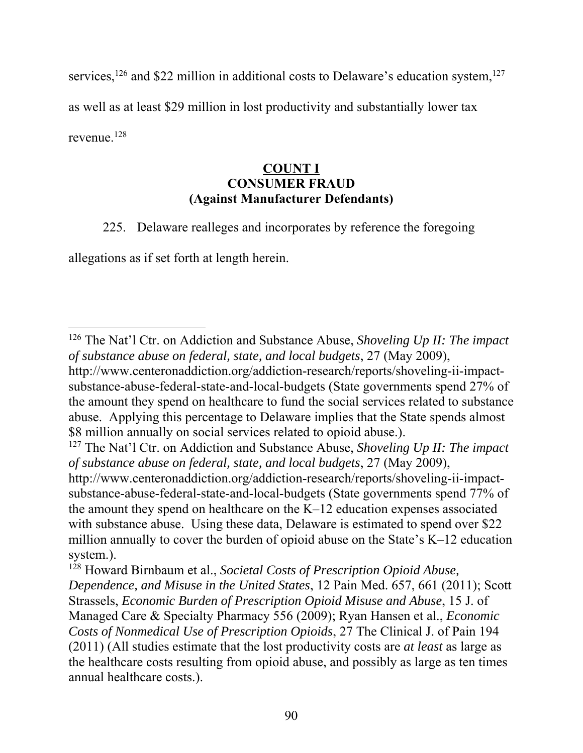services,<sup>126</sup> and \$22 million in additional costs to Delaware's education system,<sup>127</sup> as well as at least \$29 million in lost productivity and substantially lower tax revenue.128

### **COUNT I CONSUMER FRAUD (Against Manufacturer Defendants)**

225. Delaware realleges and incorporates by reference the foregoing

allegations as if set forth at length herein.

<sup>126</sup> The Nat'l Ctr. on Addiction and Substance Abuse, *Shoveling Up II: The impact of substance abuse on federal, state, and local budgets*, 27 (May 2009),

http://www.centeronaddiction.org/addiction-research/reports/shoveling-ii-impactsubstance-abuse-federal-state-and-local-budgets (State governments spend 27% of the amount they spend on healthcare to fund the social services related to substance abuse. Applying this percentage to Delaware implies that the State spends almost \$8 million annually on social services related to opioid abuse.).

<sup>127</sup> The Nat'l Ctr. on Addiction and Substance Abuse, *Shoveling Up II: The impact of substance abuse on federal, state, and local budgets*, 27 (May 2009),

http://www.centeronaddiction.org/addiction-research/reports/shoveling-ii-impactsubstance-abuse-federal-state-and-local-budgets (State governments spend 77% of the amount they spend on healthcare on the  $K-12$  education expenses associated with substance abuse. Using these data, Delaware is estimated to spend over \$22 million annually to cover the burden of opioid abuse on the State's K–12 education system.).

<sup>128</sup> Howard Birnbaum et al., *Societal Costs of Prescription Opioid Abuse, Dependence, and Misuse in the United States*, 12 Pain Med. 657, 661 (2011); Scott Strassels, *Economic Burden of Prescription Opioid Misuse and Abuse*, 15 J. of Managed Care & Specialty Pharmacy 556 (2009); Ryan Hansen et al., *Economic Costs of Nonmedical Use of Prescription Opioids*, 27 The Clinical J. of Pain 194 (2011) (All studies estimate that the lost productivity costs are *at least* as large as the healthcare costs resulting from opioid abuse, and possibly as large as ten times annual healthcare costs.).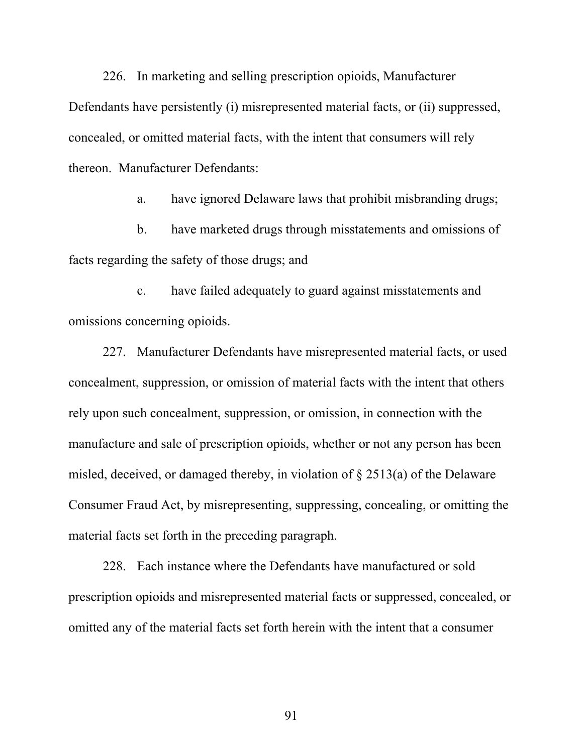226. In marketing and selling prescription opioids, Manufacturer Defendants have persistently (i) misrepresented material facts, or (ii) suppressed, concealed, or omitted material facts, with the intent that consumers will rely thereon. Manufacturer Defendants:

a. have ignored Delaware laws that prohibit misbranding drugs;

b. have marketed drugs through misstatements and omissions of facts regarding the safety of those drugs; and

c. have failed adequately to guard against misstatements and omissions concerning opioids.

227. Manufacturer Defendants have misrepresented material facts, or used concealment, suppression, or omission of material facts with the intent that others rely upon such concealment, suppression, or omission, in connection with the manufacture and sale of prescription opioids, whether or not any person has been misled, deceived, or damaged thereby, in violation of § 2513(a) of the Delaware Consumer Fraud Act, by misrepresenting, suppressing, concealing, or omitting the material facts set forth in the preceding paragraph.

228. Each instance where the Defendants have manufactured or sold prescription opioids and misrepresented material facts or suppressed, concealed, or omitted any of the material facts set forth herein with the intent that a consumer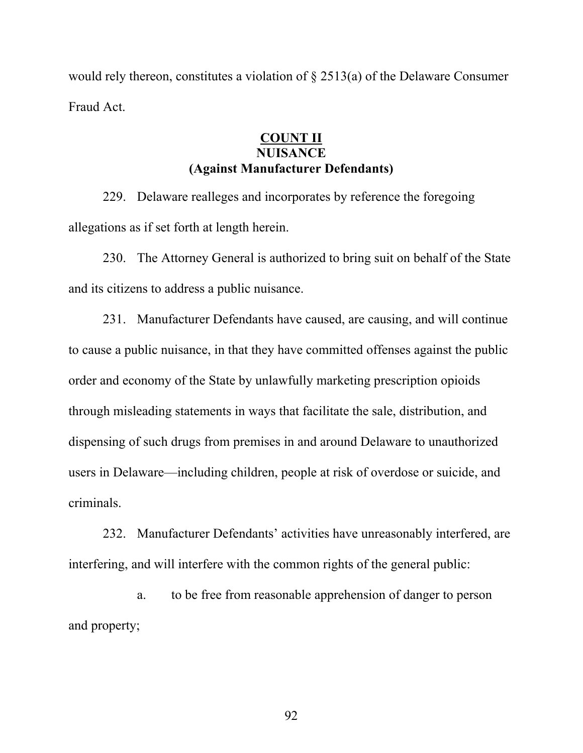would rely thereon, constitutes a violation of § 2513(a) of the Delaware Consumer Fraud Act.

### **COUNT II NUISANCE (Against Manufacturer Defendants)**

229. Delaware realleges and incorporates by reference the foregoing allegations as if set forth at length herein.

230. The Attorney General is authorized to bring suit on behalf of the State and its citizens to address a public nuisance.

231. Manufacturer Defendants have caused, are causing, and will continue to cause a public nuisance, in that they have committed offenses against the public order and economy of the State by unlawfully marketing prescription opioids through misleading statements in ways that facilitate the sale, distribution, and dispensing of such drugs from premises in and around Delaware to unauthorized users in Delaware—including children, people at risk of overdose or suicide, and criminals.

232. Manufacturer Defendants' activities have unreasonably interfered, are interfering, and will interfere with the common rights of the general public:

a. to be free from reasonable apprehension of danger to person and property;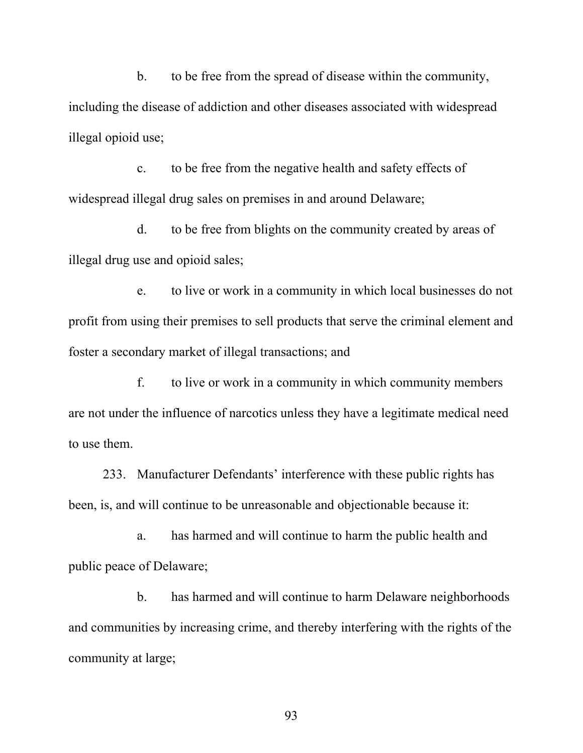b. to be free from the spread of disease within the community, including the disease of addiction and other diseases associated with widespread illegal opioid use;

c. to be free from the negative health and safety effects of widespread illegal drug sales on premises in and around Delaware;

d. to be free from blights on the community created by areas of illegal drug use and opioid sales;

e. to live or work in a community in which local businesses do not profit from using their premises to sell products that serve the criminal element and foster a secondary market of illegal transactions; and

f. to live or work in a community in which community members are not under the influence of narcotics unless they have a legitimate medical need to use them.

233. Manufacturer Defendants' interference with these public rights has been, is, and will continue to be unreasonable and objectionable because it:

a. has harmed and will continue to harm the public health and public peace of Delaware;

b. has harmed and will continue to harm Delaware neighborhoods and communities by increasing crime, and thereby interfering with the rights of the community at large;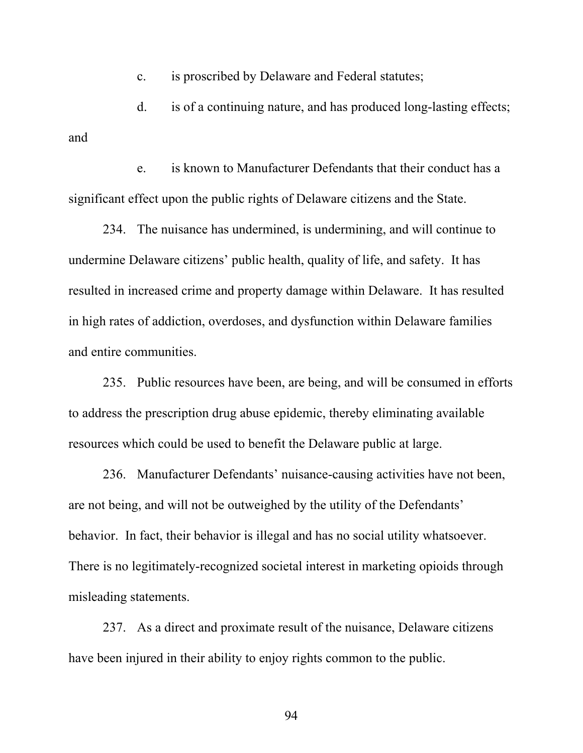c. is proscribed by Delaware and Federal statutes;

d. is of a continuing nature, and has produced long-lasting effects; and

e. is known to Manufacturer Defendants that their conduct has a significant effect upon the public rights of Delaware citizens and the State.

234. The nuisance has undermined, is undermining, and will continue to undermine Delaware citizens' public health, quality of life, and safety. It has resulted in increased crime and property damage within Delaware. It has resulted in high rates of addiction, overdoses, and dysfunction within Delaware families and entire communities.

235. Public resources have been, are being, and will be consumed in efforts to address the prescription drug abuse epidemic, thereby eliminating available resources which could be used to benefit the Delaware public at large.

236. Manufacturer Defendants' nuisance-causing activities have not been, are not being, and will not be outweighed by the utility of the Defendants' behavior. In fact, their behavior is illegal and has no social utility whatsoever. There is no legitimately-recognized societal interest in marketing opioids through misleading statements.

237. As a direct and proximate result of the nuisance, Delaware citizens have been injured in their ability to enjoy rights common to the public.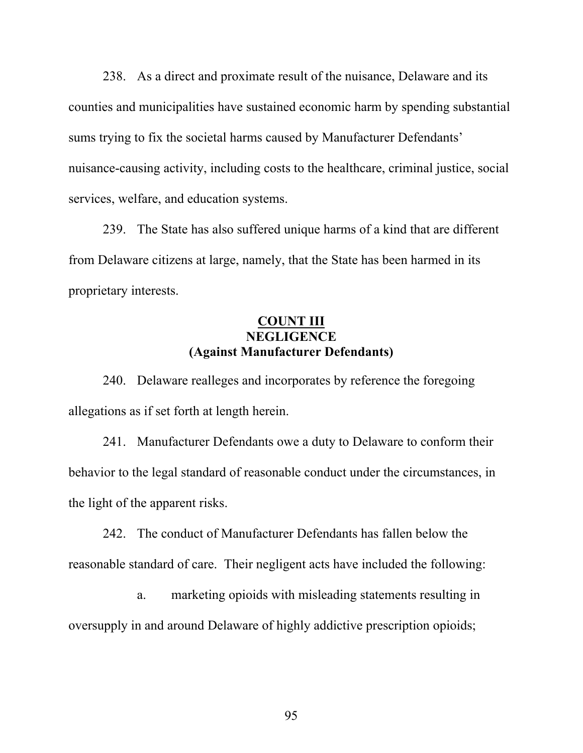238. As a direct and proximate result of the nuisance, Delaware and its counties and municipalities have sustained economic harm by spending substantial sums trying to fix the societal harms caused by Manufacturer Defendants' nuisance-causing activity, including costs to the healthcare, criminal justice, social services, welfare, and education systems.

239. The State has also suffered unique harms of a kind that are different from Delaware citizens at large, namely, that the State has been harmed in its proprietary interests.

### **COUNT III NEGLIGENCE (Against Manufacturer Defendants)**

240. Delaware realleges and incorporates by reference the foregoing allegations as if set forth at length herein.

241. Manufacturer Defendants owe a duty to Delaware to conform their behavior to the legal standard of reasonable conduct under the circumstances, in the light of the apparent risks.

242. The conduct of Manufacturer Defendants has fallen below the reasonable standard of care. Their negligent acts have included the following:

a. marketing opioids with misleading statements resulting in oversupply in and around Delaware of highly addictive prescription opioids;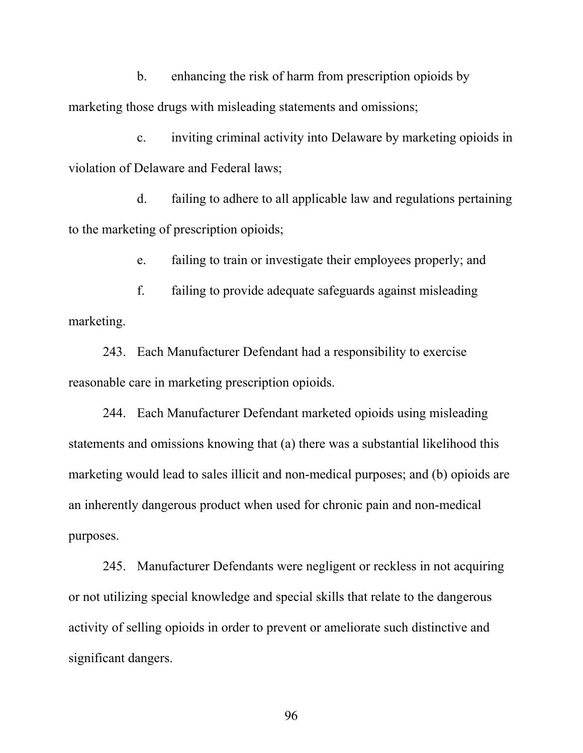b. enhancing the risk of harm from prescription opioids by marketing those drugs with misleading statements and omissions;

c. inviting criminal activity into Delaware by marketing opioids in violation of Delaware and Federal laws;

d. failing to adhere to all applicable law and regulations pertaining to the marketing of prescription opioids;

e. failing to train or investigate their employees properly; and

f. failing to provide adequate safeguards against misleading marketing.

243. Each Manufacturer Defendant had a responsibility to exercise reasonable care in marketing prescription opioids.

244. Each Manufacturer Defendant marketed opioids using misleading statements and omissions knowing that (a) there was a substantial likelihood this marketing would lead to sales illicit and non-medical purposes; and (b) opioids are an inherently dangerous product when used for chronic pain and non-medical purposes.

245. Manufacturer Defendants were negligent or reckless in not acquiring or not utilizing special knowledge and special skills that relate to the dangerous activity of selling opioids in order to prevent or ameliorate such distinctive and significant dangers.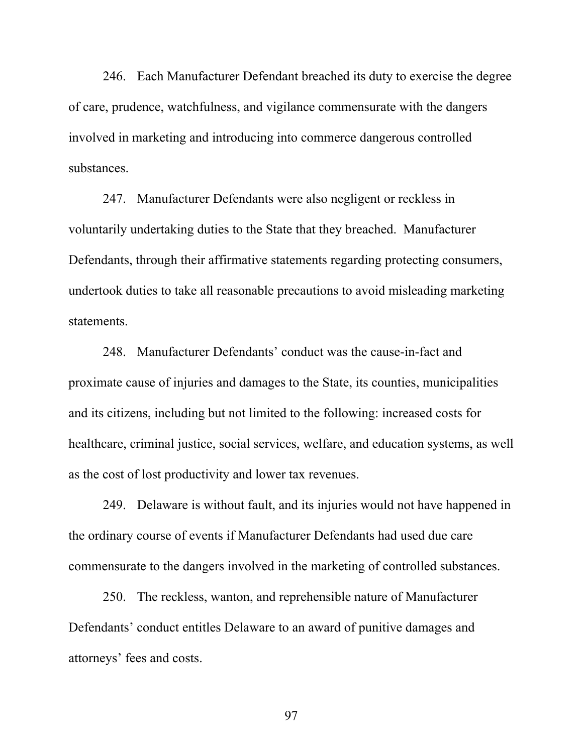246. Each Manufacturer Defendant breached its duty to exercise the degree of care, prudence, watchfulness, and vigilance commensurate with the dangers involved in marketing and introducing into commerce dangerous controlled substances.

247. Manufacturer Defendants were also negligent or reckless in voluntarily undertaking duties to the State that they breached. Manufacturer Defendants, through their affirmative statements regarding protecting consumers, undertook duties to take all reasonable precautions to avoid misleading marketing statements.

248. Manufacturer Defendants' conduct was the cause-in-fact and proximate cause of injuries and damages to the State, its counties, municipalities and its citizens, including but not limited to the following: increased costs for healthcare, criminal justice, social services, welfare, and education systems, as well as the cost of lost productivity and lower tax revenues.

249. Delaware is without fault, and its injuries would not have happened in the ordinary course of events if Manufacturer Defendants had used due care commensurate to the dangers involved in the marketing of controlled substances.

250. The reckless, wanton, and reprehensible nature of Manufacturer Defendants' conduct entitles Delaware to an award of punitive damages and attorneys' fees and costs.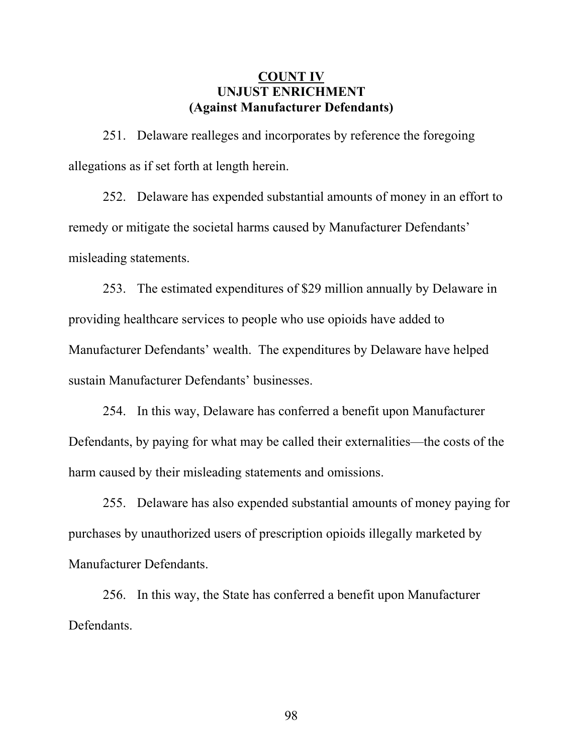### **COUNT IV UNJUST ENRICHMENT (Against Manufacturer Defendants)**

251. Delaware realleges and incorporates by reference the foregoing allegations as if set forth at length herein.

252. Delaware has expended substantial amounts of money in an effort to remedy or mitigate the societal harms caused by Manufacturer Defendants' misleading statements.

253. The estimated expenditures of \$29 million annually by Delaware in providing healthcare services to people who use opioids have added to Manufacturer Defendants' wealth. The expenditures by Delaware have helped sustain Manufacturer Defendants' businesses.

254. In this way, Delaware has conferred a benefit upon Manufacturer Defendants, by paying for what may be called their externalities—the costs of the harm caused by their misleading statements and omissions.

255. Delaware has also expended substantial amounts of money paying for purchases by unauthorized users of prescription opioids illegally marketed by Manufacturer Defendants.

256. In this way, the State has conferred a benefit upon Manufacturer Defendants.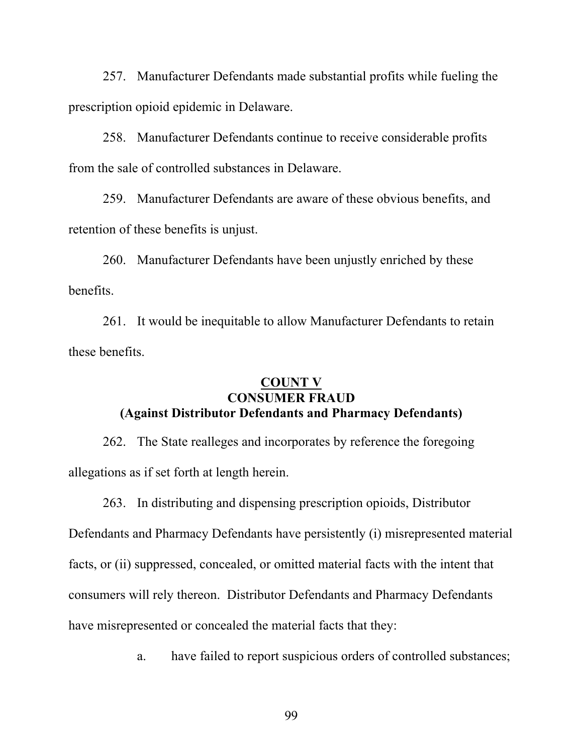257. Manufacturer Defendants made substantial profits while fueling the prescription opioid epidemic in Delaware.

258. Manufacturer Defendants continue to receive considerable profits from the sale of controlled substances in Delaware.

259. Manufacturer Defendants are aware of these obvious benefits, and retention of these benefits is unjust.

260. Manufacturer Defendants have been unjustly enriched by these benefits.

261. It would be inequitable to allow Manufacturer Defendants to retain these benefits.

### **COUNT V CONSUMER FRAUD (Against Distributor Defendants and Pharmacy Defendants)**

262. The State realleges and incorporates by reference the foregoing allegations as if set forth at length herein.

263. In distributing and dispensing prescription opioids, Distributor Defendants and Pharmacy Defendants have persistently (i) misrepresented material facts, or (ii) suppressed, concealed, or omitted material facts with the intent that consumers will rely thereon. Distributor Defendants and Pharmacy Defendants have misrepresented or concealed the material facts that they:

a. have failed to report suspicious orders of controlled substances;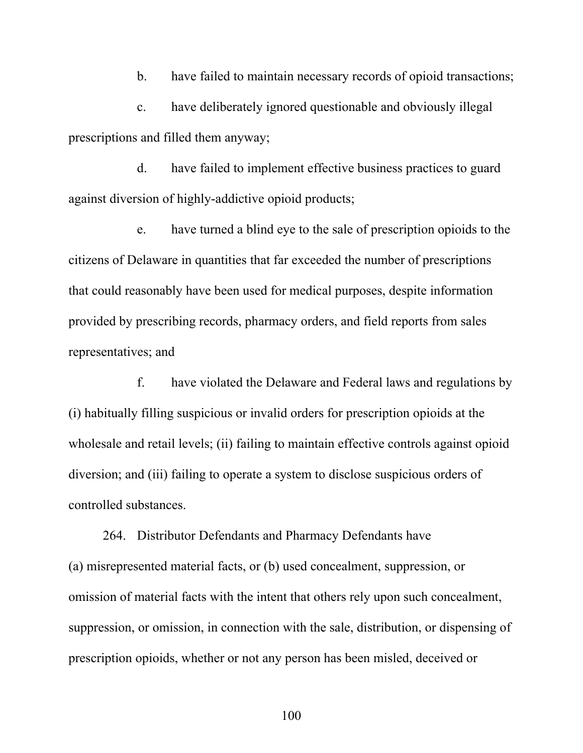b. have failed to maintain necessary records of opioid transactions;

c. have deliberately ignored questionable and obviously illegal prescriptions and filled them anyway;

d. have failed to implement effective business practices to guard against diversion of highly-addictive opioid products;

e. have turned a blind eye to the sale of prescription opioids to the citizens of Delaware in quantities that far exceeded the number of prescriptions that could reasonably have been used for medical purposes, despite information provided by prescribing records, pharmacy orders, and field reports from sales representatives; and

f. have violated the Delaware and Federal laws and regulations by (i) habitually filling suspicious or invalid orders for prescription opioids at the wholesale and retail levels; (ii) failing to maintain effective controls against opioid diversion; and (iii) failing to operate a system to disclose suspicious orders of controlled substances.

264. Distributor Defendants and Pharmacy Defendants have (a) misrepresented material facts, or (b) used concealment, suppression, or omission of material facts with the intent that others rely upon such concealment, suppression, or omission, in connection with the sale, distribution, or dispensing of prescription opioids, whether or not any person has been misled, deceived or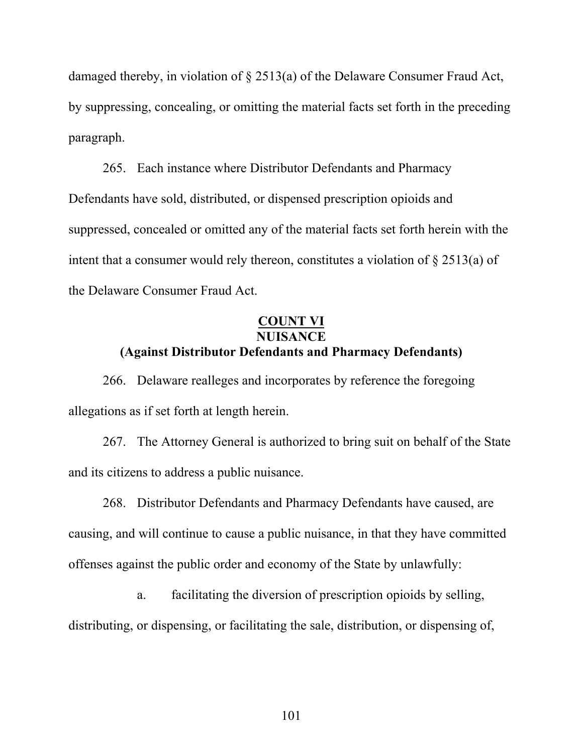damaged thereby, in violation of § 2513(a) of the Delaware Consumer Fraud Act, by suppressing, concealing, or omitting the material facts set forth in the preceding paragraph.

265. Each instance where Distributor Defendants and Pharmacy Defendants have sold, distributed, or dispensed prescription opioids and suppressed, concealed or omitted any of the material facts set forth herein with the intent that a consumer would rely thereon, constitutes a violation of § 2513(a) of the Delaware Consumer Fraud Act.

### **COUNT VI NUISANCE**

## **(Against Distributor Defendants and Pharmacy Defendants)**

266. Delaware realleges and incorporates by reference the foregoing allegations as if set forth at length herein.

267. The Attorney General is authorized to bring suit on behalf of the State and its citizens to address a public nuisance.

268. Distributor Defendants and Pharmacy Defendants have caused, are causing, and will continue to cause a public nuisance, in that they have committed offenses against the public order and economy of the State by unlawfully:

a. facilitating the diversion of prescription opioids by selling, distributing, or dispensing, or facilitating the sale, distribution, or dispensing of,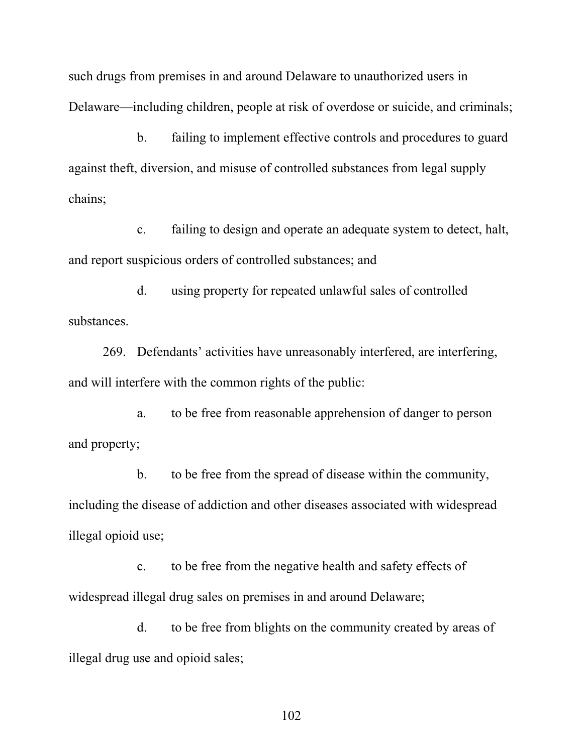such drugs from premises in and around Delaware to unauthorized users in Delaware—including children, people at risk of overdose or suicide, and criminals;

b. failing to implement effective controls and procedures to guard against theft, diversion, and misuse of controlled substances from legal supply chains;

c. failing to design and operate an adequate system to detect, halt, and report suspicious orders of controlled substances; and

d. using property for repeated unlawful sales of controlled substances.

269. Defendants' activities have unreasonably interfered, are interfering, and will interfere with the common rights of the public:

a. to be free from reasonable apprehension of danger to person and property;

b. to be free from the spread of disease within the community, including the disease of addiction and other diseases associated with widespread illegal opioid use;

c. to be free from the negative health and safety effects of widespread illegal drug sales on premises in and around Delaware;

d. to be free from blights on the community created by areas of illegal drug use and opioid sales;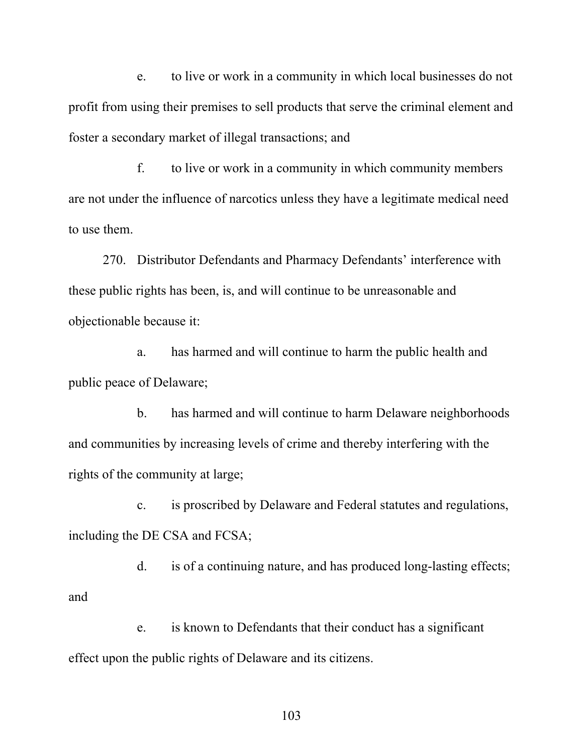e. to live or work in a community in which local businesses do not profit from using their premises to sell products that serve the criminal element and foster a secondary market of illegal transactions; and

f. to live or work in a community in which community members are not under the influence of narcotics unless they have a legitimate medical need to use them.

270. Distributor Defendants and Pharmacy Defendants' interference with these public rights has been, is, and will continue to be unreasonable and objectionable because it:

a. has harmed and will continue to harm the public health and public peace of Delaware;

b. has harmed and will continue to harm Delaware neighborhoods and communities by increasing levels of crime and thereby interfering with the rights of the community at large;

c. is proscribed by Delaware and Federal statutes and regulations, including the DE CSA and FCSA;

d. is of a continuing nature, and has produced long-lasting effects; and

e. is known to Defendants that their conduct has a significant effect upon the public rights of Delaware and its citizens.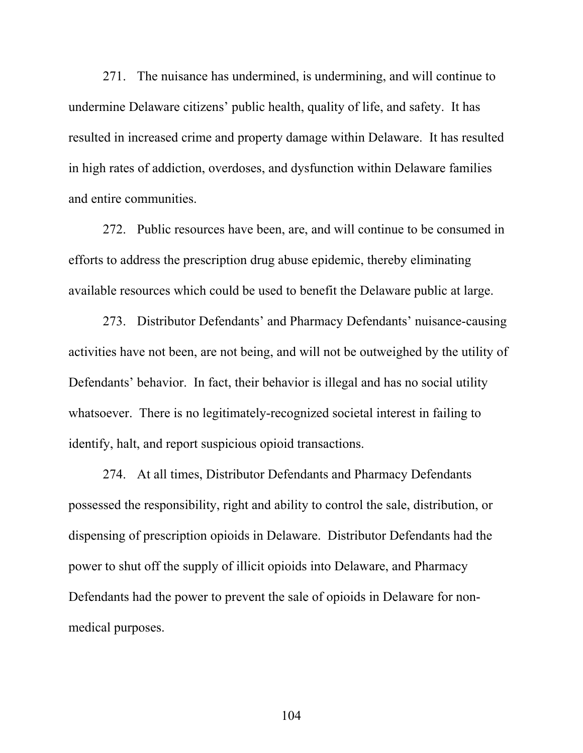271. The nuisance has undermined, is undermining, and will continue to undermine Delaware citizens' public health, quality of life, and safety. It has resulted in increased crime and property damage within Delaware. It has resulted in high rates of addiction, overdoses, and dysfunction within Delaware families and entire communities.

272. Public resources have been, are, and will continue to be consumed in efforts to address the prescription drug abuse epidemic, thereby eliminating available resources which could be used to benefit the Delaware public at large.

273. Distributor Defendants' and Pharmacy Defendants' nuisance-causing activities have not been, are not being, and will not be outweighed by the utility of Defendants' behavior. In fact, their behavior is illegal and has no social utility whatsoever. There is no legitimately-recognized societal interest in failing to identify, halt, and report suspicious opioid transactions.

274. At all times, Distributor Defendants and Pharmacy Defendants possessed the responsibility, right and ability to control the sale, distribution, or dispensing of prescription opioids in Delaware. Distributor Defendants had the power to shut off the supply of illicit opioids into Delaware, and Pharmacy Defendants had the power to prevent the sale of opioids in Delaware for nonmedical purposes.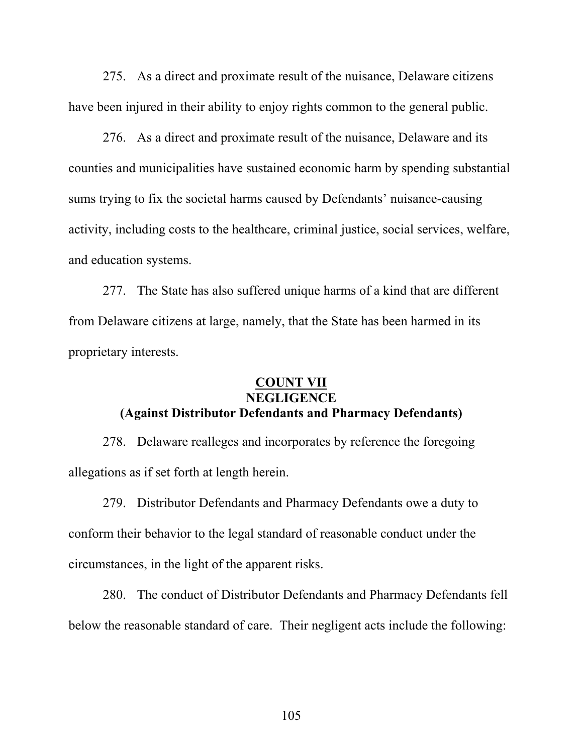275. As a direct and proximate result of the nuisance, Delaware citizens have been injured in their ability to enjoy rights common to the general public.

276. As a direct and proximate result of the nuisance, Delaware and its counties and municipalities have sustained economic harm by spending substantial sums trying to fix the societal harms caused by Defendants' nuisance-causing activity, including costs to the healthcare, criminal justice, social services, welfare, and education systems.

277. The State has also suffered unique harms of a kind that are different from Delaware citizens at large, namely, that the State has been harmed in its proprietary interests.

### **COUNT VII NEGLIGENCE (Against Distributor Defendants and Pharmacy Defendants)**

278. Delaware realleges and incorporates by reference the foregoing allegations as if set forth at length herein.

279. Distributor Defendants and Pharmacy Defendants owe a duty to conform their behavior to the legal standard of reasonable conduct under the circumstances, in the light of the apparent risks.

280. The conduct of Distributor Defendants and Pharmacy Defendants fell below the reasonable standard of care. Their negligent acts include the following: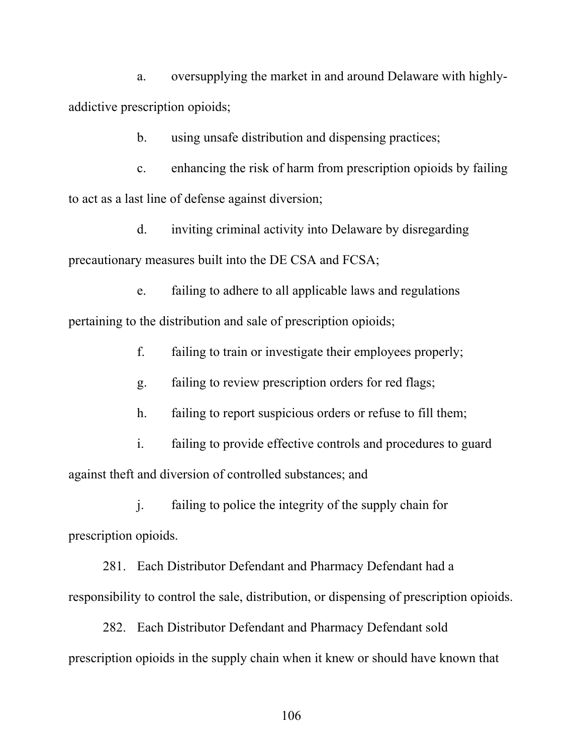a. oversupplying the market in and around Delaware with highlyaddictive prescription opioids;

b. using unsafe distribution and dispensing practices;

c. enhancing the risk of harm from prescription opioids by failing to act as a last line of defense against diversion;

d. inviting criminal activity into Delaware by disregarding precautionary measures built into the DE CSA and FCSA;

e. failing to adhere to all applicable laws and regulations pertaining to the distribution and sale of prescription opioids;

f. failing to train or investigate their employees properly;

g. failing to review prescription orders for red flags;

h. failing to report suspicious orders or refuse to fill them;

i. failing to provide effective controls and procedures to guard against theft and diversion of controlled substances; and

j. failing to police the integrity of the supply chain for prescription opioids.

281. Each Distributor Defendant and Pharmacy Defendant had a responsibility to control the sale, distribution, or dispensing of prescription opioids.

282. Each Distributor Defendant and Pharmacy Defendant sold prescription opioids in the supply chain when it knew or should have known that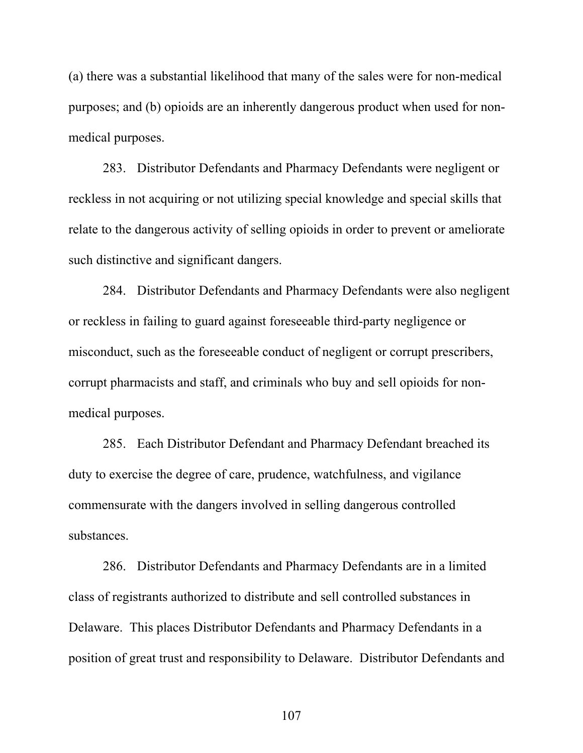(a) there was a substantial likelihood that many of the sales were for non-medical purposes; and (b) opioids are an inherently dangerous product when used for nonmedical purposes.

283. Distributor Defendants and Pharmacy Defendants were negligent or reckless in not acquiring or not utilizing special knowledge and special skills that relate to the dangerous activity of selling opioids in order to prevent or ameliorate such distinctive and significant dangers.

284. Distributor Defendants and Pharmacy Defendants were also negligent or reckless in failing to guard against foreseeable third-party negligence or misconduct, such as the foreseeable conduct of negligent or corrupt prescribers, corrupt pharmacists and staff, and criminals who buy and sell opioids for nonmedical purposes.

285. Each Distributor Defendant and Pharmacy Defendant breached its duty to exercise the degree of care, prudence, watchfulness, and vigilance commensurate with the dangers involved in selling dangerous controlled substances.

286. Distributor Defendants and Pharmacy Defendants are in a limited class of registrants authorized to distribute and sell controlled substances in Delaware. This places Distributor Defendants and Pharmacy Defendants in a position of great trust and responsibility to Delaware. Distributor Defendants and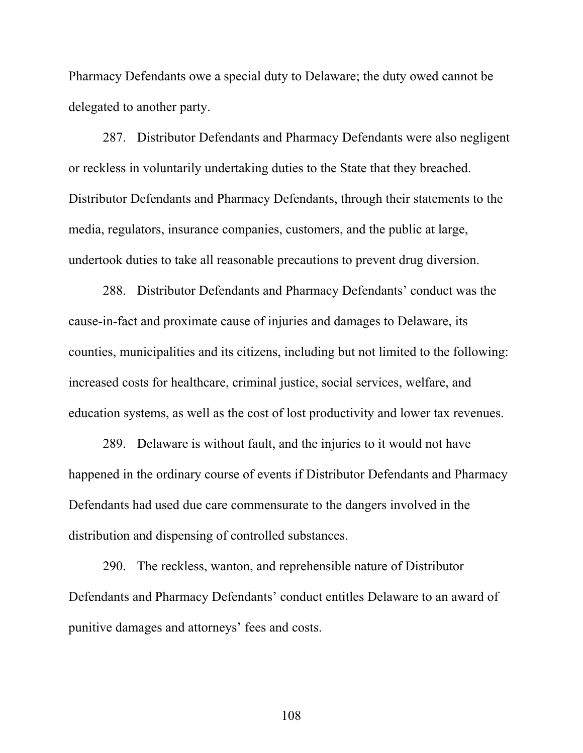Pharmacy Defendants owe a special duty to Delaware; the duty owed cannot be delegated to another party.

287. Distributor Defendants and Pharmacy Defendants were also negligent or reckless in voluntarily undertaking duties to the State that they breached. Distributor Defendants and Pharmacy Defendants, through their statements to the media, regulators, insurance companies, customers, and the public at large, undertook duties to take all reasonable precautions to prevent drug diversion.

288. Distributor Defendants and Pharmacy Defendants' conduct was the cause-in-fact and proximate cause of injuries and damages to Delaware, its counties, municipalities and its citizens, including but not limited to the following: increased costs for healthcare, criminal justice, social services, welfare, and education systems, as well as the cost of lost productivity and lower tax revenues.

289. Delaware is without fault, and the injuries to it would not have happened in the ordinary course of events if Distributor Defendants and Pharmacy Defendants had used due care commensurate to the dangers involved in the distribution and dispensing of controlled substances.

290. The reckless, wanton, and reprehensible nature of Distributor Defendants and Pharmacy Defendants' conduct entitles Delaware to an award of punitive damages and attorneys' fees and costs.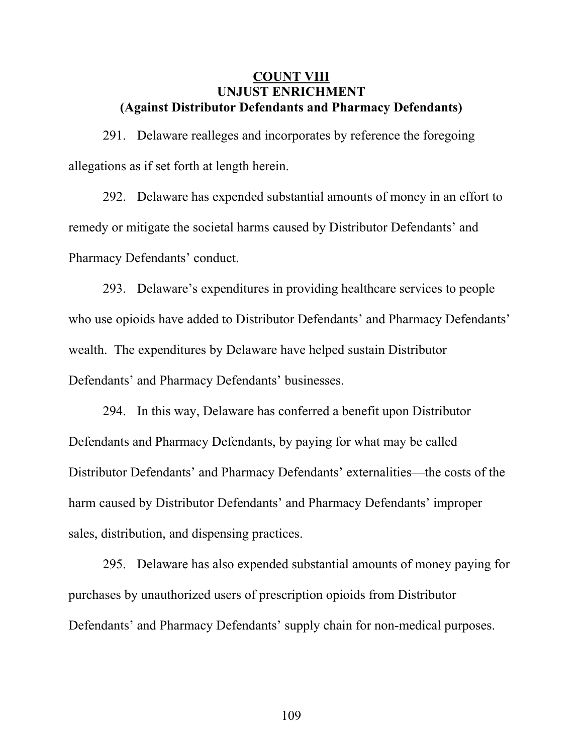### **COUNT VIII UNJUST ENRICHMENT (Against Distributor Defendants and Pharmacy Defendants)**

291. Delaware realleges and incorporates by reference the foregoing allegations as if set forth at length herein.

292. Delaware has expended substantial amounts of money in an effort to remedy or mitigate the societal harms caused by Distributor Defendants' and Pharmacy Defendants' conduct.

293. Delaware's expenditures in providing healthcare services to people who use opioids have added to Distributor Defendants' and Pharmacy Defendants' wealth. The expenditures by Delaware have helped sustain Distributor Defendants' and Pharmacy Defendants' businesses.

294. In this way, Delaware has conferred a benefit upon Distributor Defendants and Pharmacy Defendants, by paying for what may be called Distributor Defendants' and Pharmacy Defendants' externalities—the costs of the harm caused by Distributor Defendants' and Pharmacy Defendants' improper sales, distribution, and dispensing practices.

295. Delaware has also expended substantial amounts of money paying for purchases by unauthorized users of prescription opioids from Distributor Defendants' and Pharmacy Defendants' supply chain for non-medical purposes.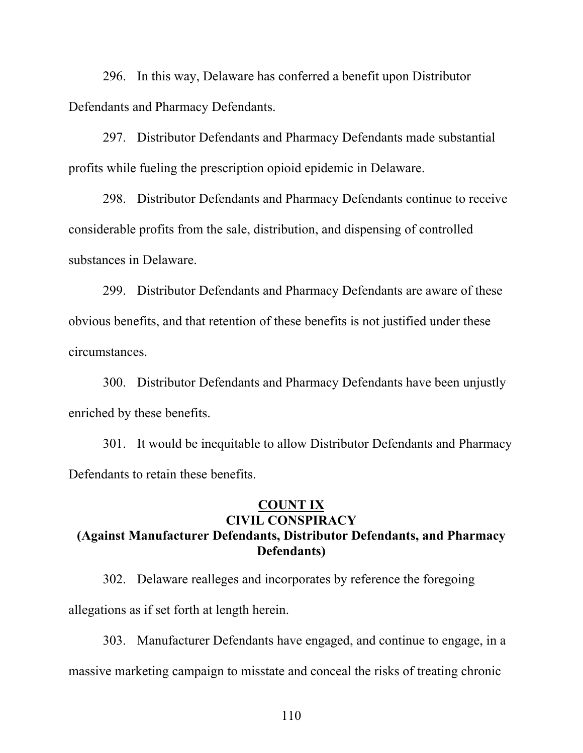296. In this way, Delaware has conferred a benefit upon Distributor Defendants and Pharmacy Defendants.

297. Distributor Defendants and Pharmacy Defendants made substantial profits while fueling the prescription opioid epidemic in Delaware.

298. Distributor Defendants and Pharmacy Defendants continue to receive considerable profits from the sale, distribution, and dispensing of controlled substances in Delaware.

299. Distributor Defendants and Pharmacy Defendants are aware of these obvious benefits, and that retention of these benefits is not justified under these circumstances.

300. Distributor Defendants and Pharmacy Defendants have been unjustly enriched by these benefits.

301. It would be inequitable to allow Distributor Defendants and Pharmacy Defendants to retain these benefits.

## **COUNT IX CIVIL CONSPIRACY (Against Manufacturer Defendants, Distributor Defendants, and Pharmacy Defendants)**

302. Delaware realleges and incorporates by reference the foregoing allegations as if set forth at length herein.

303. Manufacturer Defendants have engaged, and continue to engage, in a massive marketing campaign to misstate and conceal the risks of treating chronic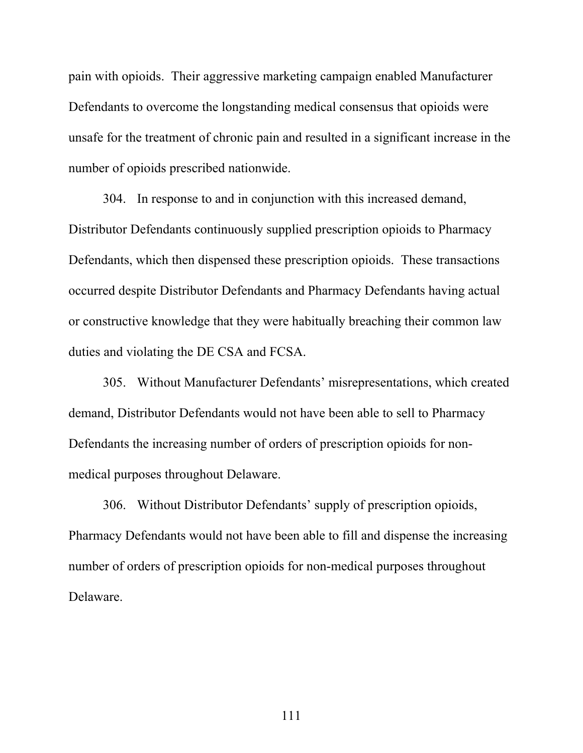pain with opioids. Their aggressive marketing campaign enabled Manufacturer Defendants to overcome the longstanding medical consensus that opioids were unsafe for the treatment of chronic pain and resulted in a significant increase in the number of opioids prescribed nationwide.

304. In response to and in conjunction with this increased demand, Distributor Defendants continuously supplied prescription opioids to Pharmacy Defendants, which then dispensed these prescription opioids. These transactions occurred despite Distributor Defendants and Pharmacy Defendants having actual or constructive knowledge that they were habitually breaching their common law duties and violating the DE CSA and FCSA.

305. Without Manufacturer Defendants' misrepresentations, which created demand, Distributor Defendants would not have been able to sell to Pharmacy Defendants the increasing number of orders of prescription opioids for nonmedical purposes throughout Delaware.

306. Without Distributor Defendants' supply of prescription opioids, Pharmacy Defendants would not have been able to fill and dispense the increasing number of orders of prescription opioids for non-medical purposes throughout Delaware.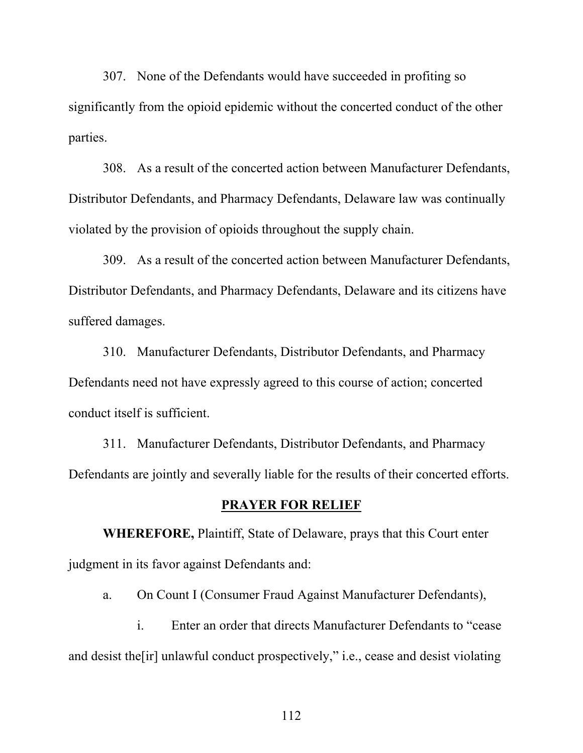307. None of the Defendants would have succeeded in profiting so significantly from the opioid epidemic without the concerted conduct of the other parties.

308. As a result of the concerted action between Manufacturer Defendants, Distributor Defendants, and Pharmacy Defendants, Delaware law was continually violated by the provision of opioids throughout the supply chain.

309. As a result of the concerted action between Manufacturer Defendants, Distributor Defendants, and Pharmacy Defendants, Delaware and its citizens have suffered damages.

310. Manufacturer Defendants, Distributor Defendants, and Pharmacy Defendants need not have expressly agreed to this course of action; concerted conduct itself is sufficient.

311. Manufacturer Defendants, Distributor Defendants, and Pharmacy Defendants are jointly and severally liable for the results of their concerted efforts.

#### **PRAYER FOR RELIEF**

**WHEREFORE,** Plaintiff, State of Delaware, prays that this Court enter judgment in its favor against Defendants and:

a. On Count I (Consumer Fraud Against Manufacturer Defendants),

i. Enter an order that directs Manufacturer Defendants to "cease and desist the[ir] unlawful conduct prospectively," i.e., cease and desist violating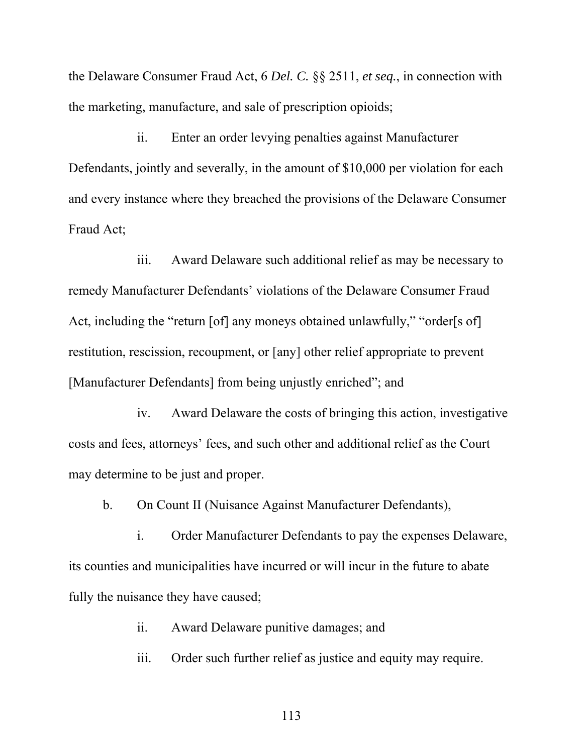the Delaware Consumer Fraud Act, 6 *Del. C.* §§ 2511, *et seq.*, in connection with the marketing, manufacture, and sale of prescription opioids;

ii. Enter an order levying penalties against Manufacturer Defendants, jointly and severally, in the amount of \$10,000 per violation for each and every instance where they breached the provisions of the Delaware Consumer Fraud Act;

iii. Award Delaware such additional relief as may be necessary to remedy Manufacturer Defendants' violations of the Delaware Consumer Fraud Act, including the "return [of] any moneys obtained unlawfully," "order[s of] restitution, rescission, recoupment, or [any] other relief appropriate to prevent [Manufacturer Defendants] from being unjustly enriched"; and

iv. Award Delaware the costs of bringing this action, investigative costs and fees, attorneys' fees, and such other and additional relief as the Court may determine to be just and proper.

b. On Count II (Nuisance Against Manufacturer Defendants),

i. Order Manufacturer Defendants to pay the expenses Delaware, its counties and municipalities have incurred or will incur in the future to abate fully the nuisance they have caused;

ii. Award Delaware punitive damages; and

iii. Order such further relief as justice and equity may require.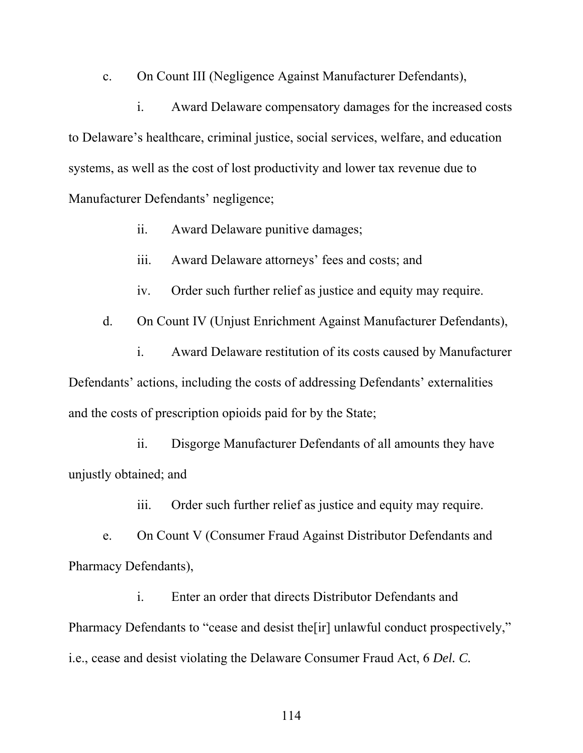c. On Count III (Negligence Against Manufacturer Defendants),

i. Award Delaware compensatory damages for the increased costs to Delaware's healthcare, criminal justice, social services, welfare, and education systems, as well as the cost of lost productivity and lower tax revenue due to Manufacturer Defendants' negligence;

- ii. Award Delaware punitive damages;
- iii. Award Delaware attorneys' fees and costs; and
- iv. Order such further relief as justice and equity may require.

d. On Count IV (Unjust Enrichment Against Manufacturer Defendants),

i. Award Delaware restitution of its costs caused by Manufacturer Defendants' actions, including the costs of addressing Defendants' externalities and the costs of prescription opioids paid for by the State;

ii. Disgorge Manufacturer Defendants of all amounts they have unjustly obtained; and

iii. Order such further relief as justice and equity may require.

e. On Count V (Consumer Fraud Against Distributor Defendants and Pharmacy Defendants),

i. Enter an order that directs Distributor Defendants and Pharmacy Defendants to "cease and desist the [ir] unlawful conduct prospectively," i.e., cease and desist violating the Delaware Consumer Fraud Act, 6 *Del. C.*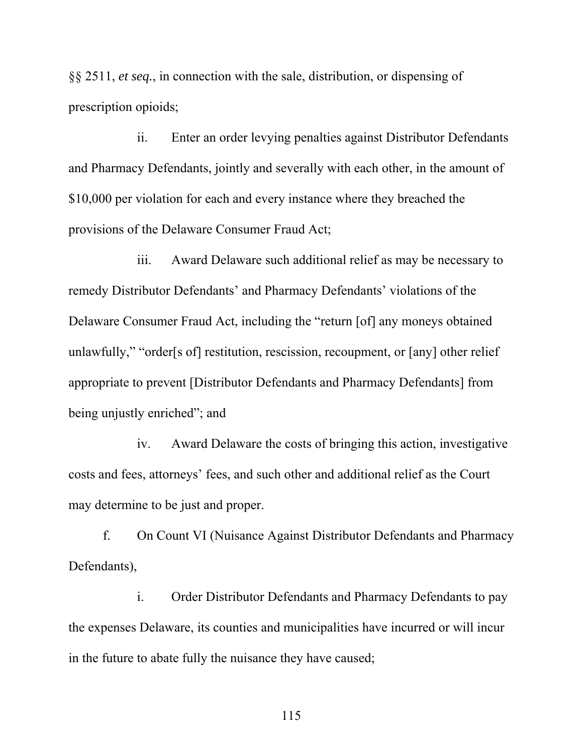§§ 2511, *et seq.*, in connection with the sale, distribution, or dispensing of prescription opioids;

ii. Enter an order levying penalties against Distributor Defendants and Pharmacy Defendants, jointly and severally with each other, in the amount of \$10,000 per violation for each and every instance where they breached the provisions of the Delaware Consumer Fraud Act;

iii. Award Delaware such additional relief as may be necessary to remedy Distributor Defendants' and Pharmacy Defendants' violations of the Delaware Consumer Fraud Act, including the "return [of] any moneys obtained unlawfully," "order[s of] restitution, rescission, recoupment, or [any] other relief appropriate to prevent [Distributor Defendants and Pharmacy Defendants] from being unjustly enriched"; and

iv. Award Delaware the costs of bringing this action, investigative costs and fees, attorneys' fees, and such other and additional relief as the Court may determine to be just and proper.

f. On Count VI (Nuisance Against Distributor Defendants and Pharmacy Defendants),

i. Order Distributor Defendants and Pharmacy Defendants to pay the expenses Delaware, its counties and municipalities have incurred or will incur in the future to abate fully the nuisance they have caused;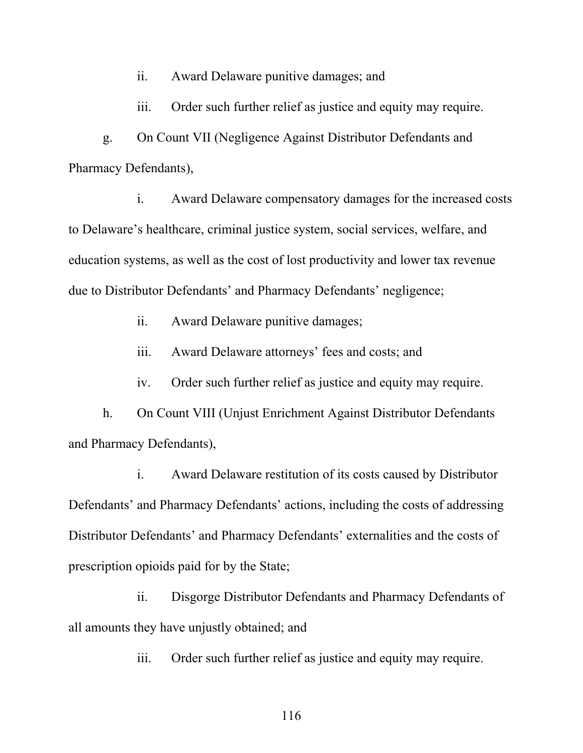ii. Award Delaware punitive damages; and

iii. Order such further relief as justice and equity may require.

g. On Count VII (Negligence Against Distributor Defendants and Pharmacy Defendants),

i. Award Delaware compensatory damages for the increased costs to Delaware's healthcare, criminal justice system, social services, welfare, and education systems, as well as the cost of lost productivity and lower tax revenue due to Distributor Defendants' and Pharmacy Defendants' negligence;

ii. Award Delaware punitive damages;

iii. Award Delaware attorneys' fees and costs; and

iv. Order such further relief as justice and equity may require.

h. On Count VIII (Unjust Enrichment Against Distributor Defendants and Pharmacy Defendants),

i. Award Delaware restitution of its costs caused by Distributor Defendants' and Pharmacy Defendants' actions, including the costs of addressing Distributor Defendants' and Pharmacy Defendants' externalities and the costs of prescription opioids paid for by the State;

ii. Disgorge Distributor Defendants and Pharmacy Defendants of all amounts they have unjustly obtained; and

iii. Order such further relief as justice and equity may require.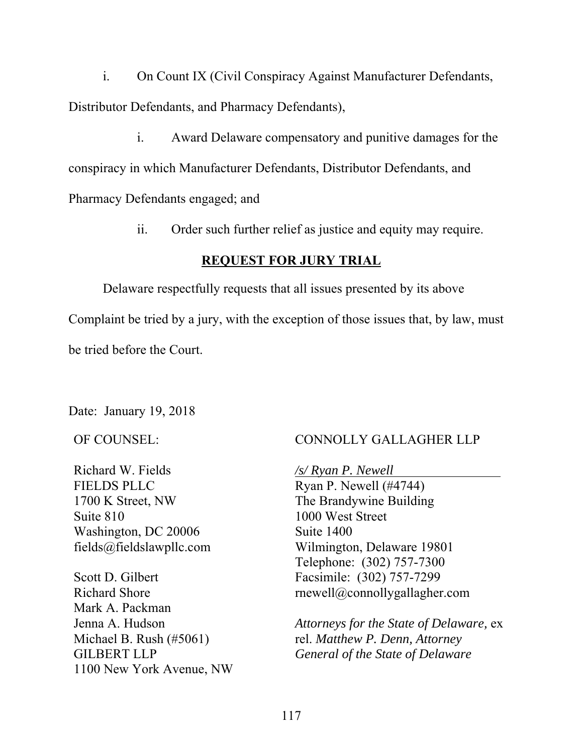i. On Count IX (Civil Conspiracy Against Manufacturer Defendants, Distributor Defendants, and Pharmacy Defendants),

i. Award Delaware compensatory and punitive damages for the conspiracy in which Manufacturer Defendants, Distributor Defendants, and Pharmacy Defendants engaged; and

ii. Order such further relief as justice and equity may require.

## **REQUEST FOR JURY TRIAL**

Delaware respectfully requests that all issues presented by its above

Complaint be tried by a jury, with the exception of those issues that, by law, must

be tried before the Court.

Date: January 19, 2018

OF COUNSEL:

Richard W. Fields FIELDS PLLC 1700 K Street, NW Suite 810 Washington, DC 20006 fields@fieldslawpllc.com

Scott D. Gilbert Richard Shore Mark A. Packman Jenna A. Hudson Michael B. Rush (#5061) GILBERT LLP 1100 New York Avenue, NW

# CONNOLLY GALLAGHER LLP

*/s/ Ryan P. Newell* 

Ryan P. Newell (#4744) The Brandywine Building 1000 West Street Suite 1400 Wilmington, Delaware 19801 Telephone: (302) 757-7300 Facsimile: (302) 757-7299 rnewell@connollygallagher.com

*Attorneys for the State of Delaware,* ex rel. *Matthew P. Denn, Attorney General of the State of Delaware*